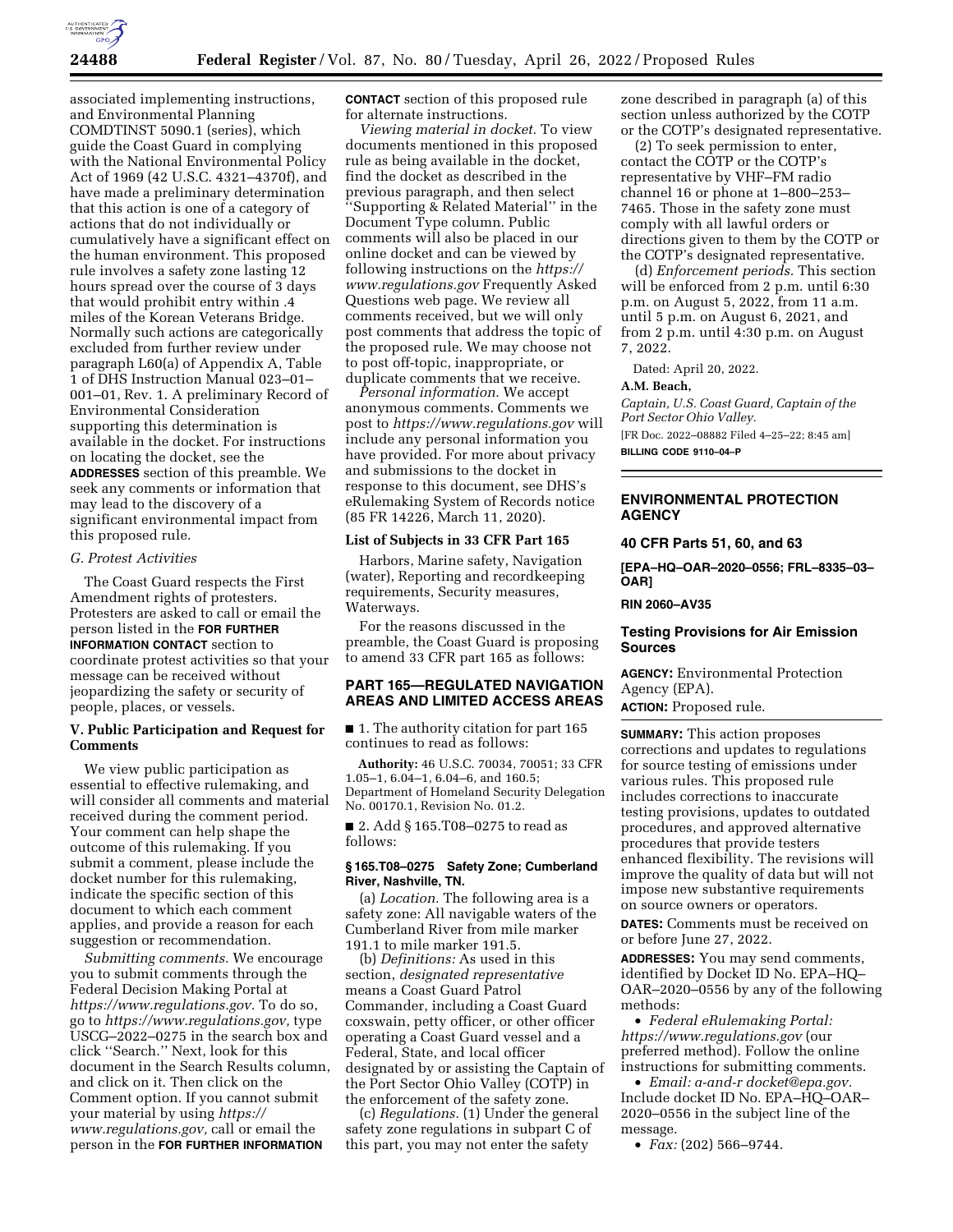

associated implementing instructions, and Environmental Planning COMDTINST 5090.1 (series), which guide the Coast Guard in complying with the National Environmental Policy Act of 1969 (42 U.S.C. 4321–4370f), and have made a preliminary determination that this action is one of a category of actions that do not individually or cumulatively have a significant effect on the human environment. This proposed rule involves a safety zone lasting 12 hours spread over the course of 3 days that would prohibit entry within .4 miles of the Korean Veterans Bridge. Normally such actions are categorically excluded from further review under paragraph L60(a) of Appendix A, Table 1 of DHS Instruction Manual 023–01– 001–01, Rev. 1. A preliminary Record of Environmental Consideration supporting this determination is available in the docket. For instructions on locating the docket, see the **ADDRESSES** section of this preamble. We seek any comments or information that may lead to the discovery of a significant environmental impact from this proposed rule.

#### *G. Protest Activities*

The Coast Guard respects the First Amendment rights of protesters. Protesters are asked to call or email the person listed in the **FOR FURTHER INFORMATION CONTACT** section to coordinate protest activities so that your message can be received without jeopardizing the safety or security of people, places, or vessels.

## **V. Public Participation and Request for Comments**

We view public participation as essential to effective rulemaking, and will consider all comments and material received during the comment period. Your comment can help shape the outcome of this rulemaking. If you submit a comment, please include the docket number for this rulemaking, indicate the specific section of this document to which each comment applies, and provide a reason for each suggestion or recommendation.

*Submitting comments.* We encourage you to submit comments through the Federal Decision Making Portal at *[https://www.regulations.gov.](https://www.regulations.gov)* To do so, go to *[https://www.regulations.gov,](https://www.regulations.gov)* type USCG–2022–0275 in the search box and click ''Search.'' Next, look for this document in the Search Results column, and click on it. Then click on the Comment option. If you cannot submit your material by using *[https://](https://www.regulations.gov) [www.regulations.gov,](https://www.regulations.gov)* call or email the person in the **FOR FURTHER INFORMATION**

**CONTACT** section of this proposed rule for alternate instructions.

*Viewing material in docket.* To view documents mentioned in this proposed rule as being available in the docket, find the docket as described in the previous paragraph, and then select ''Supporting & Related Material'' in the Document Type column. Public comments will also be placed in our online docket and can be viewed by following instructions on the *[https://](https://www.regulations.gov) [www.regulations.gov](https://www.regulations.gov)* Frequently Asked Questions web page. We review all comments received, but we will only post comments that address the topic of the proposed rule. We may choose not to post off-topic, inappropriate, or duplicate comments that we receive.

*Personal information.* We accept anonymous comments. Comments we post to *<https://www.regulations.gov>*will include any personal information you have provided. For more about privacy and submissions to the docket in response to this document, see DHS's eRulemaking System of Records notice (85 FR 14226, March 11, 2020).

## **List of Subjects in 33 CFR Part 165**

Harbors, Marine safety, Navigation (water), Reporting and recordkeeping requirements, Security measures, Waterways.

For the reasons discussed in the preamble, the Coast Guard is proposing to amend 33 CFR part 165 as follows:

## **PART 165—REGULATED NAVIGATION AREAS AND LIMITED ACCESS AREAS**

■ 1. The authority citation for part 165 continues to read as follows:

**Authority:** 46 U.S.C. 70034, 70051; 33 CFR 1.05–1, 6.04–1, 6.04–6, and 160.5; Department of Homeland Security Delegation No. 00170.1, Revision No. 01.2.

■ 2. Add § 165.T08–0275 to read as follows:

## **§ 165.T08–0275 Safety Zone; Cumberland River, Nashville, TN.**

(a) *Location.* The following area is a safety zone: All navigable waters of the Cumberland River from mile marker 191.1 to mile marker 191.5.

(b) *Definitions:* As used in this section, *designated representative*  means a Coast Guard Patrol Commander, including a Coast Guard coxswain, petty officer, or other officer operating a Coast Guard vessel and a Federal, State, and local officer designated by or assisting the Captain of the Port Sector Ohio Valley (COTP) in the enforcement of the safety zone.

(c) *Regulations.* (1) Under the general safety zone regulations in subpart C of this part, you may not enter the safety

zone described in paragraph (a) of this section unless authorized by the COTP or the COTP's designated representative.

(2) To seek permission to enter, contact the COTP or the COTP's representative by VHF–FM radio channel 16 or phone at 1–800–253– 7465. Those in the safety zone must comply with all lawful orders or directions given to them by the COTP or the COTP's designated representative.

(d) *Enforcement periods.* This section will be enforced from 2 p.m. until 6:30 p.m. on August 5, 2022, from 11 a.m. until 5 p.m. on August 6, 2021, and from 2 p.m. until 4:30 p.m. on August 7, 2022.

Dated: April 20, 2022.

### **A.M. Beach,**

*Captain, U.S. Coast Guard, Captain of the Port Sector Ohio Valley.* 

[FR Doc. 2022–08882 Filed 4–25–22; 8:45 am]

**BILLING CODE 9110–04–P** 

## **ENVIRONMENTAL PROTECTION AGENCY**

#### **40 CFR Parts 51, 60, and 63**

**[EPA–HQ–OAR–2020–0556; FRL–8335–03– OAR]** 

**RIN 2060–AV35** 

## **Testing Provisions for Air Emission Sources**

**AGENCY:** Environmental Protection Agency (EPA). **ACTION:** Proposed rule.

**SUMMARY:** This action proposes corrections and updates to regulations for source testing of emissions under various rules. This proposed rule includes corrections to inaccurate testing provisions, updates to outdated procedures, and approved alternative procedures that provide testers enhanced flexibility. The revisions will improve the quality of data but will not impose new substantive requirements on source owners or operators.

**DATES:** Comments must be received on or before June 27, 2022.

**ADDRESSES:** You may send comments, identified by Docket ID No. EPA–HQ– OAR–2020–0556 by any of the following methods:

• *Federal eRulemaking Portal: <https://www.regulations.gov>* (our preferred method). Follow the online instructions for submitting comments.

• *Email: [a-and-r docket@epa.gov.](mailto:a-and-r-docket@epa.gov)*  Include docket ID No. EPA–HQ–OAR– 2020–0556 in the subject line of the message.

• *Fax:* (202) 566–9744.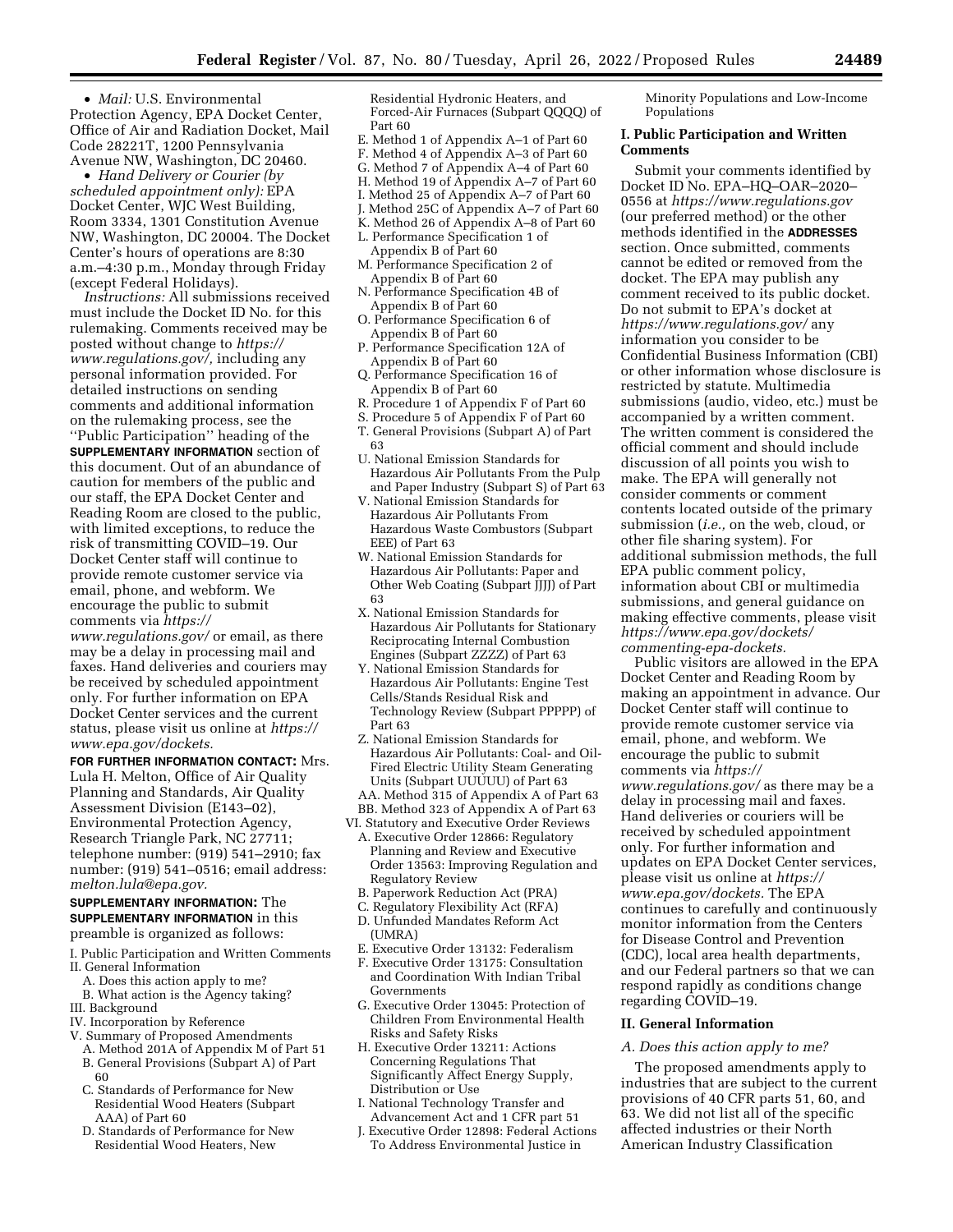• *Mail:* U.S. Environmental Protection Agency, EPA Docket Center, Office of Air and Radiation Docket, Mail Code 28221T, 1200 Pennsylvania Avenue NW, Washington, DC 20460.

• *Hand Delivery or Courier (by scheduled appointment only):* EPA Docket Center, WJC West Building, Room 3334, 1301 Constitution Avenue NW, Washington, DC 20004. The Docket Center's hours of operations are 8:30 a.m.–4:30 p.m., Monday through Friday (except Federal Holidays).

*Instructions:* All submissions received must include the Docket ID No. for this rulemaking. Comments received may be posted without change to *[https://](https://www.regulations.gov/) [www.regulations.gov/,](https://www.regulations.gov/)* including any personal information provided. For detailed instructions on sending comments and additional information on the rulemaking process, see the ''Public Participation'' heading of the **SUPPLEMENTARY INFORMATION** section of this document. Out of an abundance of caution for members of the public and our staff, the EPA Docket Center and Reading Room are closed to the public, with limited exceptions, to reduce the risk of transmitting COVID–19. Our

Docket Center staff will continue to provide remote customer service via email, phone, and webform. We encourage the public to submit comments via *[https://](https://www.regulations.gov/)*

*[www.regulations.gov/](https://www.regulations.gov/)* or email, as there may be a delay in processing mail and faxes. Hand deliveries and couriers may be received by scheduled appointment only. For further information on EPA Docket Center services and the current status, please visit us online at *[https://](https://www.epa.gov/dockets) [www.epa.gov/dockets.](https://www.epa.gov/dockets)* 

## **FOR FURTHER INFORMATION CONTACT:** Mrs.

Lula H. Melton, Office of Air Quality Planning and Standards, Air Quality Assessment Division (E143–02), Environmental Protection Agency, Research Triangle Park, NC 27711; telephone number: (919) 541–2910; fax number: (919) 541–0516; email address: *[melton.lula@epa.gov.](mailto:melton.lula@epa.gov)* 

**SUPPLEMENTARY INFORMATION:** The **SUPPLEMENTARY INFORMATION** in this preamble is organized as follows:

- I. Public Participation and Written Comments II. General Information
	- A. Does this action apply to me?
- B. What action is the Agency taking?
- III. Background
- IV. Incorporation by Reference
- V. Summary of Proposed Amendments
- A. Method 201A of Appendix M of Part 51 B. General Provisions (Subpart A) of Part 60
- C. Standards of Performance for New Residential Wood Heaters (Subpart AAA) of Part 60
- D. Standards of Performance for New Residential Wood Heaters, New

Residential Hydronic Heaters, and Forced-Air Furnaces (Subpart QQQQ) of Part 60

- E. Method 1 of Appendix A–1 of Part 60
- F. Method 4 of Appendix A–3 of Part 60
- G. Method 7 of Appendix A–4 of Part 60 H. Method 19 of Appendix A–7 of Part 60
- I. Method 25 of Appendix A–7 of Part 60
- J. Method 25C of Appendix A–7 of Part 60
- K. Method 26 of Appendix A–8 of Part 60
- L. Performance Specification 1 of
- Appendix B of Part 60
- M. Performance Specification 2 of Appendix B of Part 60
- N. Performance Specification 4B of Appendix B of Part 60
- O. Performance Specification 6 of Appendix B of Part 60
- P. Performance Specification 12A of Appendix B of Part 60
- Q. Performance Specification 16 of Appendix B of Part 60
- R. Procedure 1 of Appendix F of Part 60
- S. Procedure 5 of Appendix F of Part 60
- T. General Provisions (Subpart A) of Part 63
- U. National Emission Standards for Hazardous Air Pollutants From the Pulp and Paper Industry (Subpart S) of Part 63
- V. National Emission Standards for Hazardous Air Pollutants From Hazardous Waste Combustors (Subpart EEE) of Part 63
- W. National Emission Standards for Hazardous Air Pollutants: Paper and Other Web Coating (Subpart JJJJ) of Part 63
- X. National Emission Standards for Hazardous Air Pollutants for Stationary Reciprocating Internal Combustion Engines (Subpart ZZZZ) of Part 63
- Y. National Emission Standards for Hazardous Air Pollutants: Engine Test Cells/Stands Residual Risk and Technology Review (Subpart PPPPP) of Part 63
- Z. National Emission Standards for Hazardous Air Pollutants: Coal- and Oil-Fired Electric Utility Steam Generating Units (Subpart UUUUU) of Part 63 AA. Method 315 of Appendix A of Part 63
- BB. Method 323 of Appendix A of Part 63
- VI. Statutory and Executive Order Reviews
	- A. Executive Order 12866: Regulatory Planning and Review and Executive Order 13563: Improving Regulation and Regulatory Review
	- B. Paperwork Reduction Act (PRA)
	- C. Regulatory Flexibility Act (RFA)
	- D. Unfunded Mandates Reform Act (UMRA)
	- E. Executive Order 13132: Federalism
	- F. Executive Order 13175: Consultation and Coordination With Indian Tribal Governments
	- G. Executive Order 13045: Protection of Children From Environmental Health Risks and Safety Risks
	- H. Executive Order 13211: Actions Concerning Regulations That Significantly Affect Energy Supply, Distribution or Use
	- I. National Technology Transfer and Advancement Act and 1 CFR part 51
	- J. Executive Order 12898: Federal Actions To Address Environmental Justice in

Minority Populations and Low-Income Populations

## **I. Public Participation and Written Comments**

Submit your comments identified by Docket ID No. EPA–HQ–OAR–2020– 0556 at *<https://www.regulations.gov>* (our preferred method) or the other methods identified in the **ADDRESSES** section. Once submitted, comments cannot be edited or removed from the docket. The EPA may publish any comment received to its public docket. Do not submit to EPA's docket at *<https://www.regulations.gov/>*any information you consider to be Confidential Business Information (CBI) or other information whose disclosure is restricted by statute. Multimedia submissions (audio, video, etc.) must be accompanied by a written comment. The written comment is considered the official comment and should include discussion of all points you wish to make. The EPA will generally not consider comments or comment contents located outside of the primary submission (*i.e.,* on the web, cloud, or other file sharing system). For additional submission methods, the full EPA public comment policy, information about CBI or multimedia submissions, and general guidance on making effective comments, please visit *[https://www.epa.gov/dockets/](https://www.epa.gov/dockets/commenting-epa-dockets)  [commenting-epa-dockets.](https://www.epa.gov/dockets/commenting-epa-dockets)* 

Public visitors are allowed in the EPA Docket Center and Reading Room by making an appointment in advance. Our Docket Center staff will continue to provide remote customer service via email, phone, and webform. We encourage the public to submit comments via *[https://](https://www.regulations.gov/) [www.regulations.gov/](https://www.regulations.gov/)* as there may be a delay in processing mail and faxes. Hand deliveries or couriers will be received by scheduled appointment only. For further information and updates on EPA Docket Center services, please visit us online at *[https://](https://www.epa.gov/dockets) [www.epa.gov/dockets.](https://www.epa.gov/dockets)* The EPA continues to carefully and continuously monitor information from the Centers for Disease Control and Prevention (CDC), local area health departments, and our Federal partners so that we can respond rapidly as conditions change regarding COVID–19.

# **II. General Information**

# *A. Does this action apply to me?*

The proposed amendments apply to industries that are subject to the current provisions of 40 CFR parts 51, 60, and 63. We did not list all of the specific affected industries or their North American Industry Classification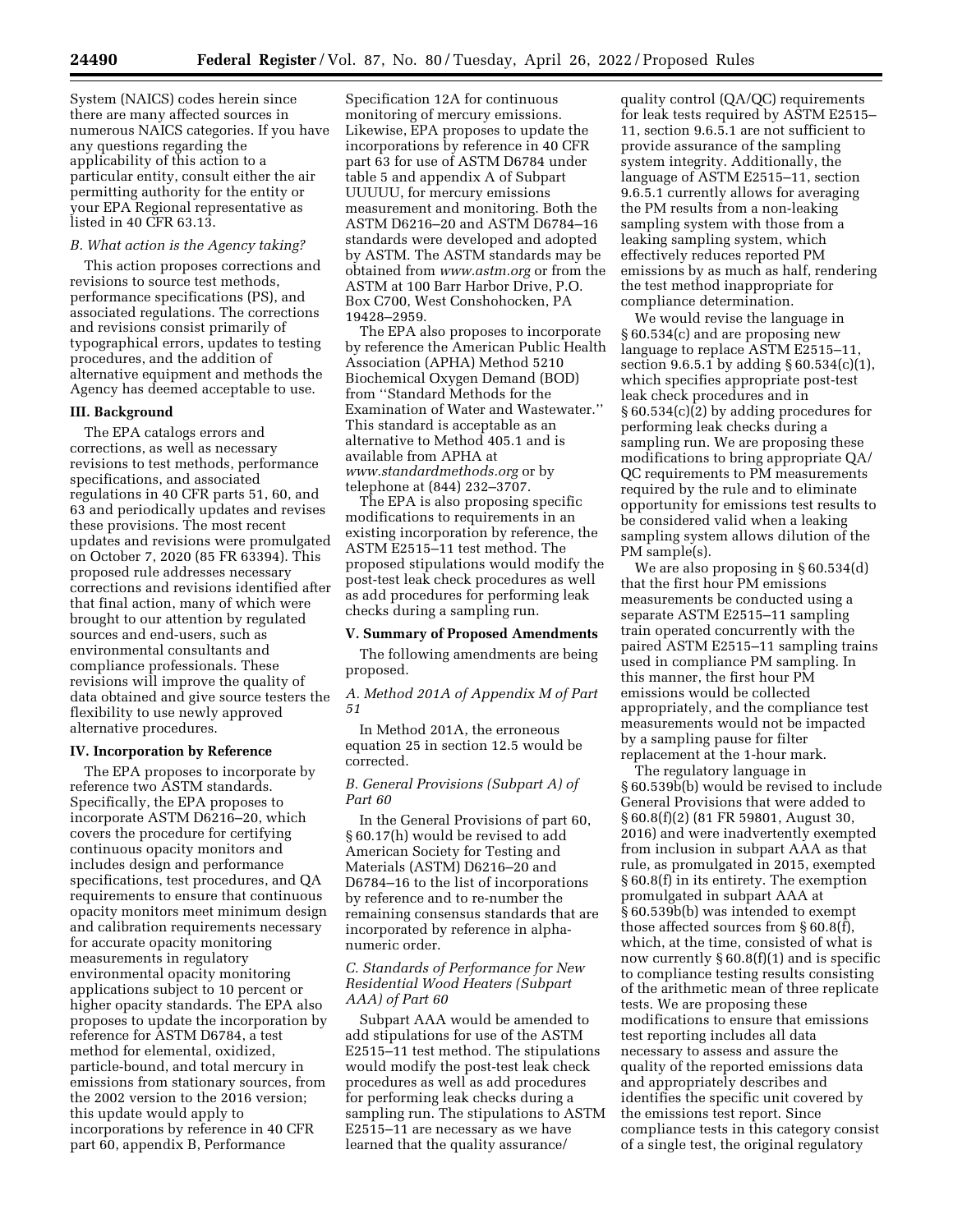System (NAICS) codes herein since there are many affected sources in numerous NAICS categories. If you have any questions regarding the applicability of this action to a particular entity, consult either the air permitting authority for the entity or your EPA Regional representative as listed in 40 CFR 63.13.

## *B. What action is the Agency taking?*

This action proposes corrections and revisions to source test methods, performance specifications (PS), and associated regulations. The corrections and revisions consist primarily of typographical errors, updates to testing procedures, and the addition of alternative equipment and methods the Agency has deemed acceptable to use.

### **III. Background**

The EPA catalogs errors and corrections, as well as necessary revisions to test methods, performance specifications, and associated regulations in 40 CFR parts 51, 60, and 63 and periodically updates and revises these provisions. The most recent updates and revisions were promulgated on October 7, 2020 (85 FR 63394). This proposed rule addresses necessary corrections and revisions identified after that final action, many of which were brought to our attention by regulated sources and end-users, such as environmental consultants and compliance professionals. These revisions will improve the quality of data obtained and give source testers the flexibility to use newly approved alternative procedures.

### **IV. Incorporation by Reference**

The EPA proposes to incorporate by reference two ASTM standards. Specifically, the EPA proposes to incorporate ASTM D6216–20, which covers the procedure for certifying continuous opacity monitors and includes design and performance specifications, test procedures, and QA requirements to ensure that continuous opacity monitors meet minimum design and calibration requirements necessary for accurate opacity monitoring measurements in regulatory environmental opacity monitoring applications subject to 10 percent or higher opacity standards. The EPA also proposes to update the incorporation by reference for ASTM D6784, a test method for elemental, oxidized, particle-bound, and total mercury in emissions from stationary sources, from the 2002 version to the 2016 version; this update would apply to incorporations by reference in 40 CFR part 60, appendix B, Performance

Specification 12A for continuous monitoring of mercury emissions. Likewise, EPA proposes to update the incorporations by reference in 40 CFR part 63 for use of ASTM D6784 under table 5 and appendix A of Subpart UUUUU, for mercury emissions measurement and monitoring. Both the ASTM D6216–20 and ASTM D6784–16 standards were developed and adopted by ASTM. The ASTM standards may be obtained from *[www.astm.org](http://www.astm.org)* or from the ASTM at 100 Barr Harbor Drive, P.O. Box C700, West Conshohocken, PA 19428–2959.

The EPA also proposes to incorporate by reference the American Public Health Association (APHA) Method 5210 Biochemical Oxygen Demand (BOD) from ''Standard Methods for the Examination of Water and Wastewater.'' This standard is acceptable as an alternative to Method 405.1 and is available from APHA at *[www.standardmethods.org](http://www.standardmethods.org)* or by telephone at (844) 232–3707.

The EPA is also proposing specific modifications to requirements in an existing incorporation by reference, the ASTM E2515–11 test method. The proposed stipulations would modify the post-test leak check procedures as well as add procedures for performing leak checks during a sampling run.

#### **V. Summary of Proposed Amendments**

The following amendments are being proposed.

*A. Method 201A of Appendix M of Part 51* 

In Method 201A, the erroneous equation 25 in section 12.5 would be corrected.

# *B. General Provisions (Subpart A) of Part 60*

In the General Provisions of part 60, § 60.17(h) would be revised to add American Society for Testing and Materials (ASTM) D6216–20 and D6784–16 to the list of incorporations by reference and to re-number the remaining consensus standards that are incorporated by reference in alphanumeric order.

## *C. Standards of Performance for New Residential Wood Heaters (Subpart AAA) of Part 60*

Subpart AAA would be amended to add stipulations for use of the ASTM E2515–11 test method. The stipulations would modify the post-test leak check procedures as well as add procedures for performing leak checks during a sampling run. The stipulations to ASTM E2515–11 are necessary as we have learned that the quality assurance/

quality control (QA/QC) requirements for leak tests required by ASTM E2515– 11, section 9.6.5.1 are not sufficient to provide assurance of the sampling system integrity. Additionally, the language of ASTM E2515–11, section 9.6.5.1 currently allows for averaging the PM results from a non-leaking sampling system with those from a leaking sampling system, which effectively reduces reported PM emissions by as much as half, rendering the test method inappropriate for compliance determination.

We would revise the language in § 60.534(c) and are proposing new language to replace ASTM E2515–11, section 9.6.5.1 by adding  $\S 60.534(c)(1)$ , which specifies appropriate post-test leak check procedures and in § 60.534(c)(2) by adding procedures for performing leak checks during a sampling run. We are proposing these modifications to bring appropriate QA/ QC requirements to PM measurements required by the rule and to eliminate opportunity for emissions test results to be considered valid when a leaking sampling system allows dilution of the PM sample(s).

We are also proposing in § 60.534(d) that the first hour PM emissions measurements be conducted using a separate ASTM E2515–11 sampling train operated concurrently with the paired ASTM E2515–11 sampling trains used in compliance PM sampling. In this manner, the first hour PM emissions would be collected appropriately, and the compliance test measurements would not be impacted by a sampling pause for filter replacement at the 1-hour mark.

The regulatory language in § 60.539b(b) would be revised to include General Provisions that were added to § 60.8(f)(2) (81 FR 59801, August 30, 2016) and were inadvertently exempted from inclusion in subpart AAA as that rule, as promulgated in 2015, exempted § 60.8(f) in its entirety. The exemption promulgated in subpart AAA at § 60.539b(b) was intended to exempt those affected sources from § 60.8(f), which, at the time, consisted of what is now currently § 60.8(f)(1) and is specific to compliance testing results consisting of the arithmetic mean of three replicate tests. We are proposing these modifications to ensure that emissions test reporting includes all data necessary to assess and assure the quality of the reported emissions data and appropriately describes and identifies the specific unit covered by the emissions test report. Since compliance tests in this category consist of a single test, the original regulatory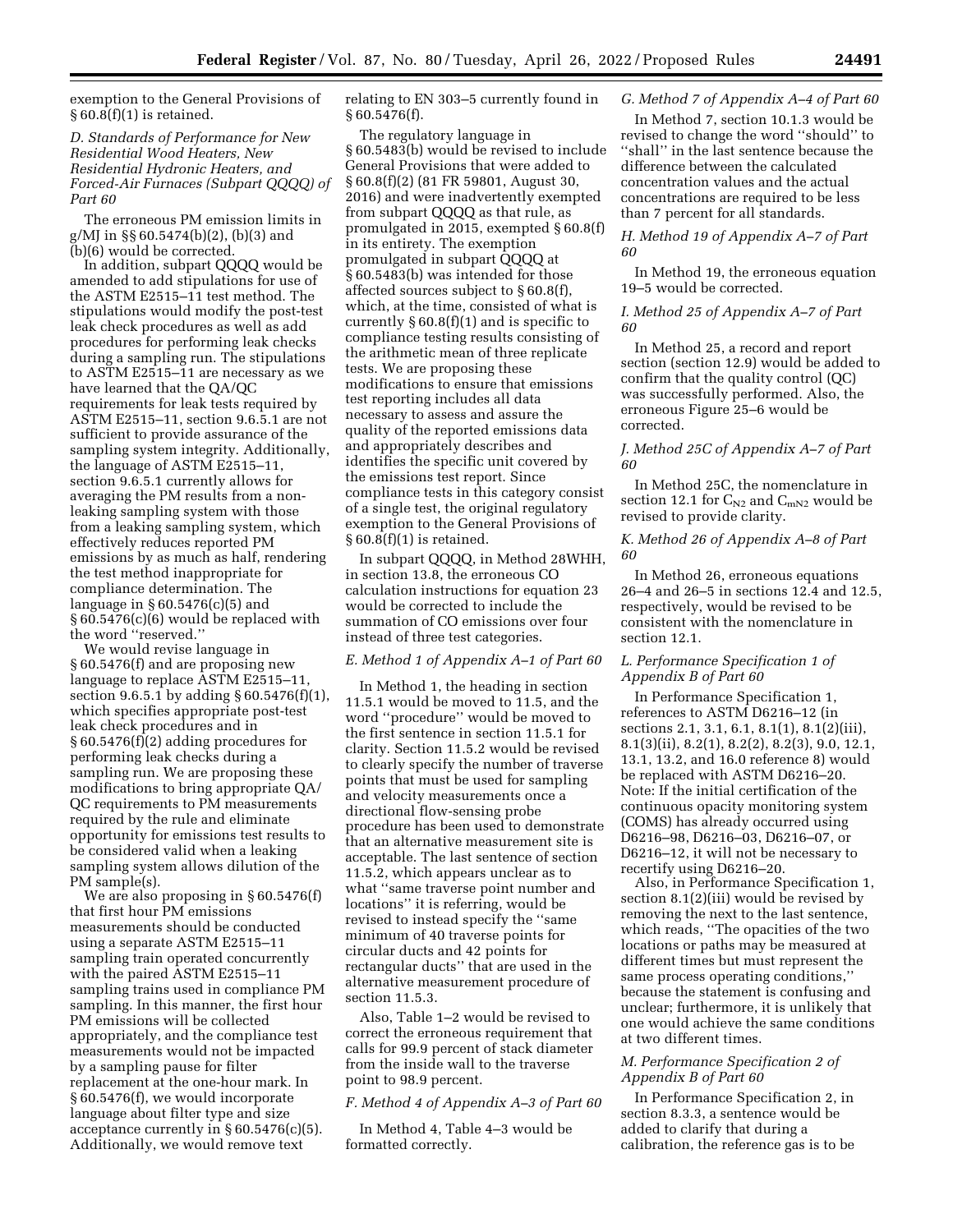exemption to the General Provisions of  $§ 60.8(f)(1)$  is retained.

*D. Standards of Performance for New Residential Wood Heaters, New Residential Hydronic Heaters, and Forced-Air Furnaces (Subpart QQQQ) of Part 60* 

The erroneous PM emission limits in g/MJ in §§ 60.5474(b)(2), (b)(3) and (b)(6) would be corrected.

In addition, subpart QQQQ would be amended to add stipulations for use of the ASTM E2515–11 test method. The stipulations would modify the post-test leak check procedures as well as add procedures for performing leak checks during a sampling run. The stipulations to ASTM E2515–11 are necessary as we have learned that the QA/QC requirements for leak tests required by ASTM E2515–11, section 9.6.5.1 are not sufficient to provide assurance of the sampling system integrity. Additionally, the language of ASTM E2515–11, section 9.6.5.1 currently allows for averaging the PM results from a nonleaking sampling system with those from a leaking sampling system, which effectively reduces reported PM emissions by as much as half, rendering the test method inappropriate for compliance determination. The language in § 60.5476(c)(5) and § 60.5476(c)(6) would be replaced with the word ''reserved.''

We would revise language in § 60.5476(f) and are proposing new language to replace ASTM E2515–11, section 9.6.5.1 by adding § 60.5476(f)(1), which specifies appropriate post-test leak check procedures and in § 60.5476(f)(2) adding procedures for performing leak checks during a sampling run. We are proposing these modifications to bring appropriate QA/ QC requirements to PM measurements required by the rule and eliminate opportunity for emissions test results to be considered valid when a leaking sampling system allows dilution of the PM sample(s).

We are also proposing in § 60.5476(f) that first hour PM emissions measurements should be conducted using a separate ASTM E2515–11 sampling train operated concurrently with the paired ASTM E2515–11 sampling trains used in compliance PM sampling. In this manner, the first hour PM emissions will be collected appropriately, and the compliance test measurements would not be impacted by a sampling pause for filter replacement at the one-hour mark. In § 60.5476(f), we would incorporate language about filter type and size acceptance currently in  $\S 60.5476(c)(5)$ . Additionally, we would remove text

relating to EN 303–5 currently found in § 60.5476(f).

The regulatory language in § 60.5483(b) would be revised to include General Provisions that were added to § 60.8(f)(2) (81 FR 59801, August 30, 2016) and were inadvertently exempted from subpart QQQQ as that rule, as promulgated in 2015, exempted § 60.8(f) in its entirety. The exemption promulgated in subpart QQQQ at § 60.5483(b) was intended for those affected sources subject to § 60.8(f), which, at the time, consisted of what is currently  $\S 60.8(f)(1)$  and is specific to compliance testing results consisting of the arithmetic mean of three replicate tests. We are proposing these modifications to ensure that emissions test reporting includes all data necessary to assess and assure the quality of the reported emissions data and appropriately describes and identifies the specific unit covered by the emissions test report. Since compliance tests in this category consist of a single test, the original regulatory exemption to the General Provisions of  $§ 60.8(f)(1)$  is retained.

In subpart QQQQ, in Method 28WHH, in section 13.8, the erroneous CO calculation instructions for equation 23 would be corrected to include the summation of CO emissions over four instead of three test categories.

# *E. Method 1 of Appendix A–1 of Part 60*

In Method 1, the heading in section 11.5.1 would be moved to 11.5, and the word ''procedure'' would be moved to the first sentence in section 11.5.1 for clarity. Section 11.5.2 would be revised to clearly specify the number of traverse points that must be used for sampling and velocity measurements once a directional flow-sensing probe procedure has been used to demonstrate that an alternative measurement site is acceptable. The last sentence of section 11.5.2, which appears unclear as to what ''same traverse point number and locations'' it is referring, would be revised to instead specify the ''same minimum of 40 traverse points for circular ducts and 42 points for rectangular ducts'' that are used in the alternative measurement procedure of section 11.5.3.

Also, Table 1–2 would be revised to correct the erroneous requirement that calls for 99.9 percent of stack diameter from the inside wall to the traverse point to 98.9 percent.

*F. Method 4 of Appendix A–3 of Part 60* 

In Method 4, Table 4–3 would be formatted correctly.

# *G. Method 7 of Appendix A–4 of Part 60*

In Method 7, section 10.1.3 would be revised to change the word ''should'' to ''shall'' in the last sentence because the difference between the calculated concentration values and the actual concentrations are required to be less than 7 percent for all standards.

## *H. Method 19 of Appendix A–7 of Part 60*

In Method 19, the erroneous equation 19–5 would be corrected.

*I. Method 25 of Appendix A–7 of Part 60* 

In Method 25, a record and report section (section 12.9) would be added to confirm that the quality control (QC) was successfully performed. Also, the erroneous Figure 25–6 would be corrected.

### *J. Method 25C of Appendix A–7 of Part 60*

In Method 25C, the nomenclature in section 12.1 for  $C_{N2}$  and  $C_{mN2}$  would be revised to provide clarity.

### *K. Method 26 of Appendix A–8 of Part 60*

In Method 26, erroneous equations 26–4 and 26–5 in sections 12.4 and 12.5, respectively, would be revised to be consistent with the nomenclature in section 12.1.

## *L. Performance Specification 1 of Appendix B of Part 60*

In Performance Specification 1, references to ASTM D6216–12 (in sections 2.1, 3.1, 6.1, 8.1(1), 8.1(2)(iii), 8.1(3)(ii), 8.2(1), 8.2(2), 8.2(3), 9.0, 12.1, 13.1, 13.2, and 16.0 reference 8) would be replaced with ASTM D6216–20. Note: If the initial certification of the continuous opacity monitoring system (COMS) has already occurred using D6216–98, D6216–03, D6216–07, or D6216–12, it will not be necessary to recertify using D6216–20.

Also, in Performance Specification 1, section 8.1(2)(iii) would be revised by removing the next to the last sentence, which reads, ''The opacities of the two locations or paths may be measured at different times but must represent the same process operating conditions,'' because the statement is confusing and unclear; furthermore, it is unlikely that one would achieve the same conditions at two different times.

## *M. Performance Specification 2 of Appendix B of Part 60*

In Performance Specification 2, in section 8.3.3, a sentence would be added to clarify that during a calibration, the reference gas is to be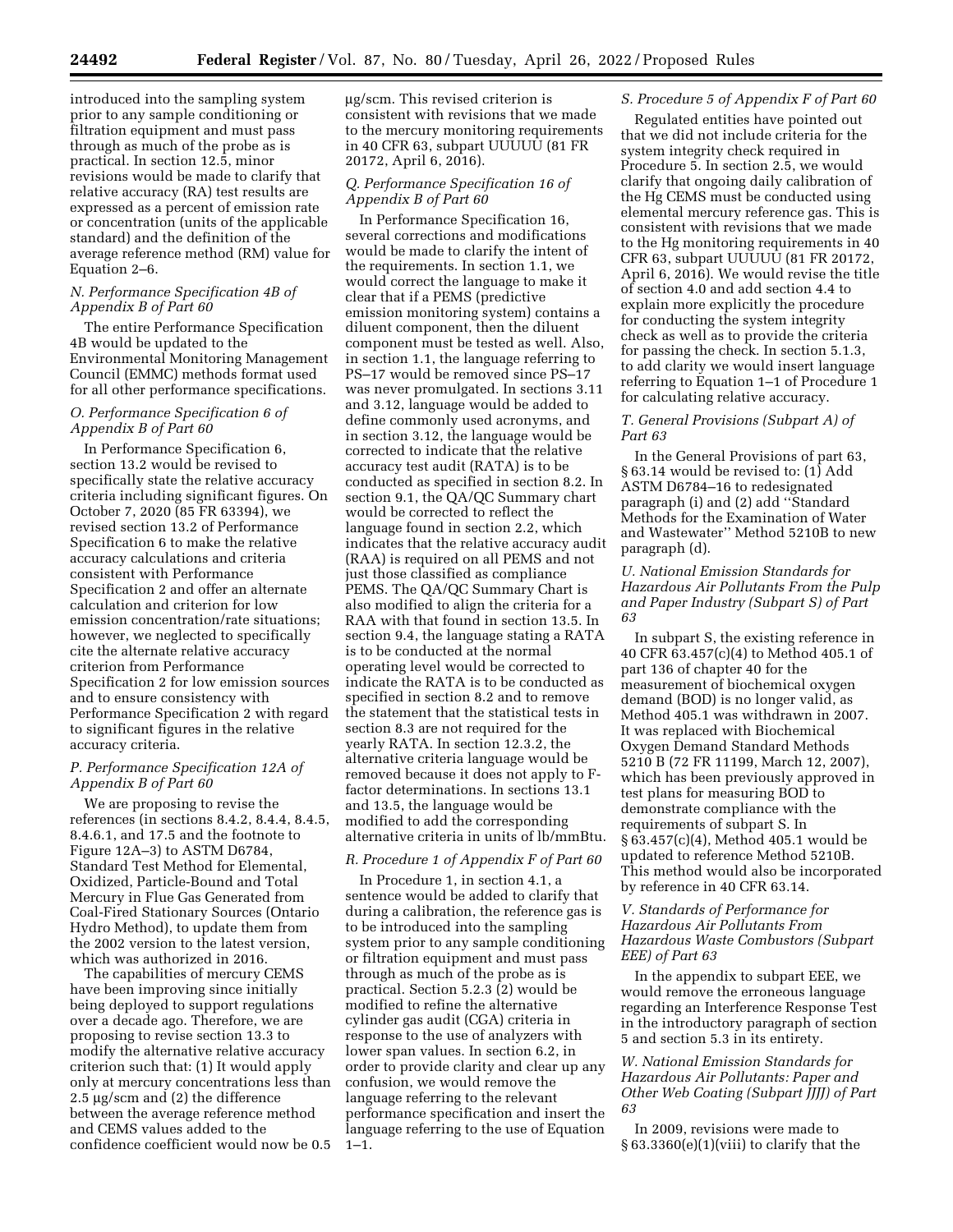introduced into the sampling system prior to any sample conditioning or filtration equipment and must pass through as much of the probe as is practical. In section 12.5, minor revisions would be made to clarify that relative accuracy (RA) test results are expressed as a percent of emission rate or concentration (units of the applicable standard) and the definition of the average reference method (RM) value for Equation 2–6.

### *N. Performance Specification 4B of Appendix B of Part 60*

The entire Performance Specification 4B would be updated to the Environmental Monitoring Management Council (EMMC) methods format used for all other performance specifications.

## *O. Performance Specification 6 of Appendix B of Part 60*

In Performance Specification 6, section 13.2 would be revised to specifically state the relative accuracy criteria including significant figures. On October 7, 2020 (85 FR 63394), we revised section 13.2 of Performance Specification 6 to make the relative accuracy calculations and criteria consistent with Performance Specification 2 and offer an alternate calculation and criterion for low emission concentration/rate situations; however, we neglected to specifically cite the alternate relative accuracy criterion from Performance Specification 2 for low emission sources and to ensure consistency with Performance Specification 2 with regard to significant figures in the relative accuracy criteria.

## *P. Performance Specification 12A of Appendix B of Part 60*

We are proposing to revise the references (in sections 8.4.2, 8.4.4, 8.4.5, 8.4.6.1, and 17.5 and the footnote to Figure 12A–3) to ASTM D6784, Standard Test Method for Elemental, Oxidized, Particle-Bound and Total Mercury in Flue Gas Generated from Coal-Fired Stationary Sources (Ontario Hydro Method), to update them from the 2002 version to the latest version, which was authorized in 2016.

The capabilities of mercury CEMS have been improving since initially being deployed to support regulations over a decade ago. Therefore, we are proposing to revise section 13.3 to modify the alternative relative accuracy criterion such that: (1) It would apply only at mercury concentrations less than 2.5  $\mu$ g/scm and (2) the difference between the average reference method and CEMS values added to the confidence coefficient would now be 0.5 mg/scm. This revised criterion is consistent with revisions that we made to the mercury monitoring requirements in 40 CFR 63, subpart UUUUU (81 FR 20172, April 6, 2016).

# *Q. Performance Specification 16 of Appendix B of Part 60*

In Performance Specification 16, several corrections and modifications would be made to clarify the intent of the requirements. In section 1.1, we would correct the language to make it clear that if a PEMS (predictive emission monitoring system) contains a diluent component, then the diluent component must be tested as well. Also, in section 1.1, the language referring to PS–17 would be removed since PS–17 was never promulgated. In sections 3.11 and 3.12, language would be added to define commonly used acronyms, and in section 3.12, the language would be corrected to indicate that the relative accuracy test audit (RATA) is to be conducted as specified in section 8.2. In section 9.1, the QA/QC Summary chart would be corrected to reflect the language found in section 2.2, which indicates that the relative accuracy audit (RAA) is required on all PEMS and not just those classified as compliance PEMS. The QA/QC Summary Chart is also modified to align the criteria for a RAA with that found in section 13.5. In section 9.4, the language stating a RATA is to be conducted at the normal operating level would be corrected to indicate the RATA is to be conducted as specified in section 8.2 and to remove the statement that the statistical tests in section 8.3 are not required for the yearly RATA. In section 12.3.2, the alternative criteria language would be removed because it does not apply to Ffactor determinations. In sections 13.1 and 13.5, the language would be modified to add the corresponding alternative criteria in units of lb/mmBtu.

## *R. Procedure 1 of Appendix F of Part 60*

In Procedure 1, in section 4.1, a sentence would be added to clarify that during a calibration, the reference gas is to be introduced into the sampling system prior to any sample conditioning or filtration equipment and must pass through as much of the probe as is practical. Section 5.2.3 (2) would be modified to refine the alternative cylinder gas audit (CGA) criteria in response to the use of analyzers with lower span values. In section 6.2, in order to provide clarity and clear up any confusion, we would remove the language referring to the relevant performance specification and insert the language referring to the use of Equation  $1 - 1.$ 

# *S. Procedure 5 of Appendix F of Part 60*

Regulated entities have pointed out that we did not include criteria for the system integrity check required in Procedure 5. In section 2.5, we would clarify that ongoing daily calibration of the Hg CEMS must be conducted using elemental mercury reference gas. This is consistent with revisions that we made to the Hg monitoring requirements in 40 CFR 63, subpart UUUUU (81 FR 20172, April 6, 2016). We would revise the title of section 4.0 and add section 4.4 to explain more explicitly the procedure for conducting the system integrity check as well as to provide the criteria for passing the check. In section 5.1.3, to add clarity we would insert language referring to Equation 1–1 of Procedure 1 for calculating relative accuracy.

## *T. General Provisions (Subpart A) of Part 63*

In the General Provisions of part 63, § 63.14 would be revised to: (1) Add ASTM D6784–16 to redesignated paragraph (i) and (2) add ''Standard Methods for the Examination of Water and Wastewater'' Method 5210B to new paragraph (d).

## *U. National Emission Standards for Hazardous Air Pollutants From the Pulp and Paper Industry (Subpart S) of Part 63*

In subpart S, the existing reference in 40 CFR 63.457(c)(4) to Method 405.1 of part 136 of chapter 40 for the measurement of biochemical oxygen demand (BOD) is no longer valid, as Method 405.1 was withdrawn in 2007. It was replaced with Biochemical Oxygen Demand Standard Methods 5210 B (72 FR 11199, March 12, 2007), which has been previously approved in test plans for measuring BOD to demonstrate compliance with the requirements of subpart S. In § 63.457(c)(4), Method 405.1 would be updated to reference Method 5210B. This method would also be incorporated by reference in 40 CFR 63.14.

## *V. Standards of Performance for Hazardous Air Pollutants From Hazardous Waste Combustors (Subpart EEE) of Part 63*

In the appendix to subpart EEE, we would remove the erroneous language regarding an Interference Response Test in the introductory paragraph of section 5 and section 5.3 in its entirety.

# *W. National Emission Standards for Hazardous Air Pollutants: Paper and Other Web Coating (Subpart JJJJ) of Part 63*

In 2009, revisions were made to § 63.3360(e)(1)(viii) to clarify that the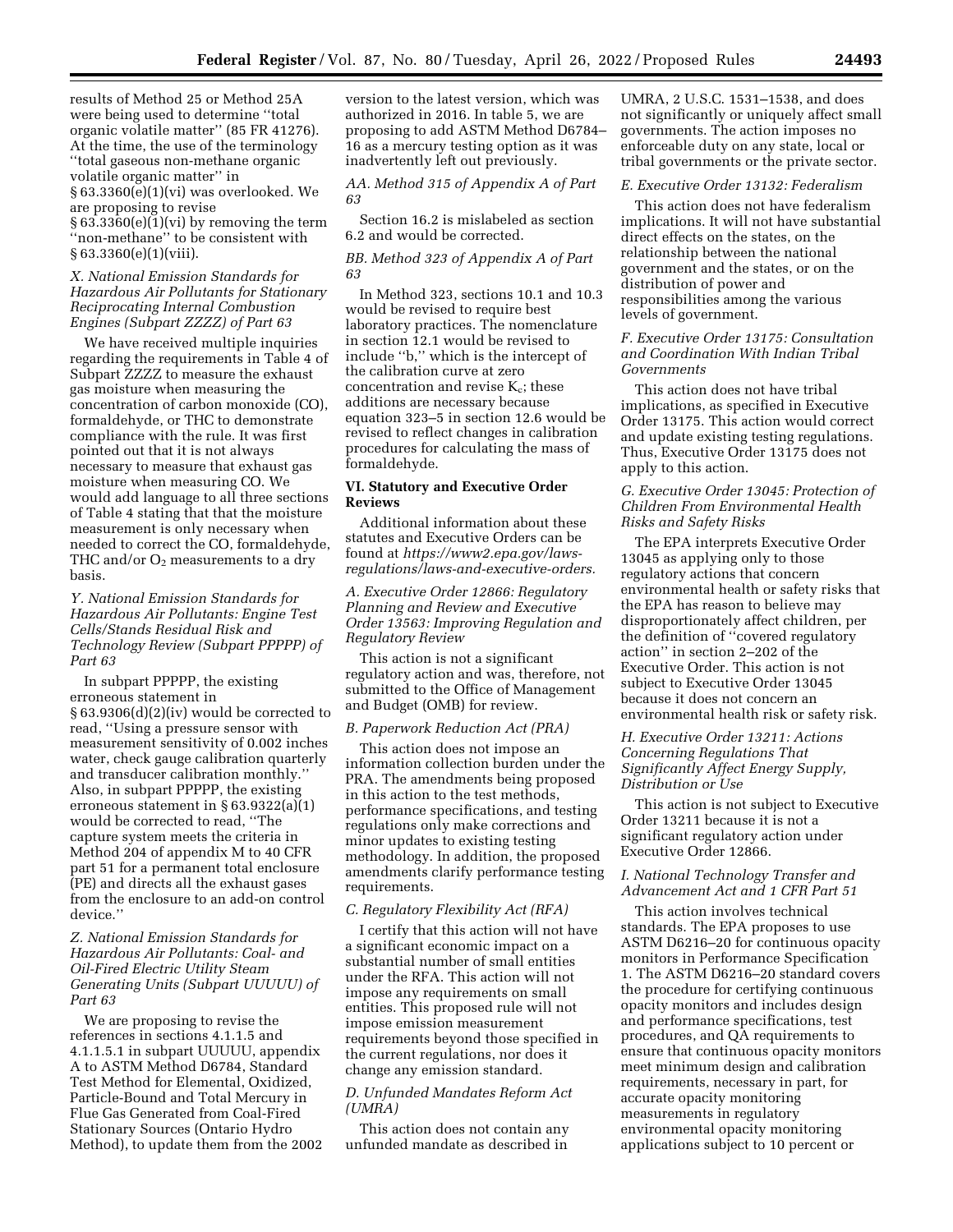results of Method 25 or Method 25A were being used to determine ''total organic volatile matter'' (85 FR 41276). At the time, the use of the terminology ''total gaseous non-methane organic volatile organic matter'' in § 63.3360(e)(1)(vi) was overlooked. We are proposing to revise § 63.3360(e)(1)(vi) by removing the term ''non-methane'' to be consistent with § 63.3360(e)(1)(viii).

## *X. National Emission Standards for Hazardous Air Pollutants for Stationary Reciprocating Internal Combustion Engines (Subpart ZZZZ) of Part 63*

We have received multiple inquiries regarding the requirements in Table 4 of Subpart ZZZZ to measure the exhaust gas moisture when measuring the concentration of carbon monoxide (CO), formaldehyde, or THC to demonstrate compliance with the rule. It was first pointed out that it is not always necessary to measure that exhaust gas moisture when measuring CO. We would add language to all three sections of Table 4 stating that that the moisture measurement is only necessary when needed to correct the CO, formaldehyde, THC and/or  $O_2$  measurements to a dry basis.

## *Y. National Emission Standards for Hazardous Air Pollutants: Engine Test Cells/Stands Residual Risk and Technology Review (Subpart PPPPP) of Part 63*

In subpart PPPPP, the existing erroneous statement in § 63.9306(d)(2)(iv) would be corrected to read, ''Using a pressure sensor with measurement sensitivity of 0.002 inches water, check gauge calibration quarterly and transducer calibration monthly.'' Also, in subpart PPPPP, the existing erroneous statement in § 63.9322(a)(1) would be corrected to read, ''The capture system meets the criteria in Method 204 of appendix M to 40 CFR part 51 for a permanent total enclosure (PE) and directs all the exhaust gases from the enclosure to an add-on control device.''

## *Z. National Emission Standards for Hazardous Air Pollutants: Coal- and Oil-Fired Electric Utility Steam Generating Units (Subpart UUUUU) of Part 63*

We are proposing to revise the references in sections 4.1.1.5 and 4.1.1.5.1 in subpart UUUUU, appendix A to ASTM Method D6784, Standard Test Method for Elemental, Oxidized, Particle-Bound and Total Mercury in Flue Gas Generated from Coal-Fired Stationary Sources (Ontario Hydro Method), to update them from the 2002 version to the latest version, which was authorized in 2016. In table 5, we are proposing to add ASTM Method D6784– 16 as a mercury testing option as it was inadvertently left out previously.

*AA. Method 315 of Appendix A of Part 63* 

Section 16.2 is mislabeled as section 6.2 and would be corrected.

## *BB. Method 323 of Appendix A of Part 63*

In Method 323, sections 10.1 and 10.3 would be revised to require best laboratory practices. The nomenclature in section 12.1 would be revised to include ''b,'' which is the intercept of the calibration curve at zero concentration and revise  $K_c$ ; these additions are necessary because equation 323–5 in section 12.6 would be revised to reflect changes in calibration procedures for calculating the mass of formaldehyde.

## **VI. Statutory and Executive Order Reviews**

Additional information about these statutes and Executive Orders can be found at *[https://www2.epa.gov/laws](https://www2.epa.gov/laws-regulations/laws-and-executive-orders)[regulations/laws-and-executive-orders.](https://www2.epa.gov/laws-regulations/laws-and-executive-orders)* 

*A. Executive Order 12866: Regulatory Planning and Review and Executive Order 13563: Improving Regulation and Regulatory Review* 

This action is not a significant regulatory action and was, therefore, not submitted to the Office of Management and Budget (OMB) for review.

### *B. Paperwork Reduction Act (PRA)*

This action does not impose an information collection burden under the PRA. The amendments being proposed in this action to the test methods, performance specifications, and testing regulations only make corrections and minor updates to existing testing methodology. In addition, the proposed amendments clarify performance testing requirements.

## *C. Regulatory Flexibility Act (RFA)*

I certify that this action will not have a significant economic impact on a substantial number of small entities under the RFA. This action will not impose any requirements on small entities. This proposed rule will not impose emission measurement requirements beyond those specified in the current regulations, nor does it change any emission standard.

### *D. Unfunded Mandates Reform Act (UMRA)*

This action does not contain any unfunded mandate as described in

UMRA, 2 U.S.C. 1531–1538, and does not significantly or uniquely affect small governments. The action imposes no enforceable duty on any state, local or tribal governments or the private sector.

### *E. Executive Order 13132: Federalism*

This action does not have federalism implications. It will not have substantial direct effects on the states, on the relationship between the national government and the states, or on the distribution of power and responsibilities among the various levels of government.

## *F. Executive Order 13175: Consultation and Coordination With Indian Tribal Governments*

This action does not have tribal implications, as specified in Executive Order 13175. This action would correct and update existing testing regulations. Thus, Executive Order 13175 does not apply to this action.

## *G. Executive Order 13045: Protection of Children From Environmental Health Risks and Safety Risks*

The EPA interprets Executive Order 13045 as applying only to those regulatory actions that concern environmental health or safety risks that the EPA has reason to believe may disproportionately affect children, per the definition of ''covered regulatory action'' in section 2–202 of the Executive Order. This action is not subject to Executive Order 13045 because it does not concern an environmental health risk or safety risk.

## *H. Executive Order 13211: Actions Concerning Regulations That Significantly Affect Energy Supply, Distribution or Use*

This action is not subject to Executive Order 13211 because it is not a significant regulatory action under Executive Order 12866.

## *I. National Technology Transfer and Advancement Act and 1 CFR Part 51*

This action involves technical standards. The EPA proposes to use ASTM D6216–20 for continuous opacity monitors in Performance Specification 1. The ASTM D6216–20 standard covers the procedure for certifying continuous opacity monitors and includes design and performance specifications, test procedures, and QA requirements to ensure that continuous opacity monitors meet minimum design and calibration requirements, necessary in part, for accurate opacity monitoring measurements in regulatory environmental opacity monitoring applications subject to 10 percent or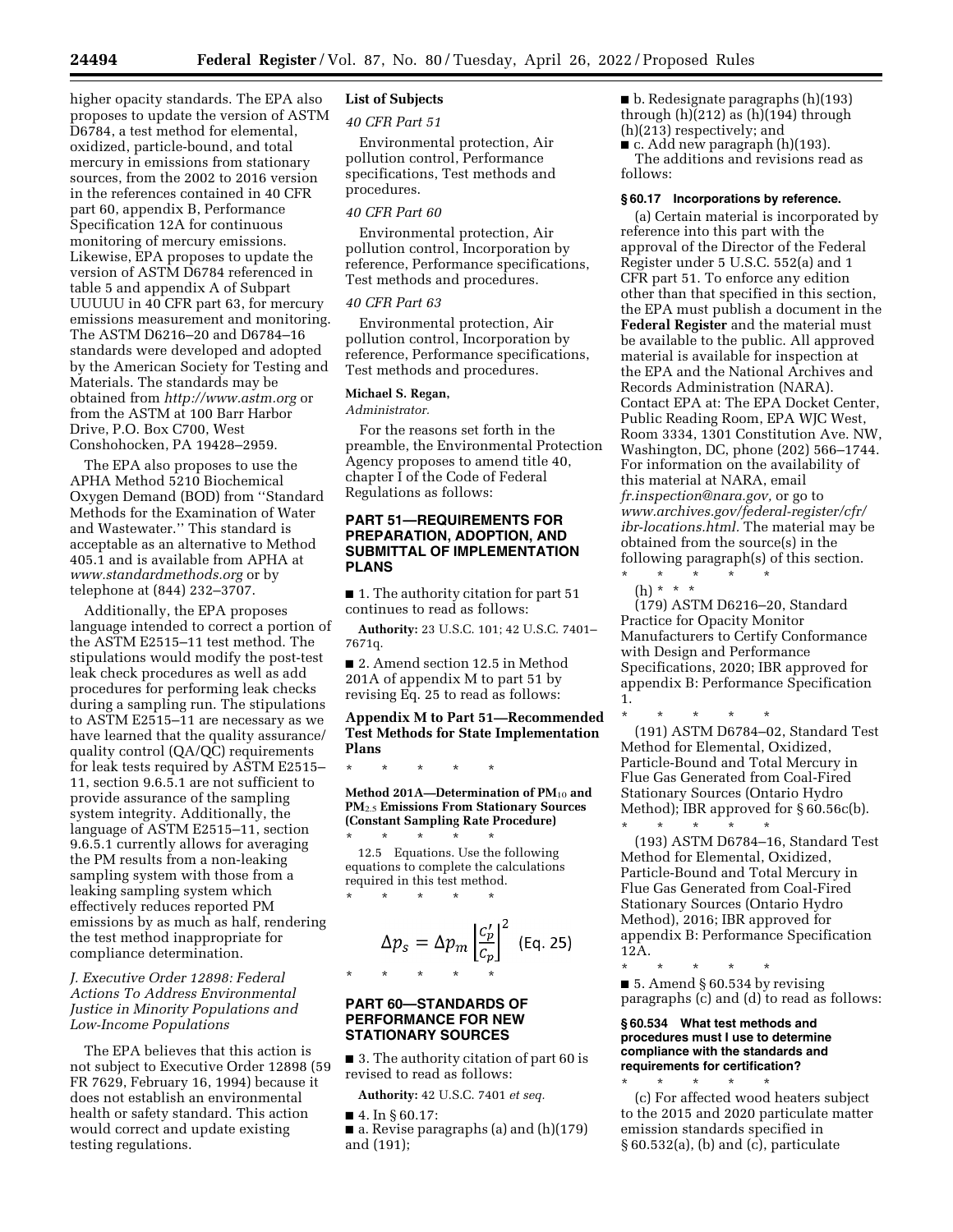higher opacity standards. The EPA also proposes to update the version of ASTM D6784, a test method for elemental, oxidized, particle-bound, and total mercury in emissions from stationary sources, from the 2002 to 2016 version in the references contained in 40 CFR part 60, appendix B, Performance Specification 12A for continuous monitoring of mercury emissions. Likewise, EPA proposes to update the version of ASTM D6784 referenced in table 5 and appendix A of Subpart UUUUU in 40 CFR part 63, for mercury emissions measurement and monitoring. The ASTM D6216–20 and D6784–16 standards were developed and adopted by the American Society for Testing and Materials. The standards may be obtained from *<http://www.astm.org>* or from the ASTM at 100 Barr Harbor Drive, P.O. Box C700, West Conshohocken, PA 19428–2959.

The EPA also proposes to use the APHA Method 5210 Biochemical Oxygen Demand (BOD) from ''Standard Methods for the Examination of Water and Wastewater.'' This standard is acceptable as an alternative to Method 405.1 and is available from APHA at *[www.standardmethods.org](http://www.standardmethods.org)* or by telephone at (844) 232–3707.

Additionally, the EPA proposes language intended to correct a portion of the ASTM E2515–11 test method. The stipulations would modify the post-test leak check procedures as well as add procedures for performing leak checks during a sampling run. The stipulations to ASTM E2515–11 are necessary as we have learned that the quality assurance/ quality control (QA/QC) requirements for leak tests required by ASTM E2515– 11, section 9.6.5.1 are not sufficient to provide assurance of the sampling system integrity. Additionally, the language of ASTM E2515–11, section 9.6.5.1 currently allows for averaging the PM results from a non-leaking sampling system with those from a leaking sampling system which effectively reduces reported PM emissions by as much as half, rendering the test method inappropriate for compliance determination.

## *J. Executive Order 12898: Federal Actions To Address Environmental Justice in Minority Populations and Low-Income Populations*

The EPA believes that this action is not subject to Executive Order 12898 (59 FR 7629, February 16, 1994) because it does not establish an environmental health or safety standard. This action would correct and update existing testing regulations.

# **List of Subjects**

*40 CFR Part 51* 

Environmental protection, Air pollution control, Performance specifications, Test methods and procedures.

### *40 CFR Part 60*

Environmental protection, Air pollution control, Incorporation by reference, Performance specifications, Test methods and procedures.

#### *40 CFR Part 63*

Environmental protection, Air pollution control, Incorporation by reference, Performance specifications, Test methods and procedures.

## **Michael S. Regan,**

## *Administrator.*

For the reasons set forth in the preamble, the Environmental Protection Agency proposes to amend title 40, chapter I of the Code of Federal Regulations as follows:

## **PART 51—REQUIREMENTS FOR PREPARATION, ADOPTION, AND SUBMITTAL OF IMPLEMENTATION PLANS**

■ 1. The authority citation for part 51 continues to read as follows:

**Authority:** 23 U.S.C. 101; 42 U.S.C. 7401– 7671q.

■ 2. Amend section 12.5 in Method 201A of appendix M to part 51 by revising Eq. 25 to read as follows:

## **Appendix M to Part 51—Recommended Test Methods for State Implementation Plans**

**Method 201A—Determination of PM**10 **and PM**2.5 **Emissions From Stationary Sources (Constant Sampling Rate Procedure)**  \* \* \* \* \*

12.5 Equations. Use the following equations to complete the calculations required in this test method.<br> $*$  \* \* \* \* \* \* \* \* \* \*

\* \* \* \* \*

$$
\Delta p_{S} = \Delta p_{m} \left| \frac{c'_{p}}{c_{p}} \right|^{2} \text{ (Eq. 25)}
$$

### **PART 60—STANDARDS OF PERFORMANCE FOR NEW STATIONARY SOURCES**

■ 3. The authority citation of part 60 is revised to read as follows:

**Authority:** 42 U.S.C. 7401 *et seq.* 

■ 4. In § 60.17:

■ a. Revise paragraphs (a) and (h)(179) and (191);

■ b. Redesignate paragraphs (h)(193) through  $(h)(212)$  as  $(h)(194)$  through (h)(213) respectively; and

■ c. Add new paragraph (h)(193). The additions and revisions read as follows:

#### **§ 60.17 Incorporations by reference.**

(a) Certain material is incorporated by reference into this part with the approval of the Director of the Federal Register under 5 U.S.C. 552(a) and 1 CFR part 51. To enforce any edition other than that specified in this section, the EPA must publish a document in the **Federal Register** and the material must be available to the public. All approved material is available for inspection at the EPA and the National Archives and Records Administration (NARA). Contact EPA at: The EPA Docket Center, Public Reading Room, EPA WJC West, Room 3334, 1301 Constitution Ave. NW, Washington, DC, phone (202) 566–1744. For information on the availability of this material at NARA, email *[fr.inspection@nara.gov,](mailto:fr.inspection@nara.gov)* or go to *[www.archives.gov/federal-register/cfr/](http://www.archives.gov/federal-register/cfr/ibr-locations.html)  [ibr-locations.html.](http://www.archives.gov/federal-register/cfr/ibr-locations.html)* The material may be obtained from the source(s) in the following paragraph(s) of this section.

\* \* \* \* \* (h) \* \* \*

(179) ASTM D6216–20, Standard Practice for Opacity Monitor Manufacturers to Certify Conformance with Design and Performance Specifications, 2020; IBR approved for appendix B: Performance Specification 1.

\* \* \* \* \* (191) ASTM D6784–02, Standard Test Method for Elemental, Oxidized, Particle-Bound and Total Mercury in Flue Gas Generated from Coal-Fired Stationary Sources (Ontario Hydro Method); IBR approved for § 60.56c(b). \* \* \* \* \*

(193) ASTM D6784–16, Standard Test Method for Elemental, Oxidized, Particle-Bound and Total Mercury in Flue Gas Generated from Coal-Fired Stationary Sources (Ontario Hydro Method), 2016; IBR approved for appendix B: Performance Specification 12A.

\* \* \* \* \* ■ 5. Amend § 60.534 by revising paragraphs (c) and (d) to read as follows:

## **§ 60.534 What test methods and procedures must I use to determine compliance with the standards and requirements for certification?**

\* \* \* \* \* (c) For affected wood heaters subject to the 2015 and 2020 particulate matter emission standards specified in § 60.532(a), (b) and (c), particulate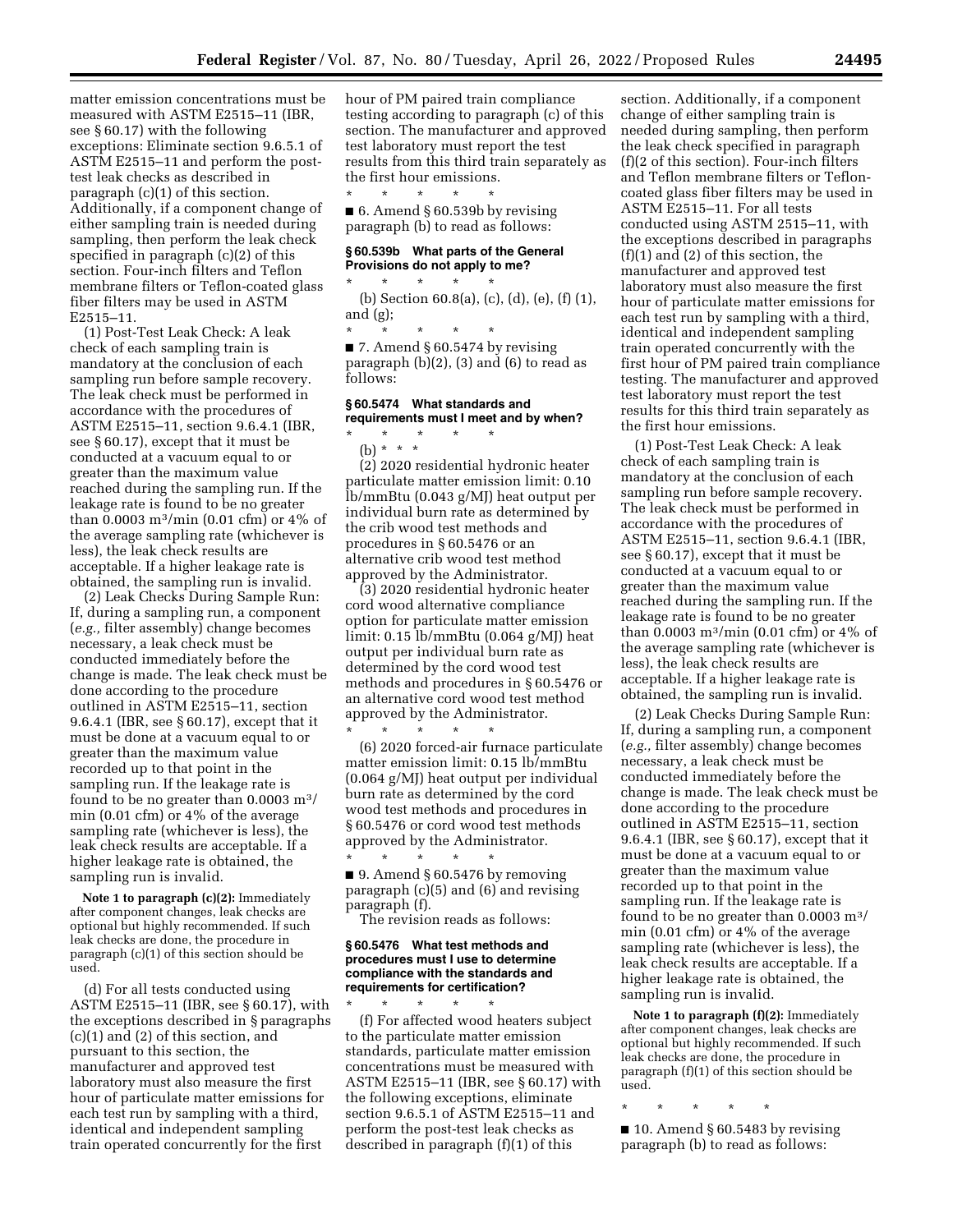matter emission concentrations must be measured with ASTM E2515–11 (IBR, see § 60.17) with the following exceptions: Eliminate section 9.6.5.1 of ASTM E2515–11 and perform the posttest leak checks as described in paragraph (c)(1) of this section. Additionally, if a component change of either sampling train is needed during sampling, then perform the leak check specified in paragraph (c)(2) of this section. Four-inch filters and Teflon membrane filters or Teflon-coated glass fiber filters may be used in ASTM E2515–11.

(1) Post-Test Leak Check: A leak check of each sampling train is mandatory at the conclusion of each sampling run before sample recovery. The leak check must be performed in accordance with the procedures of ASTM E2515–11, section 9.6.4.1 (IBR, see § 60.17), except that it must be conducted at a vacuum equal to or greater than the maximum value reached during the sampling run. If the leakage rate is found to be no greater than 0.0003  $\rm m^3/min$  (0.01 cfm) or 4% of the average sampling rate (whichever is less), the leak check results are acceptable. If a higher leakage rate is obtained, the sampling run is invalid.

(2) Leak Checks During Sample Run: If, during a sampling run, a component (*e.g.,* filter assembly) change becomes necessary, a leak check must be conducted immediately before the change is made. The leak check must be done according to the procedure outlined in ASTM E2515–11, section 9.6.4.1 (IBR, see § 60.17), except that it must be done at a vacuum equal to or greater than the maximum value recorded up to that point in the sampling run. If the leakage rate is found to be no greater than  $0.0003 \text{ m}^3$ / min (0.01 cfm) or 4% of the average sampling rate (whichever is less), the leak check results are acceptable. If a higher leakage rate is obtained, the sampling run is invalid.

**Note 1 to paragraph (c)(2):** Immediately after component changes, leak checks are optional but highly recommended. If such leak checks are done, the procedure in paragraph (c)(1) of this section should be used.

(d) For all tests conducted using ASTM E2515–11 (IBR, see § 60.17), with the exceptions described in § paragraphs (c)(1) and (2) of this section, and pursuant to this section, the manufacturer and approved test laboratory must also measure the first hour of particulate matter emissions for each test run by sampling with a third, identical and independent sampling train operated concurrently for the first

hour of PM paired train compliance testing according to paragraph (c) of this section. The manufacturer and approved test laboratory must report the test results from this third train separately as the first hour emissions.

\* \* \* \* \* ■ 6. Amend § 60.539b by revising paragraph (b) to read as follows:

### **§ 60.539b What parts of the General Provisions do not apply to me?**

\* \* \* \* \*

(b) Section 60.8(a), (c), (d), (e), (f) (1), and (g);

\* \* \* \* \*  $\blacksquare$  7. Amend § 60.5474 by revising paragraph (b)(2), (3) and (6) to read as follows:

# **§ 60.5474 What standards and requirements must I meet and by when?**

## \* \* \* \* \* (b) \* \* \*

(2) 2020 residential hydronic heater

particulate matter emission limit: 0.10 lb/mmBtu (0.043 g/MJ) heat output per individual burn rate as determined by the crib wood test methods and procedures in § 60.5476 or an alternative crib wood test method approved by the Administrator.

(3) 2020 residential hydronic heater cord wood alternative compliance option for particulate matter emission limit: 0.15 lb/mmBtu (0.064 g/MJ) heat output per individual burn rate as determined by the cord wood test methods and procedures in § 60.5476 or an alternative cord wood test method approved by the Administrator. \* \* \* \* \*

(6) 2020 forced-air furnace particulate matter emission limit: 0.15 lb/mmBtu (0.064 g/MJ) heat output per individual burn rate as determined by the cord wood test methods and procedures in § 60.5476 or cord wood test methods approved by the Administrator. \* \* \* \* \*

 $\blacksquare$  9. Amend § 60.5476 by removing paragraph (c)(5) and (6) and revising paragraph (f).

The revision reads as follows:

## **§ 60.5476 What test methods and procedures must I use to determine compliance with the standards and requirements for certification?**

\* \* \* \* \* (f) For affected wood heaters subject to the particulate matter emission standards, particulate matter emission concentrations must be measured with ASTM E2515–11 (IBR, see § 60.17) with the following exceptions, eliminate section 9.6.5.1 of ASTM E2515–11 and perform the post-test leak checks as described in paragraph (f)(1) of this

section. Additionally, if a component change of either sampling train is needed during sampling, then perform the leak check specified in paragraph (f)(2 of this section). Four-inch filters and Teflon membrane filters or Tefloncoated glass fiber filters may be used in ASTM E2515–11. For all tests conducted using ASTM 2515–11, with the exceptions described in paragraphs (f)(1) and (2) of this section, the manufacturer and approved test laboratory must also measure the first hour of particulate matter emissions for each test run by sampling with a third, identical and independent sampling train operated concurrently with the first hour of PM paired train compliance testing. The manufacturer and approved test laboratory must report the test results for this third train separately as the first hour emissions.

(1) Post-Test Leak Check: A leak check of each sampling train is mandatory at the conclusion of each sampling run before sample recovery. The leak check must be performed in accordance with the procedures of ASTM E2515–11, section 9.6.4.1 (IBR, see § 60.17), except that it must be conducted at a vacuum equal to or greater than the maximum value reached during the sampling run. If the leakage rate is found to be no greater than 0.0003 m<sup>3</sup>/min (0.01 cfm) or  $4\%$  of the average sampling rate (whichever is less), the leak check results are acceptable. If a higher leakage rate is obtained, the sampling run is invalid.

(2) Leak Checks During Sample Run: If, during a sampling run, a component (*e.g.,* filter assembly) change becomes necessary, a leak check must be conducted immediately before the change is made. The leak check must be done according to the procedure outlined in ASTM E2515–11, section 9.6.4.1 (IBR, see § 60.17), except that it must be done at a vacuum equal to or greater than the maximum value recorded up to that point in the sampling run. If the leakage rate is found to be no greater than 0.0003 m3/ min (0.01 cfm) or 4% of the average sampling rate (whichever is less), the leak check results are acceptable. If a higher leakage rate is obtained, the sampling run is invalid.

**Note 1 to paragraph (f)(2):** Immediately after component changes, leak checks are optional but highly recommended. If such leak checks are done, the procedure in paragraph (f)(1) of this section should be used.

\* \* \* \* \*

 $\blacksquare$  10. Amend § 60.5483 by revising paragraph (b) to read as follows: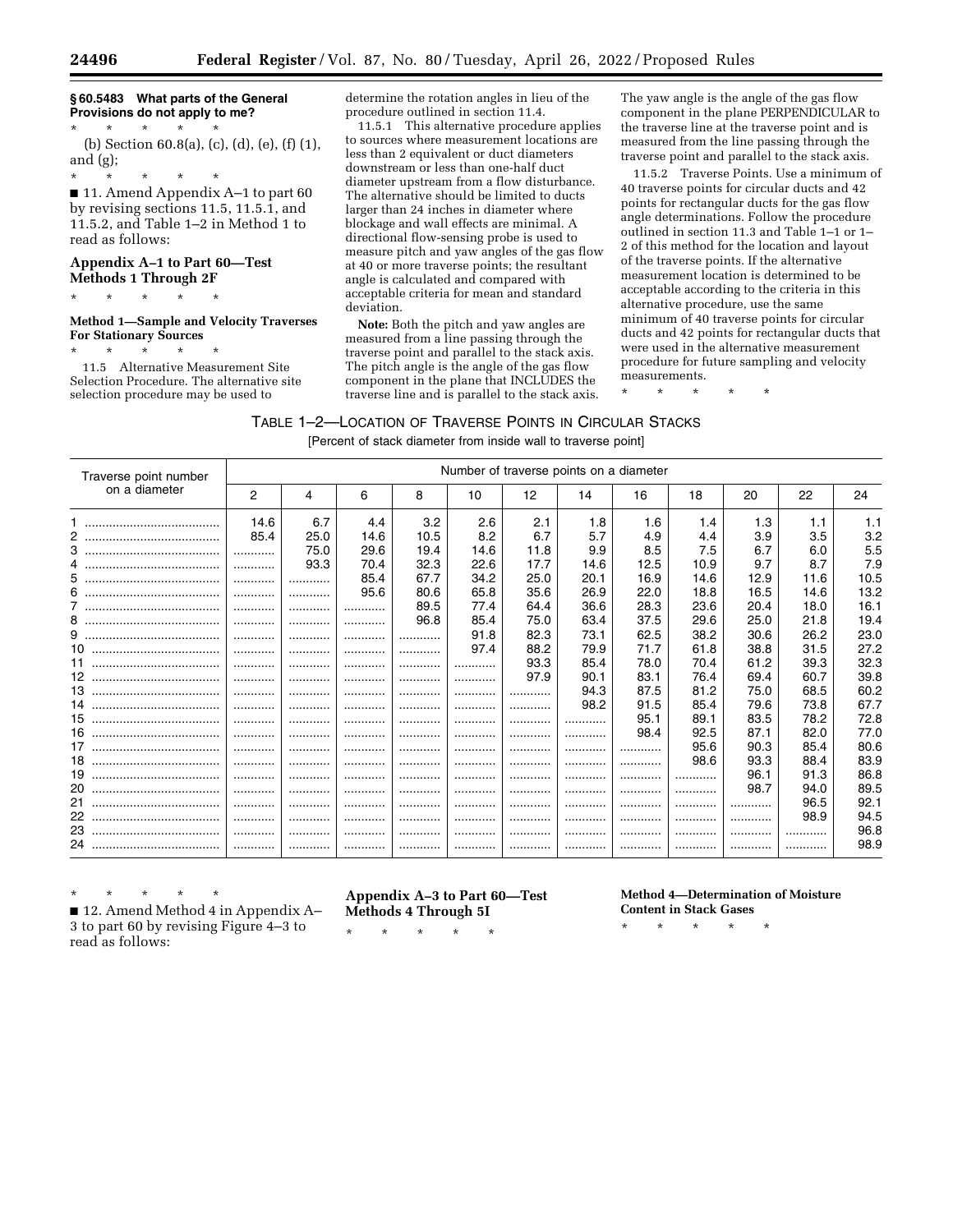# **§ 60.5483 What parts of the General Provisions do not apply to me?**

\* \* \* \* \* (b) Section 60.8(a), (c), (d), (e), (f) (1), and (g);

\* \* \* \* \*

■ 11. Amend Appendix A–1 to part 60 by revising sections 11.5, 11.5.1, and 11.5.2, and Table 1–2 in Method 1 to read as follows:

# **Appendix A–1 to Part 60—Test Methods 1 Through 2F**

\* \* \* \* \*

## **Method 1—Sample and Velocity Traverses For Stationary Sources**

\* \* \* \* \* 11.5 Alternative Measurement Site Selection Procedure. The alternative site selection procedure may be used to

determine the rotation angles in lieu of the procedure outlined in section 11.4.

11.5.1 This alternative procedure applies to sources where measurement locations are less than 2 equivalent or duct diameters downstream or less than one-half duct diameter upstream from a flow disturbance. The alternative should be limited to ducts larger than 24 inches in diameter where blockage and wall effects are minimal. A directional flow-sensing probe is used to measure pitch and yaw angles of the gas flow at 40 or more traverse points; the resultant angle is calculated and compared with acceptable criteria for mean and standard deviation.

**Note:** Both the pitch and yaw angles are measured from a line passing through the traverse point and parallel to the stack axis. The pitch angle is the angle of the gas flow component in the plane that INCLUDES the traverse line and is parallel to the stack axis.

The yaw angle is the angle of the gas flow component in the plane PERPENDICULAR to the traverse line at the traverse point and is measured from the line passing through the traverse point and parallel to the stack axis.

11.5.2 Traverse Points. Use a minimum of 40 traverse points for circular ducts and 42 points for rectangular ducts for the gas flow angle determinations. Follow the procedure outlined in section 11.3 and Table 1–1 or 1– 2 of this method for the location and layout of the traverse points. If the alternative measurement location is determined to be acceptable according to the criteria in this alternative procedure, use the same minimum of 40 traverse points for circular ducts and 42 points for rectangular ducts that were used in the alternative measurement procedure for future sampling and velocity measurements.

\* \* \* \* \*

TABLE 1–2—LOCATION OF TRAVERSE POINTS IN CIRCULAR STACKS

[Percent of stack diameter from inside wall to traverse point]

| Traverse point number |      | Number of traverse points on a diameter |      |      |      |      |      |      |      |      |      |      |
|-----------------------|------|-----------------------------------------|------|------|------|------|------|------|------|------|------|------|
| on a diameter         | 2    | 4                                       | 6    | 8    | 10   | 12   | 14   | 16   | 18   | 20   | 22   | 24   |
|                       | 14.6 | 6.7                                     | 4.4  | 3.2  | 2.6  | 2.1  | 1.8  | 1.6  | 1.4  | 1.3  | 1.1  | 1.1  |
| 2                     | 85.4 | 25.0                                    | 14.6 | 10.5 | 8.2  | 6.7  | 5.7  | 4.9  | 4.4  | 3.9  | 3.5  | 3.2  |
|                       |      | 75.0                                    | 29.6 | 19.4 | 14.6 | 11.8 | 9.9  | 8.5  | 7.5  | 6.7  | 6.0  | 5.5  |
| 4                     |      | 93.3                                    | 70.4 | 32.3 | 22.6 | 17.7 | 14.6 | 12.5 | 10.9 | 9.7  | 8.7  | 7.9  |
| 5.                    |      |                                         | 85.4 | 67.7 | 34.2 | 25.0 | 20.1 | 16.9 | 14.6 | 12.9 | 11.6 | 10.5 |
| 6.                    |      |                                         | 95.6 | 80.6 | 65.8 | 35.6 | 26.9 | 22.0 | 18.8 | 16.5 | 14.6 | 13.2 |
|                       | .    |                                         |      | 89.5 | 77.4 | 64.4 | 36.6 | 28.3 | 23.6 | 20.4 | 18.0 | 16.1 |
| 8                     |      |                                         |      | 96.8 | 85.4 | 75.0 | 63.4 | 37.5 | 29.6 | 25.0 | 21.8 | 19.4 |
| 9<br>                 |      |                                         |      |      | 91.8 | 82.3 | 73.1 | 62.5 | 38.2 | 30.6 | 26.2 | 23.0 |
| 10<br>                |      |                                         |      |      | 97.4 | 88.2 | 79.9 | 71.7 | 61.8 | 38.8 | 31.5 | 27.2 |
| 11                    |      |                                         |      |      |      | 93.3 | 85.4 | 78.0 | 70.4 | 61.2 | 39.3 | 32.3 |
| 12<br>                |      |                                         |      |      |      | 97.9 | 90.1 | 83.1 | 76.4 | 69.4 | 60.7 | 39.8 |
| 13<br>                | .    |                                         |      |      |      | .    | 94.3 | 87.5 | 81.2 | 75.0 | 68.5 | 60.2 |
| 14<br>                |      |                                         |      |      |      |      | 98.2 | 91.5 | 85.4 | 79.6 | 73.8 | 67.7 |
| 15<br>                |      |                                         |      |      |      | .    |      | 95.1 | 89.1 | 83.5 | 78.2 | 72.8 |
| 16<br>                |      |                                         |      |      |      | .    |      | 98.4 | 92.5 | 87.1 | 82.0 | 77.0 |
| 17<br>                |      |                                         |      |      |      |      |      | .    | 95.6 | 90.3 | 85.4 | 80.6 |
| 18<br>                |      |                                         |      |      |      | .    |      |      | 98.6 | 93.3 | 88.4 | 83.9 |
| 19<br>                |      |                                         |      |      |      |      |      |      | .    | 96.1 | 91.3 | 86.8 |
| 20                    |      |                                         |      |      |      |      |      |      |      | 98.7 | 94.0 | 89.5 |
| 21<br>                |      |                                         |      |      |      |      |      |      |      | .    | 96.5 | 92.1 |
| 22<br>                |      |                                         |      |      |      | .    |      | .    |      | .    | 98.9 | 94.5 |
| 23                    |      |                                         |      |      |      | .    |      | .    | .    | .    | .    | 96.8 |
|                       |      |                                         |      |      |      |      |      |      |      |      |      | 98.9 |

\* \* \* \* \* ■ 12. Amend Method 4 in Appendix A–

3 to part 60 by revising Figure 4–3 to read as follows:

**Appendix A–3 to Part 60—Test Methods 4 Through 5I** 

\* \* \* \* \*

**Method 4—Determination of Moisture Content in Stack Gases** 

\* \* \* \* \*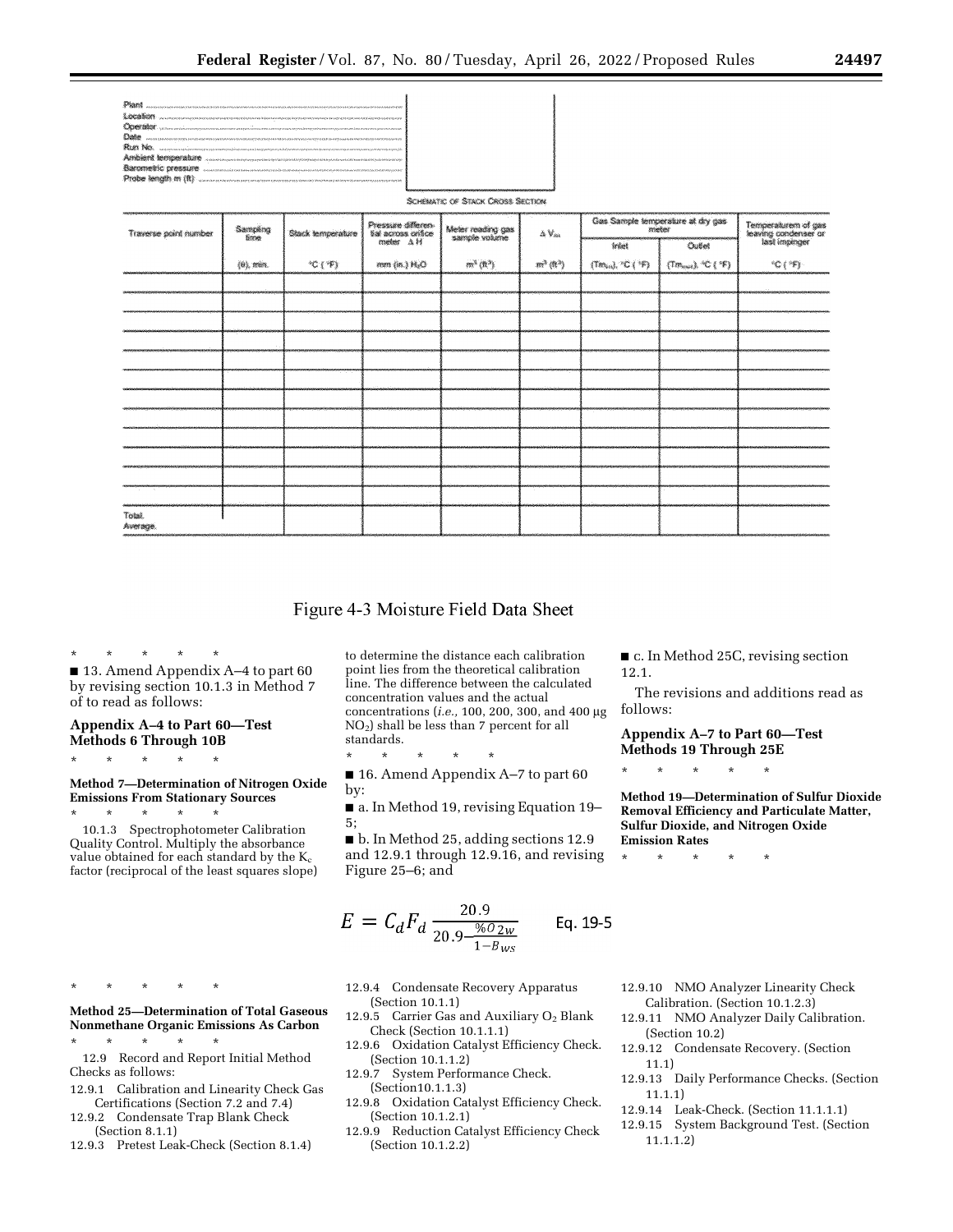| <b>CONSTRU</b> administrativam componente a compositor de la componente de la componente de la componente de la componente de                                                                                                  |
|--------------------------------------------------------------------------------------------------------------------------------------------------------------------------------------------------------------------------------|
|                                                                                                                                                                                                                                |
| RUN NO. SERVICE CONTRACTOR DE L'ANGUARDO DE L'ANGUARDO DE L'ANGUARDO DE L'ANGUARDO DE L'ANGUARDO DE L'ANGUARDO DE L'ANGUARDO DE L'ANGUARDO DE L'ANGUARDO DE L'ANGUARDO DE L'ANGUARDO DE L'ANGUARDO DE L'ANGUARDO DE L'ANGUARDO |
|                                                                                                                                                                                                                                |
|                                                                                                                                                                                                                                |
| Probe length m (ii) was convenienced to convenience the convenience of the contract of the contract of the                                                                                                                     |

SCHEMATIC OF STACK CROSS SECTION

| Traverse point number | Sampling<br>filme           | Stack temperature | Pressure differen-<br>tial across critice<br>meter - A H | Meter reading gas<br>sample volume | $\Delta$ $\mathrm{V}_{\mathrm{an}}$ | Gas Sample temperature at dry gas               |                                        | Temperaturem of gas<br>Ieaving condenser or<br>Iast impinger |  |
|-----------------------|-----------------------------|-------------------|----------------------------------------------------------|------------------------------------|-------------------------------------|-------------------------------------------------|----------------------------------------|--------------------------------------------------------------|--|
|                       |                             |                   |                                                          |                                    |                                     | Infet                                           | Outlet                                 |                                                              |  |
|                       | $\{0\}$ , min.              | 微纤维               | mm (in.) N <sub>2</sub> O                                | $m^3$ (ft $\gamma$                 | 而微的                                 | $\{Tm_{\rm tot}\}$ $^{\circ}$ C ( $^{\circ}$ F) | $(Tom_{out})$ , $°C$ ( $\mathcal{F}$ ) | ${}^{4}C($ ${}^{4}F)$                                        |  |
|                       |                             |                   |                                                          |                                    |                                     |                                                 |                                        |                                                              |  |
|                       |                             |                   |                                                          |                                    |                                     |                                                 |                                        |                                                              |  |
|                       |                             |                   |                                                          |                                    |                                     |                                                 |                                        |                                                              |  |
|                       |                             |                   |                                                          |                                    |                                     |                                                 |                                        |                                                              |  |
|                       |                             |                   |                                                          |                                    |                                     |                                                 |                                        |                                                              |  |
|                       |                             |                   |                                                          |                                    |                                     |                                                 |                                        |                                                              |  |
|                       |                             |                   |                                                          |                                    |                                     |                                                 |                                        |                                                              |  |
|                       |                             |                   |                                                          |                                    |                                     |                                                 |                                        |                                                              |  |
|                       |                             |                   |                                                          |                                    |                                     |                                                 |                                        |                                                              |  |
|                       |                             |                   |                                                          |                                    |                                     |                                                 |                                        |                                                              |  |
|                       |                             |                   |                                                          |                                    |                                     |                                                 |                                        |                                                              |  |
|                       | $\mathcal{L}_{\mathcal{A}}$ |                   |                                                          |                                    |                                     |                                                 |                                        |                                                              |  |
| Total.<br>Average.    |                             |                   |                                                          |                                    |                                     |                                                 |                                        |                                                              |  |

# Figure 4-3 Moisture Field Data Sheet

\* \* \* \* \* ■ 13. Amend Appendix A–4 to part 60 by revising section 10.1.3 in Method 7 of to read as follows:

## **Appendix A–4 to Part 60—Test Methods 6 Through 10B**

\* \* \* \* \*

### **Method 7—Determination of Nitrogen Oxide Emissions From Stationary Sources**

\* \* \* \* \* 10.1.3 Spectrophotometer Calibration Quality Control. Multiply the absorbance value obtained for each standard by the  $K_c$ factor (reciprocal of the least squares slope)

\* \* \* \* \*

- **Method 25—Determination of Total Gaseous Nonmethane Organic Emissions As Carbon**
- \* \* \* \* \* 12.9 Record and Report Initial Method Checks as follows:
- 12.9.1 Calibration and Linearity Check Gas Certifications (Section 7.2 and 7.4)
- 12.9.2 Condensate Trap Blank Check (Section 8.1.1)
- 12.9.3 Pretest Leak-Check (Section 8.1.4)

to determine the distance each calibration point lies from the theoretical calibration line. The difference between the calculated concentration values and the actual concentrations (*i.e.,* 100, 200, 300, and 400 mg NO2) shall be less than 7 percent for all standards.

\* \* \* \* \* ■ 16. Amend Appendix A–7 to part 60 by:

■ a. In Method 19, revising Equation 19– 5;

■ b. In Method 25, adding sections 12.9 and 12.9.1 through 12.9.16, and revising Figure 25–6; and

$$
E = C_d F_d \frac{20.9}{20.9 - \frac{\%0.2w}{1 - B_{WS}}} \qquad \text{Eq. 19-5}
$$

- 12.9.4 Condensate Recovery Apparatus (Section 10.1.1)
- 12.9.5 Carrier Gas and Auxiliary O<sub>2</sub> Blank Check (Section 10.1.1.1)
- 12.9.6 Oxidation Catalyst Efficiency Check. (Section 10.1.1.2)
- 12.9.7 System Performance Check. (Section10.1.1.3)
- 12.9.8 Oxidation Catalyst Efficiency Check. (Section 10.1.2.1)
- 12.9.9 Reduction Catalyst Efficiency Check (Section 10.1.2.2)

follows:

The revisions and additions read as

■ c. In Method 25C, revising section

**Appendix A–7 to Part 60—Test Methods 19 Through 25E** 

\* \* \* \* \*

12.1.

**Method 19—Determination of Sulfur Dioxide Removal Efficiency and Particulate Matter, Sulfur Dioxide, and Nitrogen Oxide Emission Rates** 

\* \* \* \* \*

- 12.9.10 NMO Analyzer Linearity Check Calibration. (Section 10.1.2.3)
- 12.9.11 NMO Analyzer Daily Calibration. (Section 10.2)
- 12.9.12 Condensate Recovery. (Section 11.1)
- 12.9.13 Daily Performance Checks. (Section 11.1.1)
- 12.9.14 Leak-Check. (Section 11.1.1.1)
- 12.9.15 System Background Test. (Section 11.1.1.2)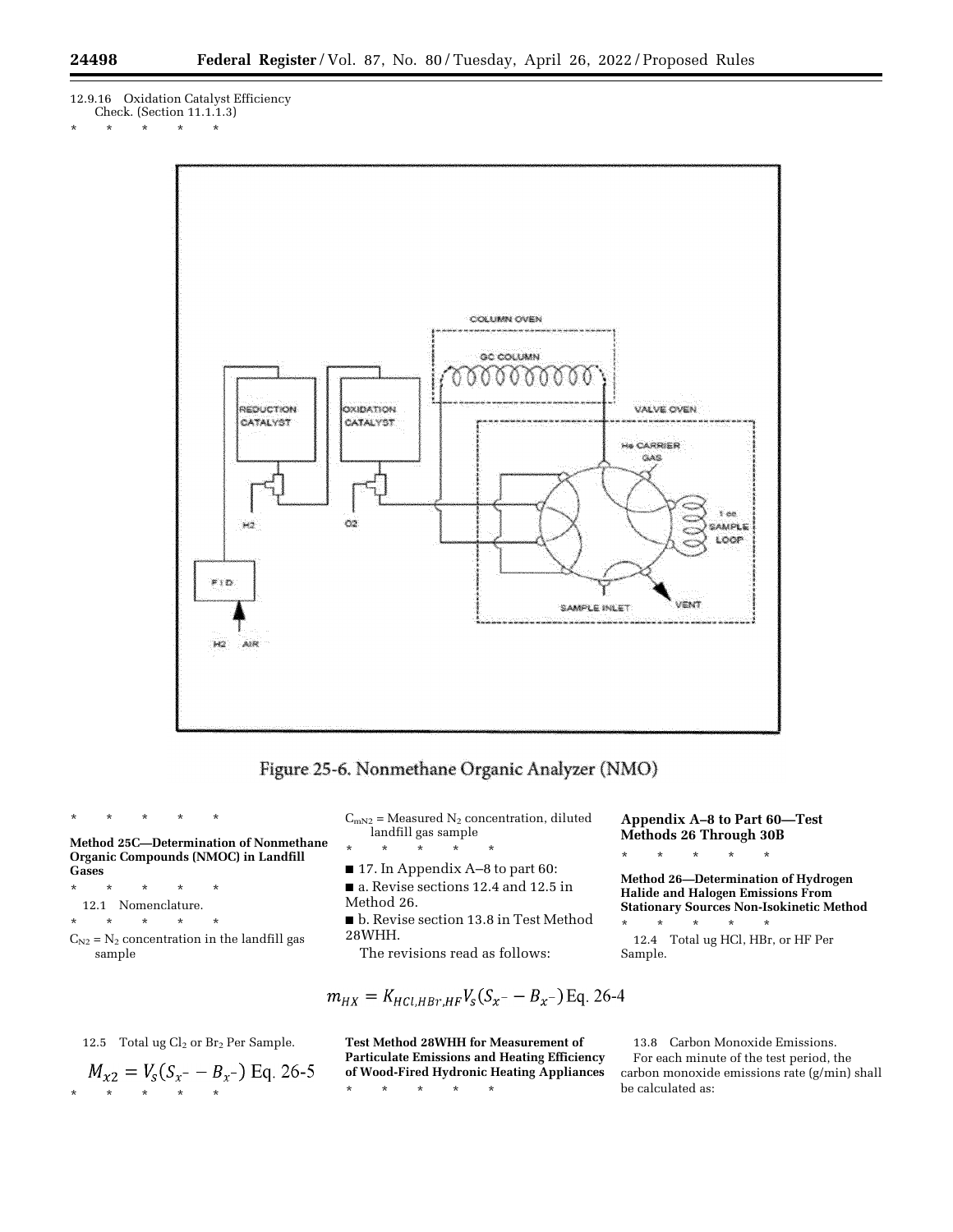- 12.9.16 Oxidation Catalyst Efficiency
- Check. (Section 11.1.1.3)
- \* \* \* \* \*





**Method 25C—Determination of Nonmethane Organic Compounds (NMOC) in Landfill Gases** 

\* \* \* \* \*

\* \* \* \* \*

- 12.1 Nomenclature.
- \* \* \* \* \*
- $C_{N2}$  =  $N_2$  concentration in the landfill gas sample

 $C_{mN2}$  = Measured  $N_2$  concentration, diluted landfill gas sample \* \* \* \* \*

- 17. In Appendix A–8 to part 60:
- a. Revise sections 12.4 and 12.5 in Method 26.
- b. Revise section 13.8 in Test Method 28WHH.
- The revisions read as follows:

$$
m_{HX} = K_{HCl, HBr, HF} V_s (S_x - B_x -) Eq. 26-4
$$

**Test Method 28WHH for Measurement of Particulate Emissions and Heating Efficiency of Wood-Fired Hydronic Heating Appliances** 

\* \* \* \* \*

**Appendix A–8 to Part 60—Test Methods 26 Through 30B**  \* \* \* \* \*

**Method 26—Determination of Hydrogen Halide and Halogen Emissions From Stationary Sources Non-Isokinetic Method**  \* \* \* \* \*

12.4 Total ug HCl, HBr, or HF Per Sample.

13.8 Carbon Monoxide Emissions. For each minute of the test period, the carbon monoxide emissions rate (g/min) shall be calculated as:

12.5 Total ug 
$$
Cl_2
$$
 or  $Br_2$  Per Sample.

$$
M_{x2} = V_s (S_{x^-} - B_{x^-}) \text{ Eq. 26-5}
$$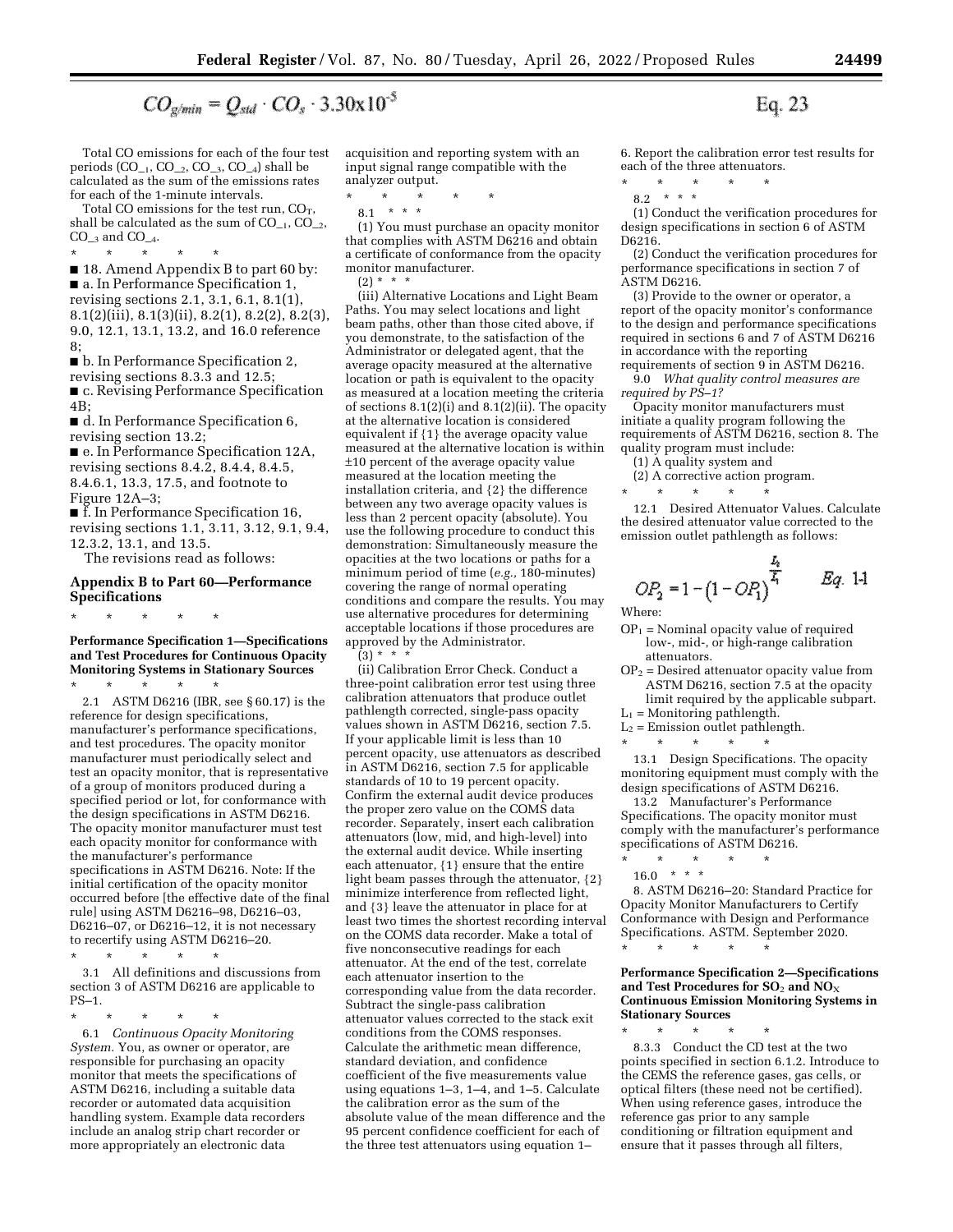$$
CO_{g/min} = Q_{std} \cdot CO_s \cdot 3.30 \times 10^{-3}
$$

Total CO emissions for each of the four test periods  $(CO_{-1}, CO_{-2}, CO_{-3}, CO_{-4})$  shall be calculated as the sum of the emissions rates for each of the 1-minute intervals.

Total CO emissions for the test run,  $CO_T$ , shall be calculated as the sum of  $CO_{-1}$ ,  $CO_{-2}$ ,  $CO_{-3}$  and  $CO_{-4}$ .

\* \* \* \* \* ■ 18. Amend Appendix B to part 60 by: ■ a. In Performance Specification 1, revising sections 2.1, 3.1, 6.1, 8.1(1), 8.1(2)(iii), 8.1(3)(ii), 8.2(1), 8.2(2), 8.2(3), 9.0, 12.1, 13.1, 13.2, and 16.0 reference 8;

■ b. In Performance Specification 2,

revising sections 8.3.3 and 12.5; ■ c. Revising Performance Specification 4B;

■ d. In Performance Specification 6, revising section 13.2;

■ e. In Performance Specification 12A, revising sections 8.4.2, 8.4.4, 8.4.5, 8.4.6.1, 13.3, 17.5, and footnote to Figure 12A–3;

■ f. In Performance Specification 16, revising sections 1.1, 3.11, 3.12, 9.1, 9.4, 12.3.2, 13.1, and 13.5.

The revisions read as follows:

### **Appendix B to Part 60—Performance Specifications**

\* \* \* \* \*

**Performance Specification 1—Specifications and Test Procedures for Continuous Opacity Monitoring Systems in Stationary Sources** 

\* \* \* \* \* 2.1 ASTM D6216 (IBR, see § 60.17) is the reference for design specifications, manufacturer's performance specifications, and test procedures. The opacity monitor manufacturer must periodically select and test an opacity monitor, that is representative of a group of monitors produced during a specified period or lot, for conformance with the design specifications in ASTM D6216. The opacity monitor manufacturer must test each opacity monitor for conformance with the manufacturer's performance specifications in ASTM D6216. Note: If the initial certification of the opacity monitor occurred before [the effective date of the final rule] using ASTM D6216–98, D6216–03, D6216–07, or D6216–12, it is not necessary to recertify using ASTM D6216–20.

\* \* \* \* \*

3.1 All definitions and discussions from section 3 of ASTM D6216 are applicable to PS–1.

\* \* \* \* \*

6.1 *Continuous Opacity Monitoring System.* You, as owner or operator, are responsible for purchasing an opacity monitor that meets the specifications of ASTM D6216, including a suitable data recorder or automated data acquisition handling system. Example data recorders include an analog strip chart recorder or more appropriately an electronic data

acquisition and reporting system with an input signal range compatible with the analyzer output.

\* \* \* \* \*

8.1 \* \* \*

(1) You must purchase an opacity monitor that complies with ASTM D6216 and obtain a certificate of conformance from the opacity monitor manufacturer.  $(2) * *$ 

(iii) Alternative Locations and Light Beam Paths. You may select locations and light beam paths, other than those cited above, if you demonstrate, to the satisfaction of the Administrator or delegated agent, that the average opacity measured at the alternative location or path is equivalent to the opacity as measured at a location meeting the criteria of sections  $8.1(2)(i)$  and  $8.1(2)(ii)$ . The opacity at the alternative location is considered equivalent if {1} the average opacity value measured at the alternative location is within ±10 percent of the average opacity value measured at the location meeting the installation criteria, and {2} the difference between any two average opacity values is less than 2 percent opacity (absolute). You use the following procedure to conduct this demonstration: Simultaneously measure the opacities at the two locations or paths for a minimum period of time (*e.g.,* 180-minutes) covering the range of normal operating conditions and compare the results. You may use alternative procedures for determining acceptable locations if those procedures are approved by the Administrator.  $(3) * * * *$ 

(ii) Calibration Error Check. Conduct a three-point calibration error test using three calibration attenuators that produce outlet pathlength corrected, single-pass opacity values shown in ASTM D6216, section 7.5. If your applicable limit is less than 10 percent opacity, use attenuators as described in ASTM D6216, section 7.5 for applicable standards of 10 to 19 percent opacity. Confirm the external audit device produces the proper zero value on the COMS data recorder. Separately, insert each calibration attenuators (low, mid, and high-level) into the external audit device. While inserting each attenuator, {1} ensure that the entire light beam passes through the attenuator, {2} minimize interference from reflected light, and {3} leave the attenuator in place for at least two times the shortest recording interval on the COMS data recorder. Make a total of five nonconsecutive readings for each attenuator. At the end of the test, correlate each attenuator insertion to the corresponding value from the data recorder. Subtract the single-pass calibration attenuator values corrected to the stack exit conditions from the COMS responses. Calculate the arithmetic mean difference, standard deviation, and confidence coefficient of the five measurements value using equations 1–3, 1–4, and 1–5. Calculate the calibration error as the sum of the absolute value of the mean difference and the 95 percent confidence coefficient for each of the three test attenuators using equation 1–

6. Report the calibration error test results for

Eq. 23

each of the three attenuators.<br> $*$  \* \* \* \* \* \* \* \* \* \*

8.2 \* \* \*

(1) Conduct the verification procedures for design specifications in section 6 of ASTM D6216.

(2) Conduct the verification procedures for performance specifications in section 7 of ASTM D6216.

(3) Provide to the owner or operator, a report of the opacity monitor's conformance to the design and performance specifications required in sections 6 and 7 of ASTM D6216 in accordance with the reporting

requirements of section 9 in ASTM D6216. 9.0 *What quality control measures are required by PS–1?* 

Opacity monitor manufacturers must initiate a quality program following the requirements of ASTM D6216, section 8. The quality program must include:

(1) A quality system and

(2) A corrective action program.

\* \* \* \* \* 12.1 Desired Attenuator Values. Calculate the desired attenuator value corrected to the emission outlet pathlength as follows:

$$
OP_2 = 1 - (1 - OP_1)^{\frac{L_2}{L_1}}
$$
 Eq. 1-1

Where:

- $OP_1$  = Nominal opacity value of required low-, mid-, or high-range calibration attenuators.
- $OP<sub>2</sub>$  = Desired attenuator opacity value from ASTM D6216, section 7.5 at the opacity limit required by the applicable subpart.
- $L_1$  = Monitoring pathlength.
- $L_2$  = Emission outlet pathlength.

\* \* \* \* \* 13.1 Design Specifications. The opacity monitoring equipment must comply with the design specifications of ASTM D6216.

13.2 Manufacturer's Performance Specifications. The opacity monitor must comply with the manufacturer's performance specifications of ASTM D6216. \* \* \* \* \*

 $16.0$  \* \* \*

8. ASTM D6216–20: Standard Practice for Opacity Monitor Manufacturers to Certify Conformance with Design and Performance Specifications. ASTM. September 2020. \* \* \* \* \*

**Performance Specification 2—Specifications and Test Procedures for SO**2 **and NO**X **Continuous Emission Monitoring Systems in Stationary Sources** 

\* \* \* \* \* 8.3.3 Conduct the CD test at the two points specified in section 6.1.2. Introduce to the CEMS the reference gases, gas cells, or optical filters (these need not be certified). When using reference gases, introduce the reference gas prior to any sample conditioning or filtration equipment and ensure that it passes through all filters,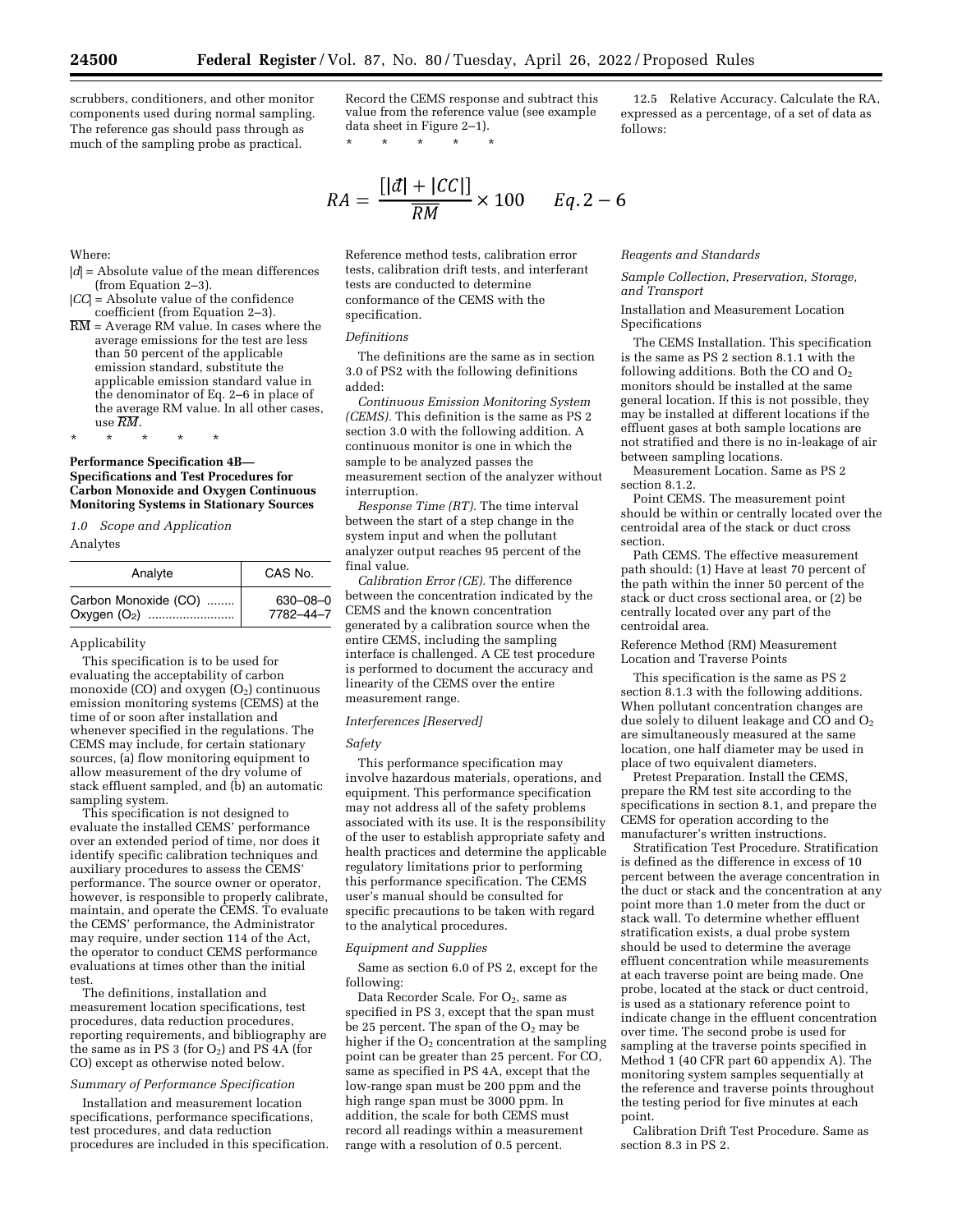scrubbers, conditioners, and other monitor components used during normal sampling. The reference gas should pass through as much of the sampling probe as practical.

Record the CEMS response and subtract this value from the reference value (see example data sheet in Figure 2–1). \* \* \* \* \*

$$
RA = \frac{[|d| + |CC|]}{RM} \times 100 \qquad Eq. 2-6
$$

Reference method tests, calibration error tests, calibration drift tests, and interferant tests are conducted to determine conformance of the CEMS with the specification.

#### *Definitions*

The definitions are the same as in section 3.0 of PS2 with the following definitions added:

*Continuous Emission Monitoring System (CEMS).* This definition is the same as PS 2 section 3.0 with the following addition. A continuous monitor is one in which the sample to be analyzed passes the measurement section of the analyzer without interruption.

*Response Time (RT).* The time interval between the start of a step change in the system input and when the pollutant analyzer output reaches 95 percent of the final value.

*Calibration Error (CE).* The difference between the concentration indicated by the CEMS and the known concentration generated by a calibration source when the entire CEMS, including the sampling interface is challenged. A CE test procedure is performed to document the accuracy and linearity of the CEMS over the entire measurement range.

#### *Interferences [Reserved]*

#### *Safety*

This performance specification may involve hazardous materials, operations, and equipment. This performance specification may not address all of the safety problems associated with its use. It is the responsibility of the user to establish appropriate safety and health practices and determine the applicable regulatory limitations prior to performing this performance specification. The CEMS user's manual should be consulted for specific precautions to be taken with regard to the analytical procedures.

## *Equipment and Supplies*

Same as section 6.0 of PS 2, except for the following:

Data Recorder Scale. For  $O_2$ , same as specified in PS 3, except that the span must be 25 percent. The span of the  $O<sub>2</sub>$  may be higher if the  $O<sub>2</sub>$  concentration at the sampling point can be greater than 25 percent. For CO, same as specified in PS 4A, except that the low-range span must be 200 ppm and the high range span must be 3000 ppm. In addition, the scale for both CEMS must record all readings within a measurement range with a resolution of 0.5 percent.

12.5 Relative Accuracy. Calculate the RA, expressed as a percentage, of a set of data as follows:

#### *Reagents and Standards*

*Sample Collection, Preservation, Storage, and Transport* 

Installation and Measurement Location Specifications

The CEMS Installation. This specification is the same as PS 2 section 8.1.1 with the following additions. Both the CO and  $O<sub>2</sub>$ monitors should be installed at the same general location. If this is not possible, they may be installed at different locations if the effluent gases at both sample locations are not stratified and there is no in-leakage of air between sampling locations.

Measurement Location. Same as PS 2 section 8.1.2.

Point CEMS. The measurement point should be within or centrally located over the centroidal area of the stack or duct cross section.

Path CEMS. The effective measurement path should: (1) Have at least 70 percent of the path within the inner 50 percent of the stack or duct cross sectional area, or (2) be centrally located over any part of the centroidal area.

Reference Method (RM) Measurement Location and Traverse Points

This specification is the same as PS 2 section 8.1.3 with the following additions. When pollutant concentration changes are due solely to diluent leakage and CO and  $O_2$ are simultaneously measured at the same location, one half diameter may be used in place of two equivalent diameters.

Pretest Preparation. Install the CEMS, prepare the RM test site according to the specifications in section 8.1, and prepare the CEMS for operation according to the manufacturer's written instructions.

Stratification Test Procedure. Stratification is defined as the difference in excess of 10 percent between the average concentration in the duct or stack and the concentration at any point more than 1.0 meter from the duct or stack wall. To determine whether effluent stratification exists, a dual probe system should be used to determine the average effluent concentration while measurements at each traverse point are being made. One probe, located at the stack or duct centroid, is used as a stationary reference point to indicate change in the effluent concentration over time. The second probe is used for sampling at the traverse points specified in Method 1 (40 CFR part 60 appendix A). The monitoring system samples sequentially at the reference and traverse points throughout the testing period for five minutes at each point.

Calibration Drift Test Procedure. Same as section 8.3 in PS 2.

# Where:

- |*d*| = Absolute value of the mean differences (from Equation 2–3).
- |*CC*| = Absolute value of the confidence coefficient (from Equation 2–3).
- $\overline{\text{RM}}$  = Average RM value. In cases where the average emissions for the test are less than 50 percent of the applicable emission standard, substitute the applicable emission standard value in the denominator of Eq. 2–6 in place of the average RM value. In all other cases, use *RM*.

**Performance Specification 4B— Specifications and Test Procedures for Carbon Monoxide and Oxygen Continuous Monitoring Systems in Stationary Sources** 

*1.0 Scope and Application* 

\* \* \* \* \*

### Analytes

| Analyte                  | CAS No.        |
|--------------------------|----------------|
| Carbon Monoxide (CO)     | $630 - 08 - 0$ |
| Oxygen (O <sub>2</sub> ) | 7782-44-7      |

#### Applicability

This specification is to be used for evaluating the acceptability of carbon monoxide (CO) and oxygen  $(O_2)$  continuous emission monitoring systems (CEMS) at the time of or soon after installation and whenever specified in the regulations. The CEMS may include, for certain stationary sources, (a) flow monitoring equipment to allow measurement of the dry volume of stack effluent sampled, and (b) an automatic sampling system.

This specification is not designed to evaluate the installed CEMS' performance over an extended period of time, nor does it identify specific calibration techniques and auxiliary procedures to assess the CEMS' performance. The source owner or operator, however, is responsible to properly calibrate, maintain, and operate the CEMS. To evaluate the CEMS' performance, the Administrator may require, under section 114 of the Act, the operator to conduct CEMS performance evaluations at times other than the initial test.

The definitions, installation and measurement location specifications, test procedures, data reduction procedures, reporting requirements, and bibliography are the same as in PS 3 (for  $O_2$ ) and PS 4A (for CO) except as otherwise noted below.

## *Summary of Performance Specification*

Installation and measurement location specifications, performance specifications, test procedures, and data reduction procedures are included in this specification.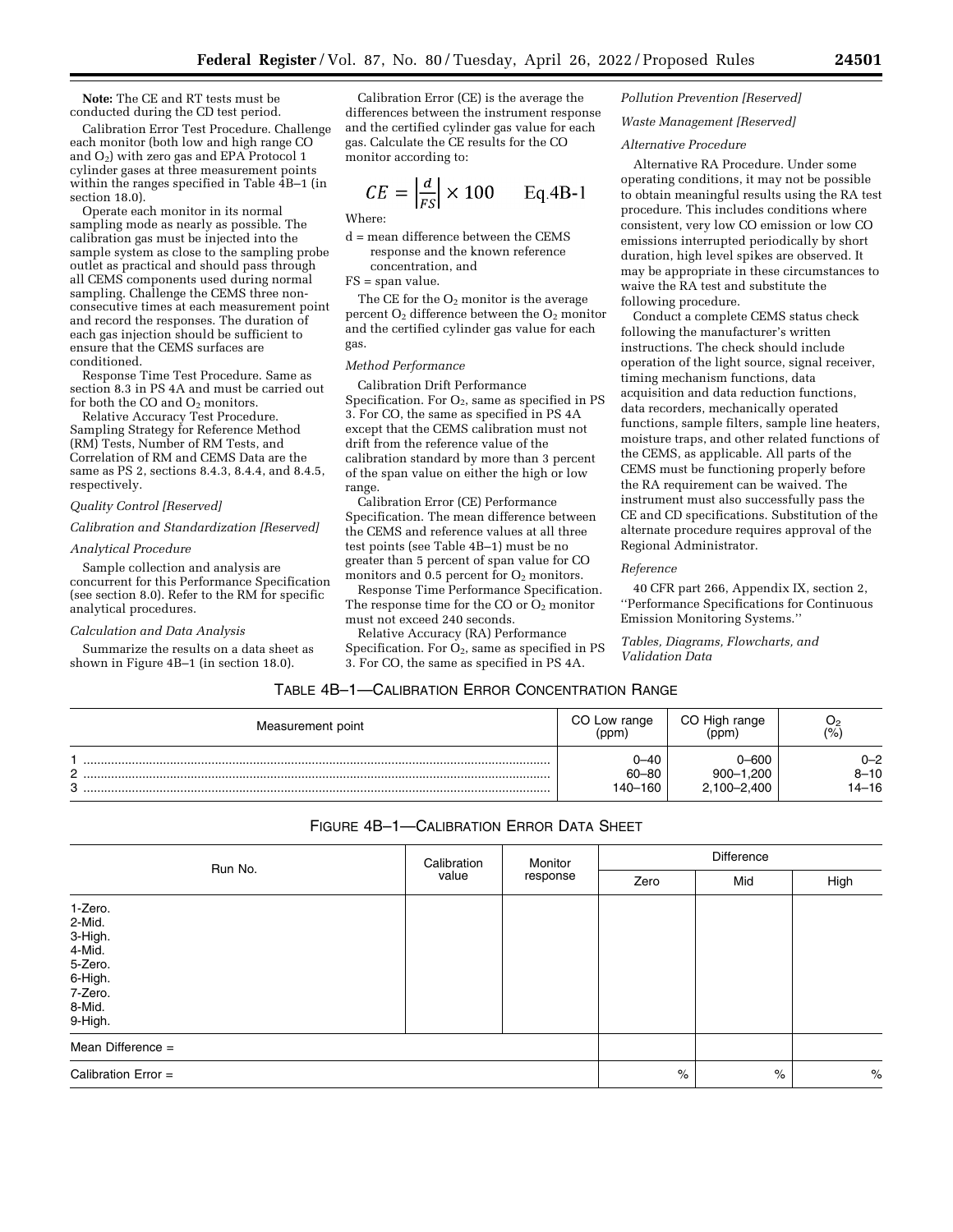**Note:** The CE and RT tests must be conducted during the CD test period.

Calibration Error Test Procedure. Challenge each monitor (both low and high range CO and  $O_2$ ) with zero gas and EPA Protocol 1 cylinder gases at three measurement points within the ranges specified in Table  $\overline{4}B-1$  (in section 18.0).

Operate each monitor in its normal sampling mode as nearly as possible. The calibration gas must be injected into the sample system as close to the sampling probe outlet as practical and should pass through all CEMS components used during normal sampling. Challenge the CEMS three nonconsecutive times at each measurement point and record the responses. The duration of each gas injection should be sufficient to ensure that the CEMS surfaces are conditioned.

Response Time Test Procedure. Same as section 8.3 in PS 4A and must be carried out for both the CO and O<sub>2</sub> monitors.

Relative Accuracy Test Procedure. Sampling Strategy for Reference Method (RM) Tests, Number of RM Tests, and Correlation of RM and CEMS Data are the same as PS 2, sections 8.4.3, 8.4.4, and 8.4.5, respectively.

#### *Quality Control [Reserved]*

### *Calibration and Standardization [Reserved]*

#### *Analytical Procedure*

Sample collection and analysis are concurrent for this Performance Specification (see section 8.0). Refer to the RM for specific analytical procedures.

### *Calculation and Data Analysis*

Summarize the results on a data sheet as shown in Figure 4B–1 (in section 18.0).

Calibration Error (CE) is the average the differences between the instrument response and the certified cylinder gas value for each gas. Calculate the CE results for the CO monitor according to:

$$
CE = \left| \frac{d}{FS} \right| \times 100 \qquad \text{Eq.4B-1}
$$

Where:

d = mean difference between the CEMS response and the known reference concentration, and

FS = span value.

The CE for the  $O_2$  monitor is the average percent  $O_2$  difference between the  $O_2$  monitor and the certified cylinder gas value for each gas.

## *Method Performance*

Calibration Drift Performance Specification. For  $O_2$ , same as specified in PS 3. For CO, the same as specified in PS 4A except that the CEMS calibration must not drift from the reference value of the calibration standard by more than 3 percent of the span value on either the high or low range.

Calibration Error (CE) Performance Specification. The mean difference between the CEMS and reference values at all three test points (see Table 4B–1) must be no greater than 5 percent of span value for CO monitors and  $0.5$  percent for  $O_2$  monitors.

Response Time Performance Specification. The response time for the CO or  $O_2$  monitor must not exceed 240 seconds.

Relative Accuracy (RA) Performance Specification. For  $O_2$ , same as specified in PS 3. For CO, the same as specified in PS 4A.

### *Pollution Prevention [Reserved]*

#### *Waste Management [Reserved]*

### *Alternative Procedure*

Alternative RA Procedure. Under some operating conditions, it may not be possible to obtain meaningful results using the RA test procedure. This includes conditions where consistent, very low CO emission or low CO emissions interrupted periodically by short duration, high level spikes are observed. It may be appropriate in these circumstances to waive the RA test and substitute the following procedure.

Conduct a complete CEMS status check following the manufacturer's written instructions. The check should include operation of the light source, signal receiver, timing mechanism functions, data acquisition and data reduction functions, data recorders, mechanically operated functions, sample filters, sample line heaters, moisture traps, and other related functions of the CEMS, as applicable. All parts of the CEMS must be functioning properly before the RA requirement can be waived. The instrument must also successfully pass the CE and CD specifications. Substitution of the alternate procedure requires approval of the Regional Administrator.

#### *Reference*

40 CFR part 266, Appendix IX, section 2, ''Performance Specifications for Continuous Emission Monitoring Systems.''

*Tables, Diagrams, Flowcharts, and Validation Data* 

## TABLE 4B–1—CALIBRATION ERROR CONCENTRATION RANGE

| Measurement point | CO Low range                 | CO High range                     | یں                           |
|-------------------|------------------------------|-----------------------------------|------------------------------|
|                   | (ppm)                        | (ppm                              | (%                           |
| C<br>o            | ∩–4∩<br>$60 - 80$<br>140–160 | 006–0<br>900-1,200<br>2,100-2,400 | $0 - 2$<br>$8 - 10$<br>14-16 |

## FIGURE 4B–1—CALIBRATION ERROR DATA SHEET

|                                                                                              | Calibration | Monitor  | Difference |     |      |  |
|----------------------------------------------------------------------------------------------|-------------|----------|------------|-----|------|--|
| Run No.                                                                                      | value       | response | Zero       | Mid | High |  |
| 1-Zero.<br>2-Mid.<br>3-High.<br>4-Mid.<br>5-Zero.<br>6-High.<br>7-Zero.<br>8-Mid.<br>9-High. |             |          |            |     |      |  |
| Mean Difference $=$                                                                          |             |          |            |     |      |  |
| Calibration Error $=$                                                                        | $\%$        | $\%$     | $\%$       |     |      |  |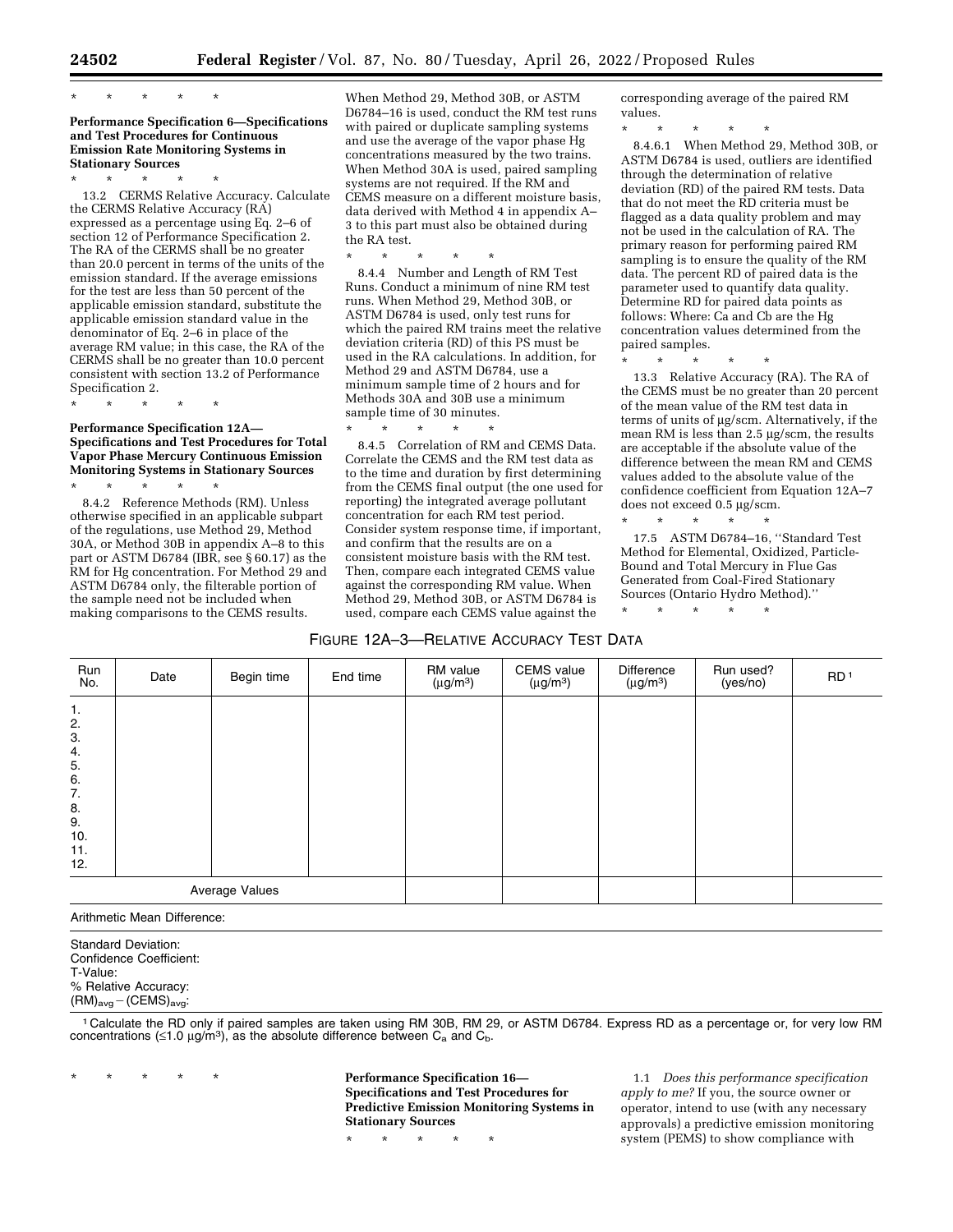# \* \* \* \* \*

### **Performance Specification 6—Specifications and Test Procedures for Continuous Emission Rate Monitoring Systems in Stationary Sources**

\* \* \* \* \*

13.2 CERMS Relative Accuracy. Calculate the CERMS Relative Accuracy (RA) expressed as a percentage using Eq. 2–6 of section 12 of Performance Specification 2. The RA of the CERMS shall be no greater than 20.0 percent in terms of the units of the emission standard. If the average emissions for the test are less than 50 percent of the applicable emission standard, substitute the applicable emission standard value in the denominator of Eq. 2–6 in place of the average RM value; in this case, the RA of the CERMS shall be no greater than 10.0 percent consistent with section 13.2 of Performance Specification 2.

## **Performance Specification 12A— Specifications and Test Procedures for Total Vapor Phase Mercury Continuous Emission Monitoring Systems in Stationary Sources**

\* \* \* \* \*

\* \* \* \* \* 8.4.2 Reference Methods (RM). Unless otherwise specified in an applicable subpart of the regulations, use Method 29, Method 30A, or Method 30B in appendix A–8 to this part or ASTM D6784 (IBR, see  $\S 60.17$ ) as the RM for Hg concentration. For Method 29 and ASTM D6784 only, the filterable portion of the sample need not be included when making comparisons to the CEMS results.

When Method 29, Method 30B, or ASTM D6784–16 is used, conduct the RM test runs with paired or duplicate sampling systems and use the average of the vapor phase Hg concentrations measured by the two trains. When Method 30A is used, paired sampling systems are not required. If the RM and CEMS measure on a different moisture basis, data derived with Method 4 in appendix A– 3 to this part must also be obtained during the RA test.

\* \* \* \* \*

8.4.4 Number and Length of RM Test Runs. Conduct a minimum of nine RM test runs. When Method 29, Method 30B, or ASTM D6784 is used, only test runs for which the paired RM trains meet the relative deviation criteria (RD) of this PS must be used in the RA calculations. In addition, for Method 29 and ASTM D6784, use a minimum sample time of 2 hours and for Methods 30A and 30B use a minimum sample time of 30 minutes.

\* \* \* \* \* 8.4.5 Correlation of RM and CEMS Data. Correlate the CEMS and the RM test data as to the time and duration by first determining from the CEMS final output (the one used for reporting) the integrated average pollutant concentration for each RM test period. Consider system response time, if important, and confirm that the results are on a consistent moisture basis with the RM test. Then, compare each integrated CEMS value against the corresponding RM value. When Method 29, Method 30B, or ASTM D6784 is used, compare each CEMS value against the

corresponding average of the paired RM values.

\* \* \* \* \*

8.4.6.1 When Method 29, Method 30B, or ASTM D6784 is used, outliers are identified through the determination of relative deviation (RD) of the paired RM tests. Data that do not meet the RD criteria must be flagged as a data quality problem and may not be used in the calculation of RA. The primary reason for performing paired RM sampling is to ensure the quality of the RM data. The percent RD of paired data is the parameter used to quantify data quality. Determine RD for paired data points as follows: Where: Ca and Cb are the Hg concentration values determined from the paired samples.

\* \* \* \* \*

13.3 Relative Accuracy (RA). The RA of the CEMS must be no greater than 20 percent of the mean value of the RM test data in terms of units of µg/scm. Alternatively, if the mean RM is less than 2.5 µg/scm, the results are acceptable if the absolute value of the difference between the mean RM and CEMS values added to the absolute value of the confidence coefficient from Equation 12A–7 does not exceed 0.5 µg/scm.

\* \* \* \* \* 17.5 ASTM D6784–16, ''Standard Test Method for Elemental, Oxidized, Particle-Bound and Total Mercury in Flue Gas Generated from Coal-Fired Stationary Sources (Ontario Hydro Method).''

\* \* \* \* \*

| Run<br>No.                                                              | Date | Begin time | End time | RM value<br>$(\mu$ g/m <sup>3</sup> ) | <b>CEMS</b> value<br>$(\mu g/m^3)$ | Difference<br>$(\mu g/m^3)$ | Run used?<br>(yes/no) | RD <sup>1</sup> |
|-------------------------------------------------------------------------|------|------------|----------|---------------------------------------|------------------------------------|-----------------------------|-----------------------|-----------------|
| 1.<br>2.<br>3.<br>4.<br>5.<br>6.<br>7.<br>8.<br>9.<br>10.<br>11.<br>12. |      |            |          |                                       |                                    |                             |                       |                 |
| Average Values                                                          |      |            |          |                                       |                                    |                             |                       |                 |

Arithmetic Mean Difference:

Standard Deviation: Confidence Coefficient: T-Value: % Relative Accuracy:  $(HM)_{avg} - (CEMS)_{avg}$ :

1 Calculate the RD only if paired samples are taken using RM 30B, RM 29, or ASTM D6784. Express RD as a percentage or, for very low RM concentrations ( $\leq$ 1.0 μg/m<sup>3</sup>), as the absolute difference between C<sub>a</sub> and C<sub>b</sub>.

\* \* \* \* \* **Performance Specification 16— Specifications and Test Procedures for Predictive Emission Monitoring Systems in Stationary Sources** 

\* \* \* \* \*

1.1 *Does this performance specification apply to me?* If you, the source owner or operator, intend to use (with any necessary approvals) a predictive emission monitoring system (PEMS) to show compliance with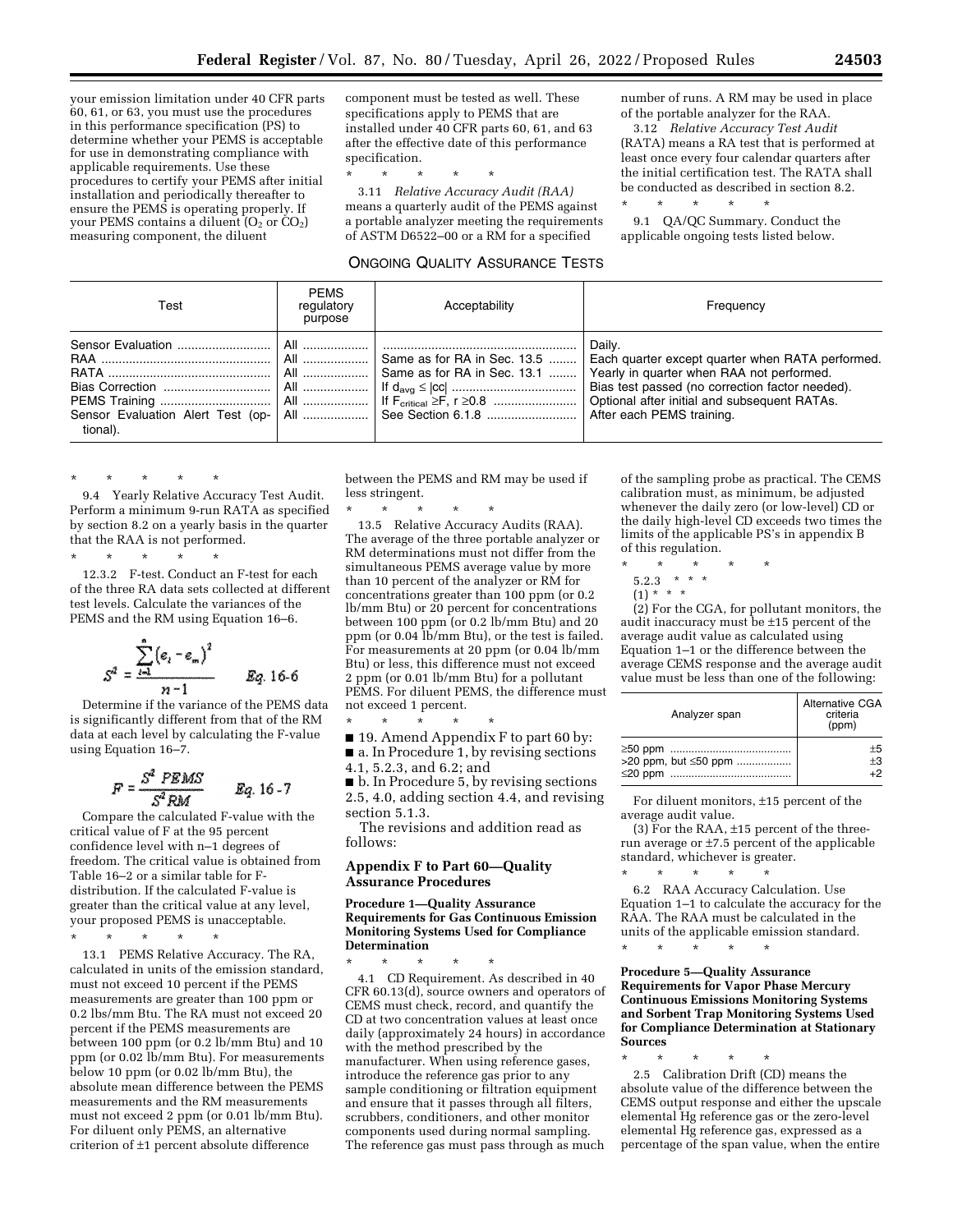your emission limitation under 40 CFR parts 60, 61, or 63, you must use the procedures in this performance specification (PS) to determine whether your PEMS is acceptable for use in demonstrating compliance with applicable requirements. Use these procedures to certify your PEMS after initial installation and periodically thereafter to ensure the PEMS is operating properly. If your PEMS contains a diluent  $(O_2$  or  $CO_2$ ) measuring component, the diluent

component must be tested as well. These specifications apply to PEMS that are installed under 40 CFR parts 60, 61, and 63 after the effective date of this performance specification.

\* \* \* \* \*

3.11 *Relative Accuracy Audit (RAA)*  means a quarterly audit of the PEMS against a portable analyzer meeting the requirements of ASTM D6522–00 or a RM for a specified

## ONGOING QUALITY ASSURANCE TESTS

number of runs. A RM may be used in place of the portable analyzer for the RAA.

3.12 *Relative Accuracy Test Audit*  (RATA) means a RA test that is performed at least once every four calendar quarters after the initial certification test. The RATA shall be conducted as described in section 8.2.

\* \* \* \* \*

9.1 QA/QC Summary. Conduct the applicable ongoing tests listed below.

| Test     | <b>PEMS</b><br>regulatory<br>purpose | Acceptability                                                                                         | Frequency                                                                                                                                                                                                                                                                              |
|----------|--------------------------------------|-------------------------------------------------------------------------------------------------------|----------------------------------------------------------------------------------------------------------------------------------------------------------------------------------------------------------------------------------------------------------------------------------------|
| tional). |                                      | All    Same as for RA in Sec. 13.5   <br>Sensor Evaluation Alert Test (op-   All    See Section 6.1.8 | Daily.<br>Each quarter except quarter when RATA performed.<br>  All   Same as for RA in Sec. 13.1 $\ldots$   Yearly in quarter when RAA not performed.<br>Bias test passed (no correction factor needed).<br>Optional after initial and subsequent RATAs.<br>After each PEMS training. |

\* \* \* \* \* 9.4 Yearly Relative Accuracy Test Audit. Perform a minimum 9-run RATA as specified by section 8.2 on a yearly basis in the quarter that the RAA is not performed.

\* \* \* \* \* 12.3.2 F-test. Conduct an F-test for each of the three RA data sets collected at different test levels. Calculate the variances of the PEMS and the RM using Equation 16–6.

$$
S^2 = \frac{\sum_{i=1}^{n} (e_i - e_m)^2}{n-1} \qquad Eq. 16-6
$$

Determine if the variance of the PEMS data is significantly different from that of the RM data at each level by calculating the F-value using Equation 16–7.

$$
F = \frac{S^2 \text{ PEMS}}{S^2 \text{ RM}} \qquad \text{Eq. 16-7}
$$

Compare the calculated F-value with the critical value of F at the 95 percent confidence level with n–1 degrees of freedom. The critical value is obtained from Table 16–2 or a similar table for Fdistribution. If the calculated F-value is greater than the critical value at any level, your proposed PEMS is unacceptable.

\* \* \* \* \*

13.1 PEMS Relative Accuracy. The RA, calculated in units of the emission standard, must not exceed 10 percent if the PEMS measurements are greater than 100 ppm or 0.2 lbs/mm Btu. The RA must not exceed 20 percent if the PEMS measurements are between 100 ppm (or 0.2 lb/mm Btu) and 10 ppm (or 0.02 lb/mm Btu). For measurements below 10 ppm (or 0.02 lb/mm Btu), the absolute mean difference between the PEMS measurements and the RM measurements must not exceed 2 ppm (or 0.01 lb/mm Btu). For diluent only PEMS, an alternative criterion of ±1 percent absolute difference

between the PEMS and RM may be used if less stringent.

\* \* \* \* \* 13.5 Relative Accuracy Audits (RAA). The average of the three portable analyzer or RM determinations must not differ from the simultaneous PEMS average value by more than 10 percent of the analyzer or RM for concentrations greater than 100 ppm (or 0.2 lb/mm Btu) or 20 percent for concentrations between 100 ppm (or 0.2 lb/mm Btu) and 20 ppm (or 0.04  $\overline{\text{lb}}$ /mm Btu), or the test is failed. For measurements at 20 ppm (or 0.04 lb/mm Btu) or less, this difference must not exceed 2 ppm (or 0.01 lb/mm Btu) for a pollutant PEMS. For diluent PEMS, the difference must not exceed 1 percent.

\* \* \* \* \* ■ 19. Amend Appendix F to part 60 by: ■ a. In Procedure 1, by revising sections

4.1, 5.2.3, and 6.2; and ■ b. In Procedure 5, by revising sections

2.5, 4.0, adding section 4.4, and revising section 5.1.3.

The revisions and addition read as follows:

## **Appendix F to Part 60—Quality Assurance Procedures**

#### **Procedure 1—Quality Assurance Requirements for Gas Continuous Emission Monitoring Systems Used for Compliance Determination**

\* \* \* \* \* 4.1 CD Requirement. As described in 40 CFR 60.13(d), source owners and operators of CEMS must check, record, and quantify the CD at two concentration values at least once daily (approximately 24 hours) in accordance with the method prescribed by the manufacturer. When using reference gases, introduce the reference gas prior to any sample conditioning or filtration equipment and ensure that it passes through all filters, scrubbers, conditioners, and other monitor components used during normal sampling. The reference gas must pass through as much

of the sampling probe as practical. The CEMS calibration must, as minimum, be adjusted whenever the daily zero (or low-level) CD or the daily high-level CD exceeds two times the limits of the applicable PS's in appendix B of this regulation.

- \* \* \* \* \*
- 5.2.3  $* * * *$
- $(1)$  \* \* \*

(2) For the CGA, for pollutant monitors, the audit inaccuracy must be ±15 percent of the average audit value as calculated using Equation 1–1 or the difference between the average CEMS response and the average audit value must be less than one of the following:

| Analyzer span        | <b>Alternative CGA</b><br>criteria<br>(ppm) |
|----------------------|---------------------------------------------|
|                      | $+5$                                        |
| >20 ppm, but ≤50 ppm | $+3$                                        |
|                      | $+2$                                        |

For diluent monitors, ±15 percent of the average audit value.

(3) For the RAA,  $\pm 15$  percent of the threerun average or ±7.5 percent of the applicable standard, whichever is greater.

\* \* \* \* \* 6.2 RAA Accuracy Calculation. Use Equation 1–1 to calculate the accuracy for the RAA. The RAA must be calculated in the units of the applicable emission standard. \* \* \* \* \*

**Procedure 5—Quality Assurance Requirements for Vapor Phase Mercury Continuous Emissions Monitoring Systems and Sorbent Trap Monitoring Systems Used for Compliance Determination at Stationary Sources** 

\* \* \* \* \* 2.5 Calibration Drift (CD) means the absolute value of the difference between the CEMS output response and either the upscale elemental Hg reference gas or the zero-level elemental Hg reference gas, expressed as a percentage of the span value, when the entire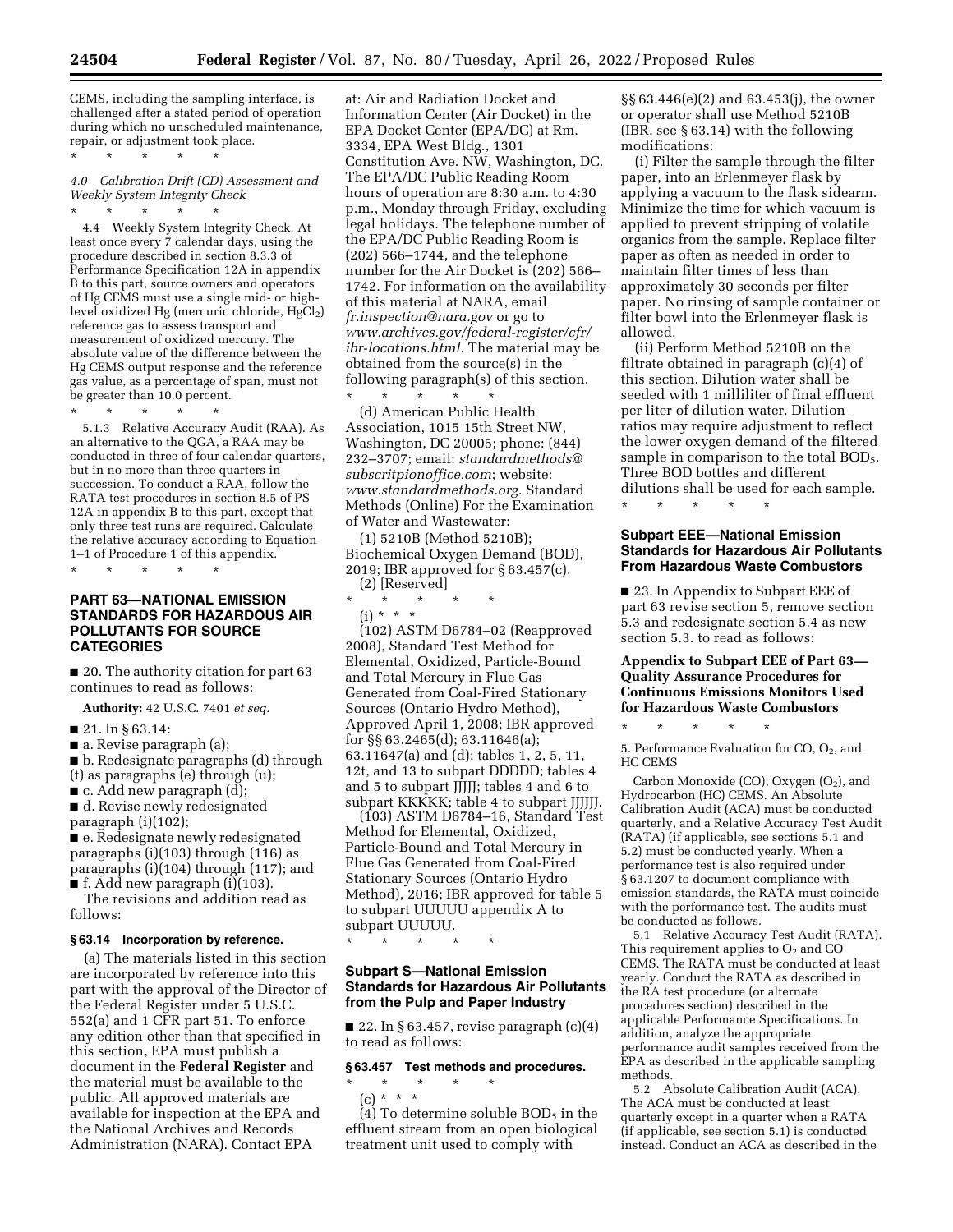CEMS, including the sampling interface, is challenged after a stated period of operation during which no unscheduled maintenance, repair, or adjustment took place.

*4.0 Calibration Drift (CD) Assessment and Weekly System Integrity Check* 

\* \* \* \* \*

\* \* \* \* \* 4.4 Weekly System Integrity Check. At least once every 7 calendar days, using the procedure described in section 8.3.3 of Performance Specification 12A in appendix B to this part, source owners and operators of Hg CEMS must use a single mid- or highlevel oxidized Hg (mercuric chloride,  $HgCl<sub>2</sub>$ ) reference gas to assess transport and measurement of oxidized mercury. The absolute value of the difference between the Hg CEMS output response and the reference gas value, as a percentage of span, must not be greater than 10.0 percent.

\* \* \* \* \* 5.1.3 Relative Accuracy Audit (RAA). As an alternative to the QGA, a RAA may be conducted in three of four calendar quarters, but in no more than three quarters in succession. To conduct a RAA, follow the RATA test procedures in section 8.5 of PS 12A in appendix B to this part, except that only three test runs are required. Calculate the relative accuracy according to Equation 1–1 of Procedure 1 of this appendix.

\* \* \* \* \*

## **PART 63—NATIONAL EMISSION STANDARDS FOR HAZARDOUS AIR POLLUTANTS FOR SOURCE CATEGORIES**

■ 20. The authority citation for part 63 continues to read as follows:

**Authority:** 42 U.S.C. 7401 *et seq.* 

#### ■ 21. In § 63.14:

■ a. Revise paragraph (a);

■ b. Redesignate paragraphs (d) through (t) as paragraphs (e) through (u); ■ c. Add new paragraph (d);

■ d. Revise newly redesignated

paragraph (i)(102); ■ e. Redesignate newly redesignated paragraphs (i)(103) through (116) as paragraphs (i)(104) through (117); and

■ f. Add new paragraph (i)(103).

The revisions and addition read as follows:

## **§ 63.14 Incorporation by reference.**

(a) The materials listed in this section are incorporated by reference into this part with the approval of the Director of the Federal Register under 5 U.S.C. 552(a) and 1 CFR part 51. To enforce any edition other than that specified in this section, EPA must publish a document in the **Federal Register** and the material must be available to the public. All approved materials are available for inspection at the EPA and the National Archives and Records Administration (NARA). Contact EPA

at: Air and Radiation Docket and Information Center (Air Docket) in the EPA Docket Center (EPA/DC) at Rm. 3334, EPA West Bldg., 1301 Constitution Ave. NW, Washington, DC. The EPA/DC Public Reading Room hours of operation are 8:30 a.m. to 4:30 p.m., Monday through Friday, excluding legal holidays. The telephone number of the EPA/DC Public Reading Room is (202) 566–1744, and the telephone number for the Air Docket is (202) 566– 1742. For information on the availability of this material at NARA, email *[fr.inspection@nara.gov](mailto:fr.inspection@nara.gov)* or go to *[www.archives.gov/federal-register/cfr/](http://www.archives.gov/federal-register/cfr/ibr-locations.html)  [ibr-locations.html.](http://www.archives.gov/federal-register/cfr/ibr-locations.html)* The material may be obtained from the source(s) in the following paragraph(s) of this section.

\* \* \* \* \* (d) American Public Health Association, 1015 15th Street NW, Washington, DC 20005; phone: (844) 232–3707; email: *[standardmethods@](mailto:standardmethods@subscritpionoffice.com) [subscritpionoffice.com](mailto:standardmethods@subscritpionoffice.com)*; website: *[www.standardmethods.org.](http://www.standardmethods.org)* Standard Methods (Online) For the Examination of Water and Wastewater:

(1) 5210B (Method 5210B); Biochemical Oxygen Demand (BOD), 2019; IBR approved for § 63.457(c). (2) [Reserved]

\* \* \* \* \*

 $(i) * * * *$ 

(102) ASTM D6784–02 (Reapproved 2008), Standard Test Method for Elemental, Oxidized, Particle-Bound and Total Mercury in Flue Gas Generated from Coal-Fired Stationary Sources (Ontario Hydro Method), Approved April 1, 2008; IBR approved for §§ 63.2465(d); 63.11646(a); 63.11647(a) and (d); tables 1, 2, 5, 11, 12t, and 13 to subpart DDDDD; tables 4 and 5 to subpart JJJJJ; tables 4 and 6 to subpart KKKKK; table 4 to subpart JJJJJJ.

(103) ASTM D6784–16, Standard Test Method for Elemental, Oxidized, Particle-Bound and Total Mercury in Flue Gas Generated from Coal-Fired Stationary Sources (Ontario Hydro Method), 2016; IBR approved for table 5 to subpart UUUUU appendix A to subpart UUUUU.

\* \* \* \* \*

### **Subpart S—National Emission Standards for Hazardous Air Pollutants from the Pulp and Paper Industry**

■ 22. In § 63.457, revise paragraph  $(c)(4)$ to read as follows:

## **§ 63.457 Test methods and procedures.**

\* \* \* \* \* (c) \* \* \*

(4) To determine soluble  $BOD<sub>5</sub>$  in the effluent stream from an open biological treatment unit used to comply with

§§ 63.446(e)(2) and 63.453(j), the owner or operator shall use Method 5210B (IBR, see § 63.14) with the following modifications:

(i) Filter the sample through the filter paper, into an Erlenmeyer flask by applying a vacuum to the flask sidearm. Minimize the time for which vacuum is applied to prevent stripping of volatile organics from the sample. Replace filter paper as often as needed in order to maintain filter times of less than approximately 30 seconds per filter paper. No rinsing of sample container or filter bowl into the Erlenmeyer flask is allowed.

(ii) Perform Method 5210B on the filtrate obtained in paragraph (c)(4) of this section. Dilution water shall be seeded with 1 milliliter of final effluent per liter of dilution water. Dilution ratios may require adjustment to reflect the lower oxygen demand of the filtered sample in comparison to the total BOD<sub>5</sub>. Three BOD bottles and different dilutions shall be used for each sample.

\* \* \* \* \*

### **Subpart EEE—National Emission Standards for Hazardous Air Pollutants From Hazardous Waste Combustors**

■ 23. In Appendix to Subpart EEE of part 63 revise section 5, remove section 5.3 and redesignate section 5.4 as new section 5.3. to read as follows:

## **Appendix to Subpart EEE of Part 63— Quality Assurance Procedures for Continuous Emissions Monitors Used for Hazardous Waste Combustors**

\* \* \* \* \*

5. Performance Evaluation for  $CO$ ,  $O<sub>2</sub>$ , and HC CEMS

Carbon Monoxide (CO), Oxygen  $(O_2)$ , and Hydrocarbon (HC) CEMS. An Absolute Calibration Audit (ACA) must be conducted quarterly, and a Relative Accuracy Test Audit (RATA) (if applicable, see sections 5.1 and 5.2) must be conducted yearly. When a performance test is also required under  $§$  63.1207 to document compliance with emission standards, the RATA must coincide with the performance test. The audits must be conducted as follows.

5.1 Relative Accuracy Test Audit (RATA). This requirement applies to  $O<sub>2</sub>$  and CO CEMS. The RATA must be conducted at least yearly. Conduct the RATA as described in the RA test procedure (or alternate procedures section) described in the applicable Performance Specifications. In addition, analyze the appropriate performance audit samples received from the EPA as described in the applicable sampling methods.

5.2 Absolute Calibration Audit (ACA). The ACA must be conducted at least quarterly except in a quarter when a RATA (if applicable, see section 5.1) is conducted instead. Conduct an ACA as described in the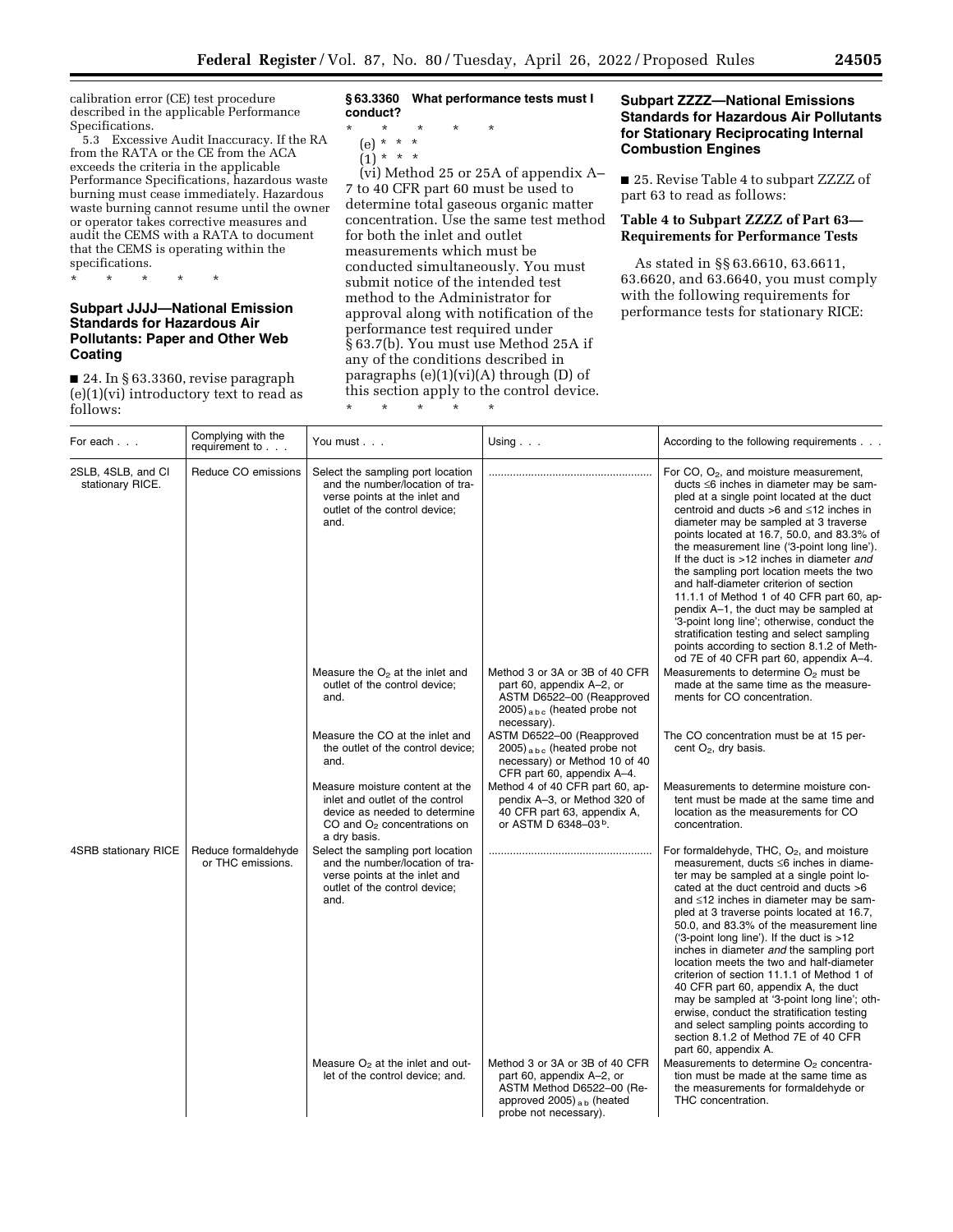calibration error (CE) test procedure described in the applicable Performance Specifications.

5.3 Excessive Audit Inaccuracy. If the RA from the RATA or the CE from the ACA exceeds the criteria in the applicable Performance Specifications, hazardous waste burning must cease immediately. Hazardous waste burning cannot resume until the owner or operator takes corrective measures and audit the CEMS with a RATA to document that the CEMS is operating within the specifications.

\* \* \* \* \*

## **Subpart JJJJ—National Emission Standards for Hazardous Air Pollutants: Paper and Other Web Coating**

■ 24. In § 63.3360, revise paragraph (e)(1)(vi) introductory text to read as follows:

**§ 63.3360 What performance tests must I conduct?** 

\* \* \* \* \*

- (e) \* \* \*
- $(1) * * * *$

(vi) Method 25 or 25A of appendix A– 7 to 40 CFR part 60 must be used to determine total gaseous organic matter concentration. Use the same test method for both the inlet and outlet measurements which must be conducted simultaneously. You must submit notice of the intended test method to the Administrator for approval along with notification of the performance test required under § 63.7(b). You must use Method 25A if any of the conditions described in paragraphs (e)(1)(vi)(A) through (D) of this section apply to the control device.

\* \* \* \* \*

## **Subpart ZZZZ—National Emissions Standards for Hazardous Air Pollutants for Stationary Reciprocating Internal Combustion Engines**

■ 25. Revise Table 4 to subpart ZZZZ of part 63 to read as follows:

# **Table 4 to Subpart ZZZZ of Part 63— Requirements for Performance Tests**

As stated in §§ 63.6610, 63.6611, 63.6620, and 63.6640, you must comply with the following requirements for performance tests for stationary RICE:

| For each                               | Complying with the<br>requirement to     | You must                                                                                                                                             | Using $\ldots$                                                                                                                                          | According to the following requirements                                                                                                                                                                                                                                                                                                                                                                                                                                                                                                                                                                                                                                                                                                            |
|----------------------------------------|------------------------------------------|------------------------------------------------------------------------------------------------------------------------------------------------------|---------------------------------------------------------------------------------------------------------------------------------------------------------|----------------------------------------------------------------------------------------------------------------------------------------------------------------------------------------------------------------------------------------------------------------------------------------------------------------------------------------------------------------------------------------------------------------------------------------------------------------------------------------------------------------------------------------------------------------------------------------------------------------------------------------------------------------------------------------------------------------------------------------------------|
| 2SLB, 4SLB, and CI<br>stationary RICE. | Reduce CO emissions                      | Select the sampling port location<br>and the number/location of tra-<br>verse points at the inlet and<br>outlet of the control device;<br>and.       |                                                                                                                                                         | For CO, $O_2$ , and moisture measurement,<br>ducts ≤6 inches in diameter may be sam-<br>pled at a single point located at the duct<br>centroid and ducts >6 and ≤12 inches in<br>diameter may be sampled at 3 traverse<br>points located at 16.7, 50.0, and 83.3% of<br>the measurement line ('3-point long line').<br>If the duct is >12 inches in diameter and<br>the sampling port location meets the two<br>and half-diameter criterion of section<br>11.1.1 of Method 1 of 40 CFR part 60, ap-<br>pendix A-1, the duct may be sampled at<br>'3-point long line'; otherwise, conduct the<br>stratification testing and select sampling<br>points according to section 8.1.2 of Meth-<br>od 7E of 40 CFR part 60, appendix A-4.                 |
|                                        |                                          | Measure the $O2$ at the inlet and<br>outlet of the control device;<br>and.                                                                           | Method 3 or 3A or 3B of 40 CFR<br>part 60, appendix A-2, or<br>ASTM D6522-00 (Reapproved<br>$2005)_{abc}$ (heated probe not<br>necessary).              | Measurements to determine $O2$ must be<br>made at the same time as the measure-<br>ments for CO concentration.                                                                                                                                                                                                                                                                                                                                                                                                                                                                                                                                                                                                                                     |
|                                        |                                          | Measure the CO at the inlet and<br>the outlet of the control device;<br>and.                                                                         | ASTM D6522-00 (Reapproved<br>$2005)$ <sub>abc</sub> (heated probe not<br>necessary) or Method 10 of 40<br>CFR part 60, appendix A-4.                    | The CO concentration must be at 15 per-<br>cent $O_2$ , dry basis.                                                                                                                                                                                                                                                                                                                                                                                                                                                                                                                                                                                                                                                                                 |
|                                        |                                          | Measure moisture content at the<br>inlet and outlet of the control<br>device as needed to determine<br>CO and $O2$ concentrations on<br>a dry basis. | Method 4 of 40 CFR part 60, ap-<br>pendix A-3, or Method 320 of<br>40 CFR part 63, appendix A,<br>or ASTM D 6348-03b.                                   | Measurements to determine moisture con-<br>tent must be made at the same time and<br>location as the measurements for CO<br>concentration.                                                                                                                                                                                                                                                                                                                                                                                                                                                                                                                                                                                                         |
| 4SRB stationary RICE                   | Reduce formaldehyde<br>or THC emissions. | Select the sampling port location<br>and the number/location of tra-<br>verse points at the inlet and<br>outlet of the control device;<br>and.       |                                                                                                                                                         | For formaldehyde, THC, $O_2$ , and moisture<br>measurement, ducts ≤6 inches in diame-<br>ter may be sampled at a single point lo-<br>cated at the duct centroid and ducts >6<br>and ≤12 inches in diameter may be sam-<br>pled at 3 traverse points located at 16.7,<br>50.0, and 83.3% of the measurement line<br>('3-point long line'). If the duct is >12<br>inches in diameter and the sampling port<br>location meets the two and half-diameter<br>criterion of section 11.1.1 of Method 1 of<br>40 CFR part 60, appendix A, the duct<br>may be sampled at '3-point long line'; oth-<br>erwise, conduct the stratification testing<br>and select sampling points according to<br>section 8.1.2 of Method 7E of 40 CFR<br>part 60, appendix A. |
|                                        |                                          | Measure $O2$ at the inlet and out-<br>let of the control device; and.                                                                                | Method 3 or 3A or 3B of 40 CFR<br>part 60, appendix A-2, or<br>ASTM Method D6522-00 (Re-<br>approved 2005) $_{\rm ab}$ (heated<br>probe not necessary). | Measurements to determine $O2$ concentra-<br>tion must be made at the same time as<br>the measurements for formaldehyde or<br>THC concentration.                                                                                                                                                                                                                                                                                                                                                                                                                                                                                                                                                                                                   |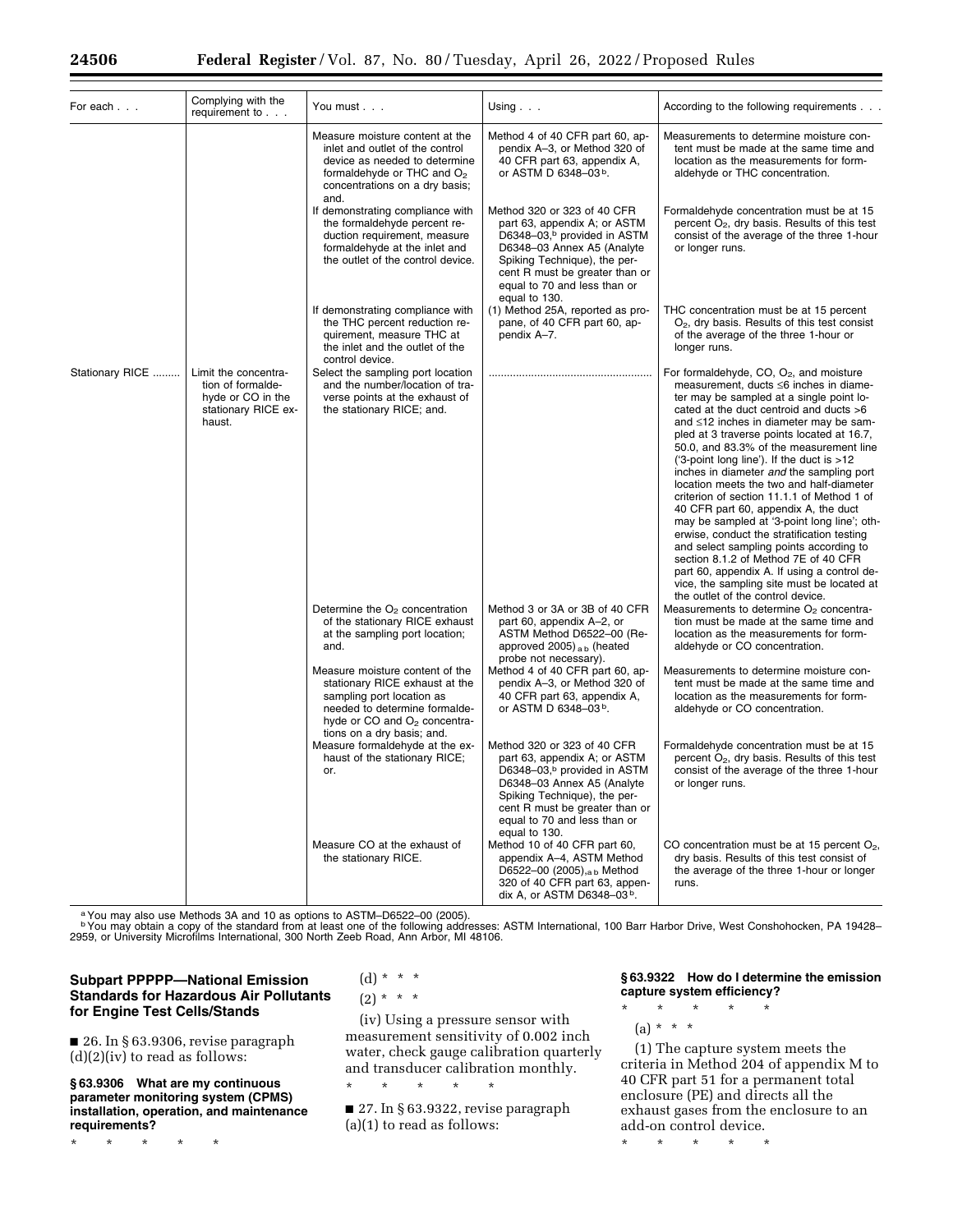| For each        | Complying with the<br>requirement to                                                            | You must                                                                                                                                                                                                  | Using $\ldots$                                                                                                                                                                                                                                          | According to the following requirements                                                                                                                                                                                                                                                                                                                                                                                                                                                                                                                                                                                                                                                                                                                                                                                                                            |
|-----------------|-------------------------------------------------------------------------------------------------|-----------------------------------------------------------------------------------------------------------------------------------------------------------------------------------------------------------|---------------------------------------------------------------------------------------------------------------------------------------------------------------------------------------------------------------------------------------------------------|--------------------------------------------------------------------------------------------------------------------------------------------------------------------------------------------------------------------------------------------------------------------------------------------------------------------------------------------------------------------------------------------------------------------------------------------------------------------------------------------------------------------------------------------------------------------------------------------------------------------------------------------------------------------------------------------------------------------------------------------------------------------------------------------------------------------------------------------------------------------|
|                 |                                                                                                 | Measure moisture content at the<br>inlet and outlet of the control<br>device as needed to determine<br>formaldehyde or THC and O <sub>2</sub><br>concentrations on a dry basis;<br>and.                   | Method 4 of 40 CFR part 60, ap-<br>pendix A-3, or Method 320 of<br>40 CFR part 63, appendix A,<br>or ASTM D 6348-03b.                                                                                                                                   | Measurements to determine moisture con-<br>tent must be made at the same time and<br>location as the measurements for form-<br>aldehyde or THC concentration.                                                                                                                                                                                                                                                                                                                                                                                                                                                                                                                                                                                                                                                                                                      |
|                 |                                                                                                 | If demonstrating compliance with<br>the formaldehyde percent re-<br>duction requirement, measure<br>formaldehyde at the inlet and<br>the outlet of the control device.                                    | Method 320 or 323 of 40 CFR<br>part 63, appendix A; or ASTM<br>D6348-03, <sup>b</sup> provided in ASTM<br>D6348-03 Annex A5 (Analyte<br>Spiking Technique), the per-<br>cent R must be greater than or<br>equal to 70 and less than or<br>equal to 130. | Formaldehyde concentration must be at 15<br>percent $O_2$ , dry basis. Results of this test<br>consist of the average of the three 1-hour<br>or longer runs.                                                                                                                                                                                                                                                                                                                                                                                                                                                                                                                                                                                                                                                                                                       |
|                 |                                                                                                 | If demonstrating compliance with<br>the THC percent reduction re-<br>quirement, measure THC at<br>the inlet and the outlet of the<br>control device.                                                      | (1) Method 25A, reported as pro-<br>pane, of 40 CFR part 60, ap-<br>pendix A-7.                                                                                                                                                                         | THC concentration must be at 15 percent<br>$O2$ , dry basis. Results of this test consist<br>of the average of the three 1-hour or<br>longer runs.                                                                                                                                                                                                                                                                                                                                                                                                                                                                                                                                                                                                                                                                                                                 |
| Stationary RICE | Limit the concentra-<br>tion of formalde-<br>hyde or CO in the<br>stationary RICE ex-<br>haust. | Select the sampling port location<br>and the number/location of tra-<br>verse points at the exhaust of<br>the stationary RICE; and.                                                                       |                                                                                                                                                                                                                                                         | For formaldehyde, $CO$ , $O_2$ , and moisture<br>measurement, ducts ≤6 inches in diame-<br>ter may be sampled at a single point lo-<br>cated at the duct centroid and ducts $>6$<br>and ≤12 inches in diameter may be sam-<br>pled at 3 traverse points located at 16.7,<br>50.0, and 83.3% of the measurement line<br>('3-point long line'). If the duct is $>12$<br>inches in diameter and the sampling port<br>location meets the two and half-diameter<br>criterion of section 11.1.1 of Method 1 of<br>40 CFR part 60, appendix A, the duct<br>may be sampled at '3-point long line'; oth-<br>erwise, conduct the stratification testing<br>and select sampling points according to<br>section 8.1.2 of Method 7E of 40 CFR<br>part 60, appendix A. If using a control de-<br>vice, the sampling site must be located at<br>the outlet of the control device. |
|                 |                                                                                                 | Determine the $O2$ concentration<br>of the stationary RICE exhaust<br>at the sampling port location;<br>and.                                                                                              | Method 3 or 3A or 3B of 40 CFR<br>part 60, appendix A-2, or<br>ASTM Method D6522-00 (Re-<br>approved 2005) $_{\rm ab}$ (heated<br>probe not necessary).                                                                                                 | Measurements to determine O <sub>2</sub> concentra-<br>tion must be made at the same time and<br>location as the measurements for form-<br>aldehyde or CO concentration.                                                                                                                                                                                                                                                                                                                                                                                                                                                                                                                                                                                                                                                                                           |
|                 |                                                                                                 | Measure moisture content of the<br>stationary RICE exhaust at the<br>sampling port location as<br>needed to determine formalde-<br>hyde or CO and O <sub>2</sub> concentra-<br>tions on a dry basis; and. | Method 4 of 40 CFR part 60, ap-<br>pendix A-3, or Method 320 of<br>40 CFR part 63, appendix A,<br>or ASTM D 6348-03b.                                                                                                                                   | Measurements to determine moisture con-<br>tent must be made at the same time and<br>location as the measurements for form-<br>aldehyde or CO concentration.                                                                                                                                                                                                                                                                                                                                                                                                                                                                                                                                                                                                                                                                                                       |
|                 |                                                                                                 | Measure formaldehyde at the ex-<br>haust of the stationary RICE;<br>or.                                                                                                                                   | Method 320 or 323 of 40 CFR<br>part 63, appendix A; or ASTM<br>D6348-03, <sup>b</sup> provided in ASTM<br>D6348-03 Annex A5 (Analyte<br>Spiking Technique), the per-<br>cent R must be greater than or<br>equal to 70 and less than or<br>equal to 130. | Formaldehyde concentration must be at 15<br>percent $O_2$ , dry basis. Results of this test<br>consist of the average of the three 1-hour<br>or longer runs.                                                                                                                                                                                                                                                                                                                                                                                                                                                                                                                                                                                                                                                                                                       |
|                 |                                                                                                 | Measure CO at the exhaust of<br>the stationary RICE.                                                                                                                                                      | Method 10 of 40 CFR part 60,<br>appendix A-4, ASTM Method<br>D6522-00 (2005), <sub>a b</sub> Method<br>320 of 40 CFR part 63, appen-<br>dix A, or ASTM D6348-03b.                                                                                       | CO concentration must be at 15 percent $O_2$ ,<br>dry basis. Results of this test consist of<br>the average of the three 1-hour or longer<br>runs.                                                                                                                                                                                                                                                                                                                                                                                                                                                                                                                                                                                                                                                                                                                 |

aYou may also use Methods 3A and 10 as options to ASTM–D6522–00 (2005).

b You may obtain a copy of the standard from at least one of the following addresses: ASTM International, 100 Barr Harbor Drive, West Conshohocken, PA 19428–<br>2959, or University Microfilms International, 300 North Zeeb R

# **Subpart PPPPP—National Emission Standards for Hazardous Air Pollutants for Engine Test Cells/Stands**

■ 26. In § 63.9306, revise paragraph  $(d)(2)(iv)$  to read as follows:

### **§ 63.9306 What are my continuous parameter monitoring system (CPMS) installation, operation, and maintenance requirements?**

\* \* \* \* \*

(d) \* \* \*  $(2) * * * *$ 

(iv) Using a pressure sensor with measurement sensitivity of 0.002 inch water, check gauge calibration quarterly and transducer calibration monthly.

■ 27. In § 63.9322, revise paragraph (a)(1) to read as follows:

\* \* \* \* \*

## **§ 63.9322 How do I determine the emission capture system efficiency?**

\* \* \* \* \*  $(a) * * * *$ 

(1) The capture system meets the criteria in Method 204 of appendix M to 40 CFR part 51 for a permanent total enclosure (PE) and directs all the exhaust gases from the enclosure to an add-on control device.

\* \* \* \* \*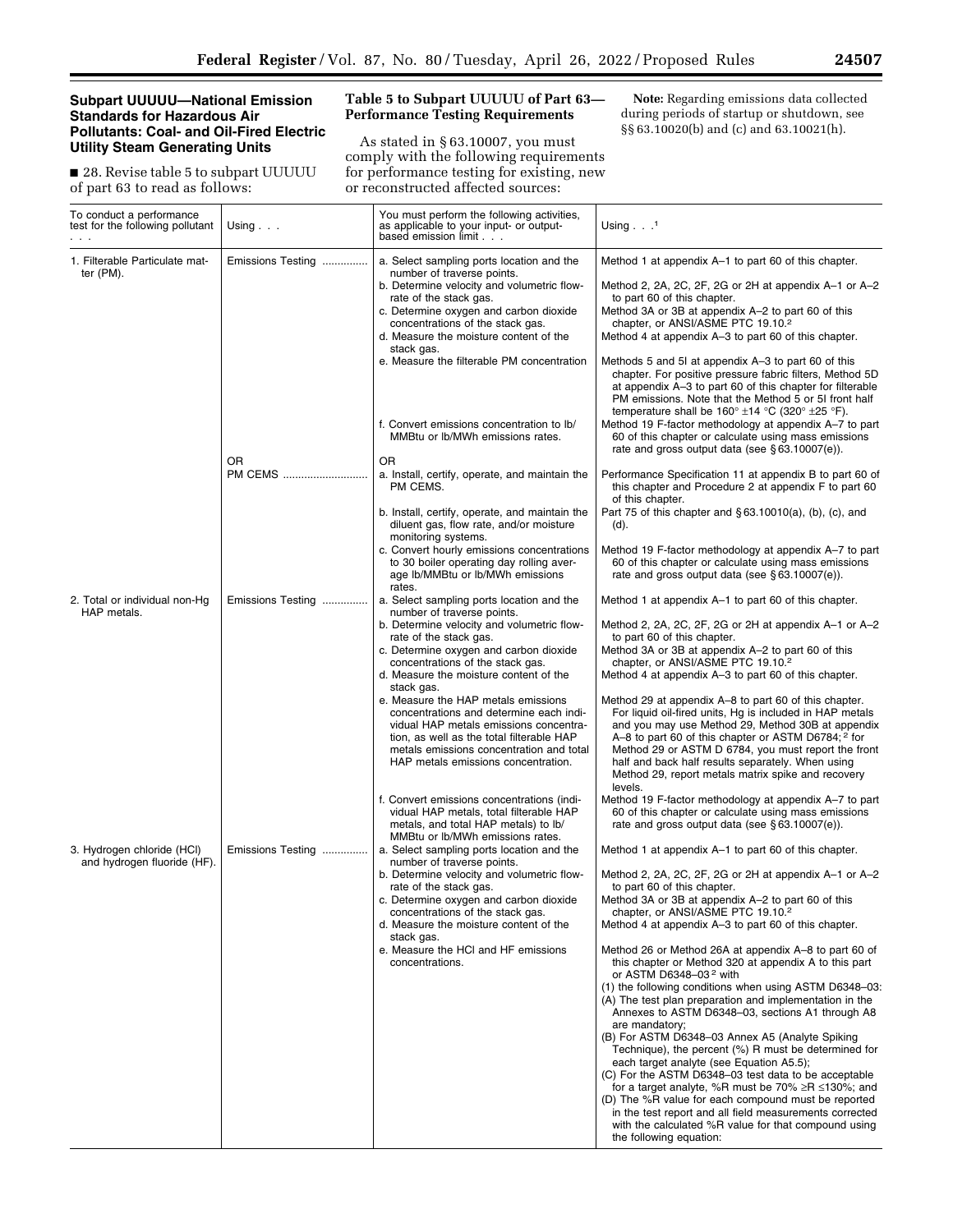## **Subpart UUUUU—National Emission Standards for Hazardous Air Pollutants: Coal- and Oil-Fired Electric Utility Steam Generating Units**

■ 28. Revise table 5 to subpart UUUUU of part 63 to read as follows:

# **Table 5 to Subpart UUUUU of Part 63— Performance Testing Requirements**

As stated in § 63.10007, you must comply with the following requirements for performance testing for existing, new or reconstructed affected sources:

**Note:** Regarding emissions data collected during periods of startup or shutdown, see §§ 63.10020(b) and (c) and 63.10021(h).

| To conduct a performance<br>test for the following pollutant | Using $\ldots$    | You must perform the following activities,<br>as applicable to your input- or output-<br>based emission limit                                                                                                                                                                                                                       | Using $\cdot$ $\cdot$ $\cdot$                                                                                                                                                                                                                                                                                                                                                                                                                                                                                                                                                                                                                                                                                                                                                                                                         |
|--------------------------------------------------------------|-------------------|-------------------------------------------------------------------------------------------------------------------------------------------------------------------------------------------------------------------------------------------------------------------------------------------------------------------------------------|---------------------------------------------------------------------------------------------------------------------------------------------------------------------------------------------------------------------------------------------------------------------------------------------------------------------------------------------------------------------------------------------------------------------------------------------------------------------------------------------------------------------------------------------------------------------------------------------------------------------------------------------------------------------------------------------------------------------------------------------------------------------------------------------------------------------------------------|
| 1. Filterable Particulate mat-<br>ter (PM).                  | Emissions Testing | a. Select sampling ports location and the<br>number of traverse points.<br>b. Determine velocity and volumetric flow-<br>rate of the stack gas.<br>c. Determine oxygen and carbon dioxide<br>concentrations of the stack gas.<br>d. Measure the moisture content of the<br>stack gas.<br>e. Measure the filterable PM concentration | Method 1 at appendix A–1 to part 60 of this chapter.<br>Method 2, 2A, 2C, 2F, 2G or 2H at appendix A-1 or A-2<br>to part 60 of this chapter.<br>Method 3A or 3B at appendix A-2 to part 60 of this<br>chapter, or ANSI/ASME PTC 19.10.2<br>Method 4 at appendix A-3 to part 60 of this chapter.<br>Methods 5 and 51 at appendix A-3 to part 60 of this<br>chapter. For positive pressure fabric filters, Method 5D<br>at appendix A-3 to part 60 of this chapter for filterable<br>PM emissions. Note that the Method 5 or 51 front half<br>temperature shall be $160^{\circ}$ ±14 °C (320° ±25 °F).                                                                                                                                                                                                                                  |
|                                                              | OR                | f. Convert emissions concentration to Ib/<br>MMBtu or Ib/MWh emissions rates.<br>OR                                                                                                                                                                                                                                                 | Method 19 F-factor methodology at appendix A-7 to part<br>60 of this chapter or calculate using mass emissions<br>rate and gross output data (see $\S 63.10007(e)$ ).                                                                                                                                                                                                                                                                                                                                                                                                                                                                                                                                                                                                                                                                 |
|                                                              | PM CEMS           | a. Install, certify, operate, and maintain the<br>PM CEMS.<br>b. Install, certify, operate, and maintain the<br>diluent gas, flow rate, and/or moisture                                                                                                                                                                             | Performance Specification 11 at appendix B to part 60 of<br>this chapter and Procedure 2 at appendix F to part 60<br>of this chapter.<br>Part 75 of this chapter and $\S 63.10010(a)$ , (b), (c), and<br>(d).                                                                                                                                                                                                                                                                                                                                                                                                                                                                                                                                                                                                                         |
|                                                              |                   | monitoring systems.<br>c. Convert hourly emissions concentrations<br>to 30 boiler operating day rolling aver-<br>age Ib/MMBtu or Ib/MWh emissions<br>rates.                                                                                                                                                                         | Method 19 F-factor methodology at appendix A-7 to part<br>60 of this chapter or calculate using mass emissions<br>rate and gross output data (see §63.10007(e)).                                                                                                                                                                                                                                                                                                                                                                                                                                                                                                                                                                                                                                                                      |
| 2. Total or individual non-Hg<br>HAP metals.                 | Emissions Testing | a. Select sampling ports location and the<br>number of traverse points.<br>b. Determine velocity and volumetric flow-<br>rate of the stack gas.<br>c. Determine oxygen and carbon dioxide<br>concentrations of the stack gas.<br>d. Measure the moisture content of the<br>stack gas.                                               | Method 1 at appendix A–1 to part 60 of this chapter.<br>Method 2, 2A, 2C, 2F, 2G or 2H at appendix A-1 or A-2<br>to part 60 of this chapter.<br>Method 3A or 3B at appendix A-2 to part 60 of this<br>chapter, or ANSI/ASME PTC 19.10.2<br>Method 4 at appendix A-3 to part 60 of this chapter.                                                                                                                                                                                                                                                                                                                                                                                                                                                                                                                                       |
|                                                              |                   | e. Measure the HAP metals emissions<br>concentrations and determine each indi-<br>vidual HAP metals emissions concentra-<br>tion, as well as the total filterable HAP<br>metals emissions concentration and total<br>HAP metals emissions concentration.                                                                            | Method 29 at appendix A–8 to part 60 of this chapter.<br>For liquid oil-fired units, Hg is included in HAP metals<br>and you may use Method 29, Method 30B at appendix<br>A-8 to part 60 of this chapter or ASTM D6784; <sup>2</sup> for<br>Method 29 or ASTM D 6784, you must report the front<br>half and back half results separately. When using<br>Method 29, report metals matrix spike and recovery<br>levels.                                                                                                                                                                                                                                                                                                                                                                                                                 |
| 3. Hydrogen chloride (HCI)                                   | Emissions Testing | f. Convert emissions concentrations (indi-<br>vidual HAP metals, total filterable HAP<br>metals, and total HAP metals) to lb/<br>MMB tu or Ib/MWh emissions rates.<br>a. Select sampling ports location and the                                                                                                                     | Method 19 F-factor methodology at appendix A-7 to part<br>60 of this chapter or calculate using mass emissions<br>rate and gross output data (see $\S$ 63.10007(e)).<br>Method 1 at appendix A–1 to part 60 of this chapter.                                                                                                                                                                                                                                                                                                                                                                                                                                                                                                                                                                                                          |
| and hydrogen fluoride (HF).                                  |                   | number of traverse points.<br>b. Determine velocity and volumetric flow-<br>rate of the stack gas.<br>c. Determine oxygen and carbon dioxide<br>concentrations of the stack gas.<br>d. Measure the moisture content of the                                                                                                          | Method 2, 2A, 2C, 2F, 2G or 2H at appendix A-1 or A-2<br>to part 60 of this chapter.<br>Method 3A or 3B at appendix A-2 to part 60 of this<br>chapter, or ANSI/ASME PTC 19.10.2<br>Method 4 at appendix A-3 to part 60 of this chapter.                                                                                                                                                                                                                                                                                                                                                                                                                                                                                                                                                                                               |
|                                                              |                   | stack gas.<br>e. Measure the HCI and HF emissions<br>concentrations.                                                                                                                                                                                                                                                                | Method 26 or Method 26A at appendix A-8 to part 60 of<br>this chapter or Method 320 at appendix A to this part<br>or ASTM D6348-03 <sup>2</sup> with<br>(1) the following conditions when using ASTM D6348-03:<br>(A) The test plan preparation and implementation in the<br>Annexes to ASTM D6348-03, sections A1 through A8<br>are mandatory;<br>(B) For ASTM D6348-03 Annex A5 (Analyte Spiking<br>Technique), the percent (%) R must be determined for<br>each target analyte (see Equation A5.5);<br>(C) For the ASTM D6348-03 test data to be acceptable<br>for a target analyte, %R must be 70% $\geq$ R $\leq$ 130%; and<br>(D) The %R value for each compound must be reported<br>in the test report and all field measurements corrected<br>with the calculated %R value for that compound using<br>the following equation: |

e<br>B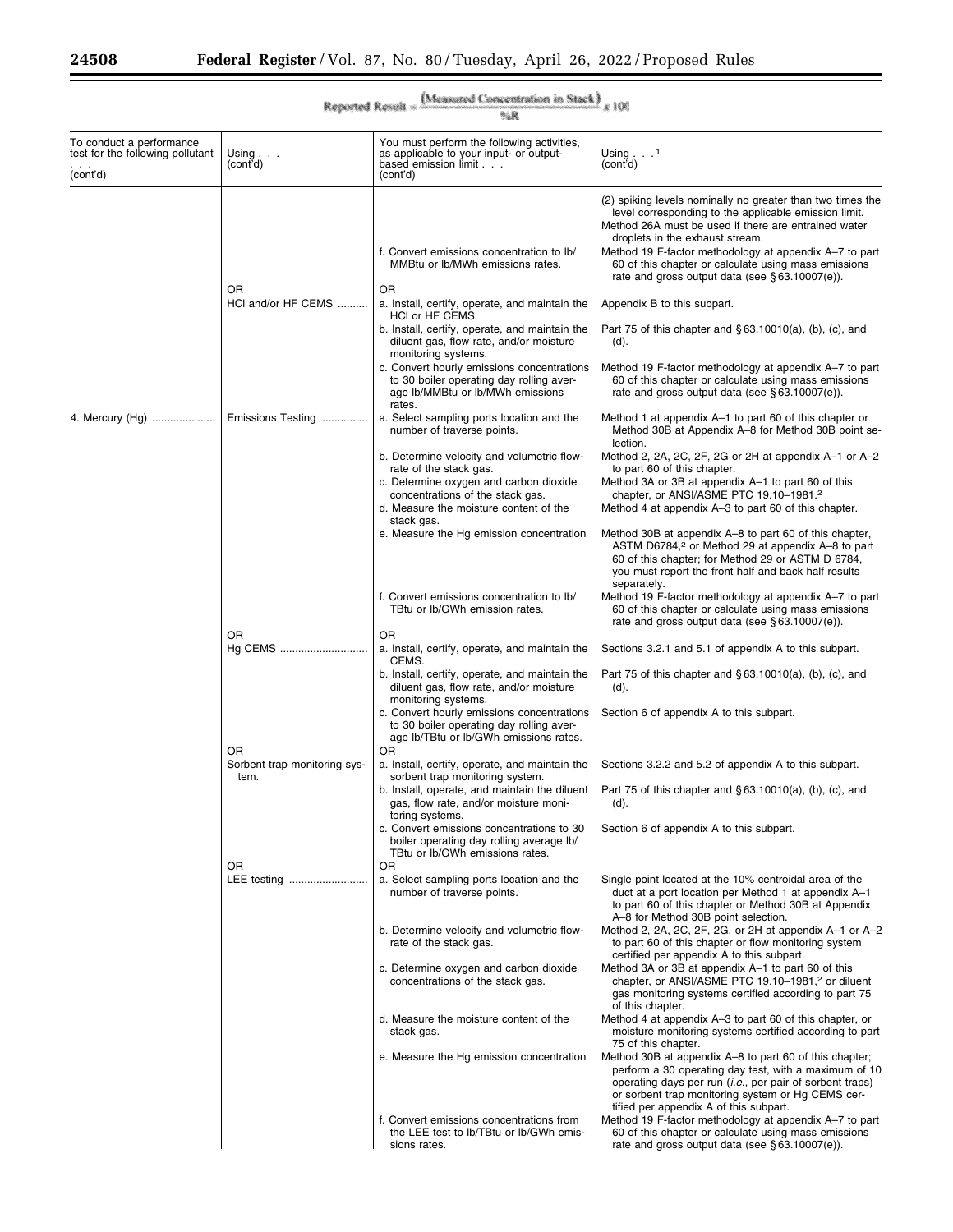۳

| {Measured Concentration in Stack}<br>Reported Result »<br>x100<br>气泉     |                              |                                                                                                                                                   |                                                                                                                                                                                                                                                                                                                                  |  |
|--------------------------------------------------------------------------|------------------------------|---------------------------------------------------------------------------------------------------------------------------------------------------|----------------------------------------------------------------------------------------------------------------------------------------------------------------------------------------------------------------------------------------------------------------------------------------------------------------------------------|--|
| To conduct a performance<br>test for the following pollutant<br>(cont'd) | Using $\ldots$<br>(cont'd)   | You must perform the following activities,<br>as applicable to your input- or output-<br>based emission limit<br>(cont'd)                         | Using $\ldots$ <sup>1</sup><br>(cont'd)                                                                                                                                                                                                                                                                                          |  |
|                                                                          |                              | f. Convert emissions concentration to Ib/<br>MMBtu or Ib/MWh emissions rates.                                                                     | (2) spiking levels nominally no greater than two times the<br>level corresponding to the applicable emission limit.<br>Method 26A must be used if there are entrained water<br>droplets in the exhaust stream.<br>Method 19 F-factor methodology at appendix A-7 to part<br>60 of this chapter or calculate using mass emissions |  |
|                                                                          | <b>OR</b>                    | OR                                                                                                                                                | rate and gross output data (see $\S 63.10007(e)$ ).                                                                                                                                                                                                                                                                              |  |
|                                                                          | HCI and/or HF CEMS           | a. Install, certify, operate, and maintain the<br>HCI or HF CEMS.                                                                                 | Appendix B to this subpart.                                                                                                                                                                                                                                                                                                      |  |
|                                                                          |                              | b. Install, certify, operate, and maintain the<br>diluent gas, flow rate, and/or moisture<br>monitoring systems.                                  | Part 75 of this chapter and $\S 63.10010(a)$ , (b), (c), and<br>(d).                                                                                                                                                                                                                                                             |  |
|                                                                          |                              | c. Convert hourly emissions concentrations<br>to 30 boiler operating day rolling aver-<br>age Ib/MMBtu or Ib/MWh emissions<br>rates.              | Method 19 F-factor methodology at appendix A-7 to part<br>60 of this chapter or calculate using mass emissions<br>rate and gross output data (see $\S$ 63.10007(e)).                                                                                                                                                             |  |
| 4. Mercury (Hg)                                                          | Emissions Testing            | a. Select sampling ports location and the<br>number of traverse points.                                                                           | Method 1 at appendix A-1 to part 60 of this chapter or<br>Method 30B at Appendix A-8 for Method 30B point se-<br>lection.                                                                                                                                                                                                        |  |
|                                                                          |                              | b. Determine velocity and volumetric flow-<br>rate of the stack gas.<br>c. Determine oxygen and carbon dioxide                                    | Method 2, 2A, 2C, 2F, 2G or 2H at appendix A-1 or A-2<br>to part 60 of this chapter.<br>Method 3A or 3B at appendix A-1 to part 60 of this                                                                                                                                                                                       |  |
|                                                                          |                              | concentrations of the stack gas.<br>d. Measure the moisture content of the<br>stack gas.                                                          | chapter, or ANSI/ASME PTC 19.10-1981. <sup>2</sup><br>Method 4 at appendix A-3 to part 60 of this chapter.                                                                                                                                                                                                                       |  |
|                                                                          |                              | e. Measure the Hg emission concentration                                                                                                          | Method 30B at appendix A–8 to part 60 of this chapter,<br>ASTM D6784, <sup>2</sup> or Method 29 at appendix A-8 to part<br>60 of this chapter; for Method 29 or ASTM D 6784,<br>you must report the front half and back half results<br>separately.                                                                              |  |
|                                                                          |                              | f. Convert emissions concentration to Ib/<br>TBtu or Ib/GWh emission rates.                                                                       | Method 19 F-factor methodology at appendix A–7 to part<br>60 of this chapter or calculate using mass emissions<br>rate and gross output data (see $\S$ 63.10007(e)).                                                                                                                                                             |  |
|                                                                          | 0R<br>Hg CEMS                | OR<br>a. Install, certify, operate, and maintain the<br>CEMS.                                                                                     | Sections 3.2.1 and 5.1 of appendix A to this subpart.                                                                                                                                                                                                                                                                            |  |
|                                                                          |                              | b. Install, certify, operate, and maintain the<br>diluent gas, flow rate, and/or moisture<br>monitoring systems.                                  | Part 75 of this chapter and $\S 63.10010(a)$ , (b), (c), and<br>(d).                                                                                                                                                                                                                                                             |  |
|                                                                          | OR                           | c. Convert hourly emissions concentrations<br>to 30 boiler operating day rolling aver-<br>age lb/TBtu or lb/GWh emissions rates.<br>OR            | Section 6 of appendix A to this subpart.                                                                                                                                                                                                                                                                                         |  |
|                                                                          | Sorbent trap monitoring sys- | a. Install, certify, operate, and maintain the                                                                                                    | Sections 3.2.2 and 5.2 of appendix A to this subpart.                                                                                                                                                                                                                                                                            |  |
|                                                                          | tem.                         | sorbent trap monitoring system.<br>b. Install, operate, and maintain the diluent<br>gas, flow rate, and/or moisture moni-                         | Part 75 of this chapter and §63.10010(a), (b), (c), and<br>(d).                                                                                                                                                                                                                                                                  |  |
|                                                                          | OR                           | toring systems.<br>c. Convert emissions concentrations to 30<br>boiler operating day rolling average lb/<br>TBtu or Ib/GWh emissions rates.<br>OR | Section 6 of appendix A to this subpart.                                                                                                                                                                                                                                                                                         |  |
|                                                                          | LEE testing                  | a. Select sampling ports location and the<br>number of traverse points.                                                                           | Single point located at the 10% centroidal area of the<br>duct at a port location per Method 1 at appendix A-1<br>to part 60 of this chapter or Method 30B at Appendix                                                                                                                                                           |  |
|                                                                          |                              | b. Determine velocity and volumetric flow-<br>rate of the stack gas.                                                                              | A-8 for Method 30B point selection.<br>Method 2, 2A, 2C, 2F, 2G, or 2H at appendix A-1 or A-2<br>to part 60 of this chapter or flow monitoring system                                                                                                                                                                            |  |
|                                                                          |                              | c. Determine oxygen and carbon dioxide<br>concentrations of the stack gas.                                                                        | certified per appendix A to this subpart.<br>Method 3A or 3B at appendix A-1 to part 60 of this<br>chapter, or ANSI/ASME PTC 19.10-1981, <sup>2</sup> or diluent<br>gas monitoring systems certified according to part 75<br>of this chapter.                                                                                    |  |
|                                                                          |                              | d. Measure the moisture content of the<br>stack gas.                                                                                              | Method 4 at appendix A-3 to part 60 of this chapter, or<br>moisture monitoring systems certified according to part<br>75 of this chapter.                                                                                                                                                                                        |  |
|                                                                          |                              | e. Measure the Hg emission concentration                                                                                                          | Method 30B at appendix A-8 to part 60 of this chapter;<br>perform a 30 operating day test, with a maximum of 10<br>operating days per run ( <i>i.e.</i> , per pair of sorbent traps)<br>or sorbent trap monitoring system or Hg CEMS cer-<br>tified per appendix A of this subpart.                                              |  |
|                                                                          |                              | f. Convert emissions concentrations from<br>the LEE test to lb/TBtu or lb/GWh emis-<br>sions rates.                                               | Method 19 F-factor methodology at appendix A-7 to part<br>60 of this chapter or calculate using mass emissions<br>rate and gross output data (see $\S 63.10007(e)$ ).                                                                                                                                                            |  |

|  | (Measured Concentration in Stack)                                            |  |  |
|--|------------------------------------------------------------------------------|--|--|
|  | <b>A THE TELEVISION SPACES AND RESIDENCE STATES OF STATES (SEE ALSO AREA</b> |  |  |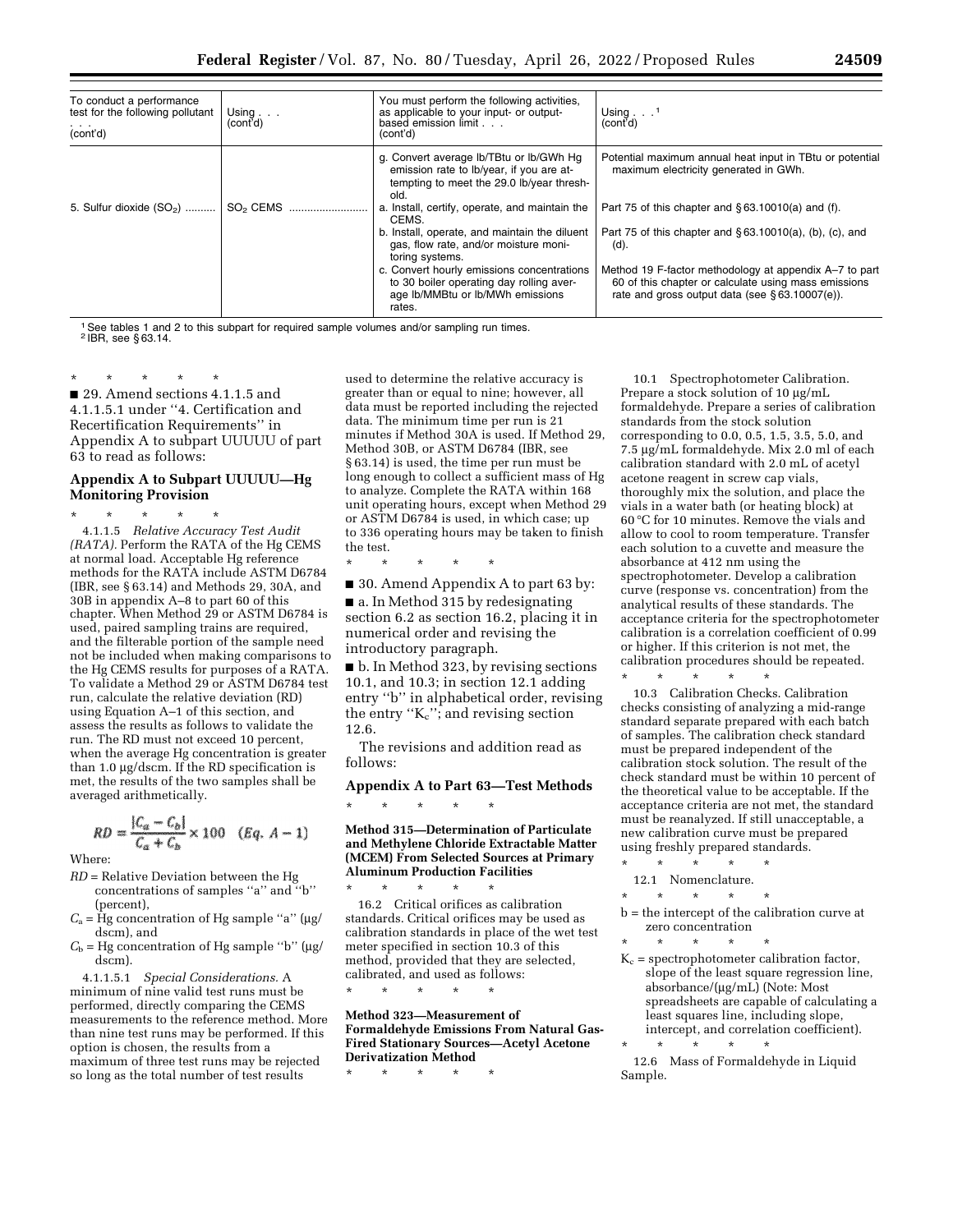| To conduct a performance<br>test for the following pollutant<br>.<br>(cont'd) | Using $\ldots$<br>(cont <sup>7</sup> d)                                            | You must perform the following activities,<br>as applicable to your input- or output-<br>based emission limit.<br>(cont'd)                                                                                                                                                                                                                                                                                                                               | Using $\ldots$ <sup>1</sup><br>์ (cont'd)                                                                                                                                                                                                                                                                                                                                                              |
|-------------------------------------------------------------------------------|------------------------------------------------------------------------------------|----------------------------------------------------------------------------------------------------------------------------------------------------------------------------------------------------------------------------------------------------------------------------------------------------------------------------------------------------------------------------------------------------------------------------------------------------------|--------------------------------------------------------------------------------------------------------------------------------------------------------------------------------------------------------------------------------------------------------------------------------------------------------------------------------------------------------------------------------------------------------|
| 5. Sulfur dioxide $(SO_2)$                                                    | $SO2$ CEMS $\ldots$ $\ldots$ $\ldots$ $\ldots$ $\ldots$ $\ldots$ $\ldots$ $\ldots$ | g. Convert average lb/TBtu or lb/GWh Hg<br>emission rate to Ib/year, if you are at-<br>tempting to meet the 29.0 lb/year thresh-<br>old.<br>a. Install, certify, operate, and maintain the<br>CEMS.<br>b. Install, operate, and maintain the diluent<br>gas, flow rate, and/or moisture moni-<br>toring systems.<br>c. Convert hourly emissions concentrations<br>to 30 boiler operating day rolling aver-<br>age Ib/MMBtu or Ib/MWh emissions<br>rates. | Potential maximum annual heat input in TBtu or potential<br>maximum electricity generated in GWh.<br>Part 75 of this chapter and $\S 63.10010(a)$ and (f).<br>Part 75 of this chapter and $\S 63.10010(a)$ , (b), (c), and<br>(d).<br>Method 19 F-factor methodology at appendix A-7 to part<br>60 of this chapter or calculate using mass emissions<br>rate and gross output data (see §63.10007(e)). |

<sup>1</sup> See tables 1 and 2 to this subpart for required sample volumes and/or sampling run times. 2 IBR, see § 63.14.

\* \* \* \* \* ■ 29. Amend sections 4.1.1.5 and 4.1.1.5.1 under ''4. Certification and Recertification Requirements'' in Appendix A to subpart UUUUU of part 63 to read as follows:

# **Appendix A to Subpart UUUUU—Hg Monitoring Provision**

\* \* \* \* \* 4.1.1.5 *Relative Accuracy Test Audit (RATA).* Perform the RATA of the Hg CEMS at normal load. Acceptable Hg reference methods for the RATA include ASTM D6784 (IBR, see § 63.14) and Methods 29, 30A, and 30B in appendix A–8 to part 60 of this chapter. When Method 29 or ASTM D6784 is used, paired sampling trains are required, and the filterable portion of the sample need not be included when making comparisons to the Hg CEMS results for purposes of a RATA. To validate a Method 29 or ASTM D6784 test run, calculate the relative deviation (RD) using Equation A–1 of this section, and assess the results as follows to validate the run. The RD must not exceed 10 percent, when the average Hg concentration is greater than  $1.0 \mu$ g/dscm. If the RD specification is met, the results of the two samples shall be averaged arithmetically.

$$
RD = \frac{|C_a - C_b|}{C_a + C_b} \times 100 \quad (Eq. A - 1)
$$

Where:

- *RD* = Relative Deviation between the Hg concentrations of samples ''a'' and ''b'' (percent),
- $C_a$  = Hg concentration of Hg sample "a" ( $\mu$ g/ dscm), and
- $C<sub>b</sub>$  = Hg concentration of Hg sample "b" ( $\mu$ g/ dscm).

4.1.1.5.1 *Special Considerations.* A minimum of nine valid test runs must be performed, directly comparing the CEMS measurements to the reference method. More than nine test runs may be performed. If this option is chosen, the results from a maximum of three test runs may be rejected so long as the total number of test results

used to determine the relative accuracy is greater than or equal to nine; however, all data must be reported including the rejected data. The minimum time per run is 21 minutes if Method 30A is used. If Method 29, Method 30B, or ASTM D6784 (IBR, see § 63.14) is used, the time per run must be long enough to collect a sufficient mass of Hg to analyze. Complete the RATA within 168 unit operating hours, except when Method 29 or ASTM D6784 is used, in which case; up to 336 operating hours may be taken to finish the test.

\* \* \* \* \* ■ 30. Amend Appendix A to part 63 by:

■ a. In Method 315 by redesignating section 6.2 as section 16.2, placing it in numerical order and revising the introductory paragraph.

■ b. In Method 323, by revising sections 10.1, and 10.3; in section 12.1 adding entry ''b'' in alphabetical order, revising the entry " $K_c$ "; and revising section 12.6.

The revisions and addition read as follows:

**Appendix A to Part 63—Test Methods** 

**Method 315—Determination of Particulate and Methylene Chloride Extractable Matter (MCEM) From Selected Sources at Primary Aluminum Production Facilities** 

\* \* \* \* \* 16.2 Critical orifices as calibration standards. Critical orifices may be used as calibration standards in place of the wet test meter specified in section 10.3 of this method, provided that they are selected, calibrated, and used as follows:

\* \* \* \* \*

\* \* \* \* \*

**Method 323—Measurement of Formaldehyde Emissions From Natural Gas-Fired Stationary Sources—Acetyl Acetone Derivatization Method** 

\* \* \* \* \*

10.1 Spectrophotometer Calibration. Prepare a stock solution of 10 µg/mL formaldehyde. Prepare a series of calibration standards from the stock solution corresponding to 0.0, 0.5, 1.5, 3.5, 5.0, and 7.5 µg/mL formaldehyde. Mix 2.0 ml of each calibration standard with 2.0 mL of acetyl acetone reagent in screw cap vials, thoroughly mix the solution, and place the vials in a water bath (or heating block) at 60 °C for 10 minutes. Remove the vials and allow to cool to room temperature. Transfer each solution to a cuvette and measure the absorbance at 412 nm using the spectrophotometer. Develop a calibration curve (response vs. concentration) from the analytical results of these standards. The acceptance criteria for the spectrophotometer calibration is a correlation coefficient of 0.99 or higher. If this criterion is not met, the calibration procedures should be repeated.

\* \* \* \* \* 10.3 Calibration Checks. Calibration checks consisting of analyzing a mid-range standard separate prepared with each batch of samples. The calibration check standard must be prepared independent of the calibration stock solution. The result of the check standard must be within 10 percent of the theoretical value to be acceptable. If the acceptance criteria are not met, the standard must be reanalyzed. If still unacceptable, a new calibration curve must be prepared using freshly prepared standards.

- \* \* \* \* \* 12.1 Nomenclature.
- \* \* \* \* \*

b = the intercept of the calibration curve at zero concentration

\* \* \* \* \*  $K_c$  = spectrophotometer calibration factor, slope of the least square regression line, absorbance/(mg/mL) (Note: Most spreadsheets are capable of calculating a least squares line, including slope, intercept, and correlation coefficient).

\* \* \* \* \* 12.6 Mass of Formaldehyde in Liquid Sample.